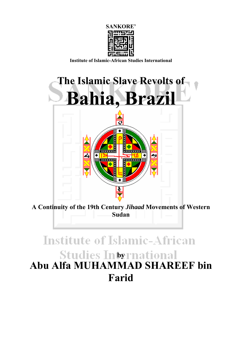

**Institute of Islamic-African Studies International** 



**A Continuity of the 19th Century** *Jihaad* **Movements of Western Sudan** 

# **Institute of Islamic-African Studies International Abu Alfa MUHAMMAD SHAREEF bin Farid**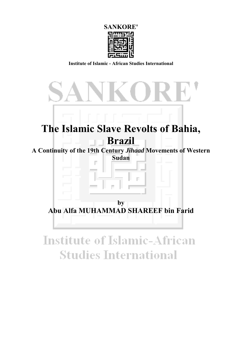

**Institute of Islamic - African Studies International** 



# **Institute of Islamic-African Studies International**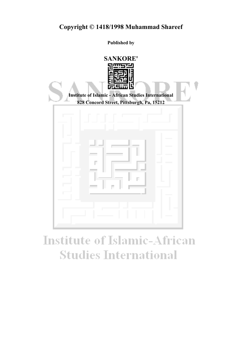**Published by**



# **Institute of Islamic-African Studies International**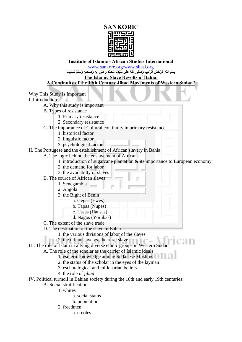## **SANKORE'**



### **Institute of Islamic - African Studies International**

www.sankore.org/www.siiasi.org

بِسْمِ اللَّهِ الرَّحْمَنِ الرَّحِيمِ وَصَلَّى اللَّهُ عَلَى سَبِّذِنَا مُحَمَّدٍ وعَلَى آلِهِ وَصَحْبِهِ وَسَلَّمَ تَسْلِيماً

### **The Islamic Slave Revolts of Bahia:**

**A Continuity of the 19th Century Jihad Movements of Western Sudan?**

Why This Study is Important I. Introduction: A. Why this study is important B. Types of resistance 1. Primary resistance 2. Secondary resistance C. The importance of Cultural continuity in primary resistance 1. historical factor 2. linguistic factor 3. psychological factor II. The Portugese and the establishment of African slavery in Bahia A. The logic behind the enslavement of Africans 1. introduction of sugarcane plantation & its importance to European economy 2. the demand for labor 3. the availabilty of slaves B. The source of African slaves 1. Senegambia 2. Angola 3. the Bight of Benin a. Geges (Ewes) b. Tapas (Nupes) c. Ussas (Hausas)

- d. Nagos (Yorubas)
- C. The extent of the slave trade
- D. The destination of the slave in Bahia
	- 1. the various divisions of labor of the slaves
	- 2. the urban slave vs. the rural slave
- III. The role of Islam in allying diverse ethnic groups in Western Suda
	- A. The role of the scholar as the carrier of Islamic ideals
		- 1. esoteric knowledge among Sudanese Muslims

can

- 2. the status of the scholar in the eyes of the layman
- 3. eschotalogical and millenarian beliefs
- 4. the role of *jihad*
- IV. Political turmoil in Bahian society during the 18th and early 19th centuries:
	- A. Social stratification
		- 1. whites
			- a. social status
			- b. population
		- 2. freedmen
			- a. creoles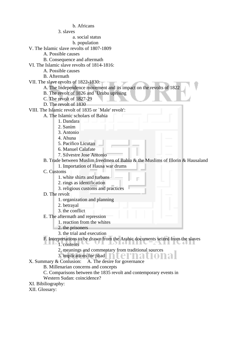### b. Africans

3. slaves

a. social status

 b. population V. The Islamic slave revolts of 1807-1809

- A. Possible causes
- B. Consequence and aftermath
- VI. The Islamic slave revolts of 1814-1816:
	- A. Possible causes
	- B. Aftermath
- VII. The slave revolts of 1822-1830:
	- A. The Independence movement and its impact on the revolts of 1822
	- B. The revolt of 1826 and `Urubu uprising
	- C. The revolt of 1827-29
	- D. The revolt of 1830

VIII. The Islamic revolt of 1835 or `Male' revolt':

- A. The Islamic scholars of Bahia
	- 1. Dandara
	- 2. Sanim
	- 3. Antonio
	- 4. Ahuna
	- 5. Pacifico Licutan
	- 6. Manuel Calafate
	- 7. Silvestre Jose Antonio

### B. Trade between Muslim freedmen of Bahia & the Muslims of Illorin & Hausaland

- 1. Importation of Hausa war drums
- C. Customs
	- 1. white shirts and turbans
	- 2. rings as identification
	- 3. religious customs and practices
- D. The revolt
	- 1. organization and planning
	- 2. betrayal
	- 3. the conflict
- E. The aftermath and repression
	- 1. reaction from the whites
	- 2. the prisoners
	- 3. the trial and execution

### F. Interpretations to be drawn from the Arabic documents seized from the slaves

- $\blacksquare$   $\blacksquare$   $\blacksquare$   $\blacksquare$   $\blacksquare$   $\blacksquare$   $\blacksquare$   $\blacksquare$   $\blacksquare$   $\blacksquare$   $\blacksquare$   $\blacksquare$   $\blacksquare$   $\blacksquare$   $\blacksquare$   $\blacksquare$   $\blacksquare$   $\blacksquare$   $\blacksquare$   $\blacksquare$   $\blacksquare$   $\blacksquare$   $\blacksquare$   $\blacksquare$   $\blacksquare$   $\blacksquare$   $\blacksquare$   $\blacksquare$   $\blacksquare$   $\blacksquare$   $\blacksquare$   $\blacks$ 
	- 2. meanings and commentary from traditional sources
	- 3. implications for jihad
- X. Summary & Conlusion: A. The desire for governance
	- B. Millenarian concerns and concepts
	- C. Comparisons between the 1835 revolt and contemporary events in
	- Western Sudan: coincidence?
- XI. Bibiliography:
- XII. Glossary: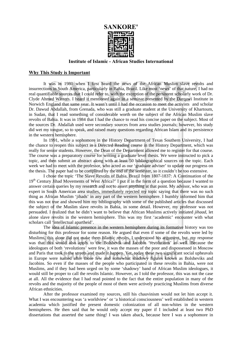

#### **Institute of Islamic - African Studies International**

#### **Why This Study is Important**

It was in 1980 when I first heard the news of the African Muslim slave revolts and insurrections in South America, particularly in Bahia, Brazil. Like most 'news' of that nature, I had no real quantifiable sources that I could refer to, with the exception of the persistent scholarly work of Dr. Clyde Ahmed Winters. I heard it mentioned again in a seminar presented by the Darqawi Institute in Norwich England that same year. It wasn't until I had the occasion to meet the activists and scholar Dr. Dawud Abdallah, from Grenada, who was still a graduate student at the University of Khartoum, in Sudan, that I read something of considerable worth on the subject of the African Muslim slave revolts of Bahia. It was in 1984 that I had the chance to read his concise paper on the subject. Most of the sources Dr. Abdallah used were secondary sources from area studies journals; however, his study did wet my tongue, so to speak, and raised many questions regarding African Islam and its persistence in the western hemisphere.

 In 1991, while a sophomore in the History Department of Texas Southern University, I had the chance to reopen this subject in a Directed Reading course in the History Department, which was really for senior students. However, the Dean of the Department allowed me to register for that course. The course was a preparatory course for writing a graduate level thesis. We were instructed to pick a topic, and then submit an abstract along with at least 50 bibliographical sources on the topic. Each week we had to meet with the professor, who acted as our 'graduate adviser' to update our progress on the thesis. The paper had to be completed by the end of the semester, so it couldn't be too extensive.

 I chose the topic 'The Slave Revolts of Bahia, Brazil from 1807-1837: A Continuation of the 19<sup>th</sup> Century Jihad Movements of West Africa?' I put it in the form of a question because I wanted to answer certain queries by my research and not to assert anything at that point. My advisor, who was an expert in South American area studies, immediately rejected my topic saying that there was no such thing as African Muslim 'jihads' in any part of the western hemisphere. I humbly informed him that this was not true and showed him my bibliography with some of the published articles that discussed the subject of the Muslim slave revolts in Bahia, in some detail. However, my professor was not persuaded. I realized that he didn't want to believe that African Muslims actively initiated *jihaad*, let alone slave revolts in the western hemisphere. This was my first 'academic' encounter with what scholars call 'intellectual apartheid'.

The idea of Islamic presence in the western hemisphere during its formative history was too disturbing for this professor for some reason. He argued that even if some of the revolts were led by Muslims, this alone did not make them Islamic revolts. I understood his argument, but, my response was that this would also apply to the Bolshevik and Jacobin 'revolutions' as well. Because the ideologues of both 'revolutions' were few, it was the masses of the poor and dispossessed in Moscow and Paris that took to the streets and made it happen. Yet, today these two significant social upheavals in Europe were named after those few and somewhat shadowy figures known as Bolsheviks and Jacobins. So even if the masses of the people who participated in these revolts in Bahia, were not Muslims, and if they had been urged on by some 'shadowy' band of African Muslim ideologues, it would still be proper to call the revolts Islamic. However, as I told the professor, this was not the case at all. All the evidence that I had read pointed to the fact that the entire population in many of the revolts and the majority of the people of most of them were actively practicing Muslims from diverse African ethnicities.

After the professor examined my sources, still his chauvinism would not let him accept it. What I was encountering was 'a worldview' or 'a historical consciousness' well established in western academia which justified the present domestic colonization of all non-whites in the western hemispheres. He then said that he would only accept my paper if I included at least two PhD dissertations that asserted the same thing! I was taken aback, because here I was a sophomore in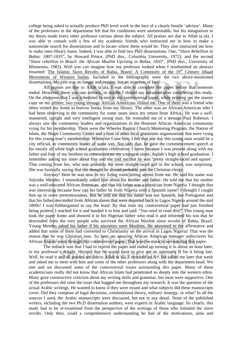college being asked to actually produce PhD level work in the face of a clearly hostile 'advisor'. Many of the professors in the department felt that his conditions were unreasonable, but his antagonism to my thesis made every other professor curious about the subject. All praises are due to Allah ta`ala, I was able to consult with a few of my academic friends who instructed me in how to make a nationwide search for dissertations and to locate where these would be. They also instructed me how to make inter-library loans. Indeed, I was able to find two PhD dissertations. One, "*Slave Rebellion in Bahia: 1807-1835*", by Howard Prince, (PhD diss., Columbia University, 1972); and the second "*Slave rebellion in Brazil: the African Muslim Uprising in Bahia, 1835*", (PhD diss., University of Minnesota, 1983). Well you can imagine how my professor looked when I resubmitted an abstract renamed: The Islamic Slave Revolts of Bahia, Brazil: A Continuity of the 19<sup>th</sup> Century Jihaad Movements of Western Sudan. Included in the bibliography were the two above-mentioned dissertations. My title was no longer and inquiry, but an assertion of fact!

 All praises are due to Allah ta`ala, I was able to complete the paper before that semester ended. However, there was one setback, or maybe I should say *karaama* after completing this study. On the afternoon that I was scheduled to turn in my controversial paper, while printing out the master copy on my printer, two young teenage African Americans visited me. One of them was a friend who often visited my home to borrow books from my library. The other was an African American who I had been observing in the community for some years since my return from Africa.. He was a wellmannered, upright and very intelligent young man. He reminded me of a teenage Paul Robeson. I always saw the community leaders and organizations in the Houston African American community vying for his membership. There were the Wheeler Baptist Church Mentoring Program, the Nation of Islam, the Shape Community Center and a host of other local grassroots organizations that were vying for this young man's membership. Whenever I saw him, I felt that one day this young man would be a city official, or community leader of some sort. Not only that, he gave the commencement speech at his mostly all white high school graduation celebration. I know because I was present along with my father and four of my brothers to commemorate my youngest sister, Aqilah's high school graduation. I remember asking my sister about him and she told me that he was 'pretty straight-laced and square'. That coming from her, who was probably the most straight-laced girl in the school, was surprising. She was basically saying that she thought he should probably join the Christian clergy.

 Anyway! Here he was now in my living room sitting across from me. He said his name was Adyinke Mendes. I immediately asked him about his mother and father. He told me that his mother was a well-educated African American, and that his father was a physician from Nigeria. I thought that was interesting because how can his father be from Nigeria with a Spanish name? I thought I caught him up in some pretentiousness. But he told me that his name was not Spanish, but Portuguese and that his father descended from African slaves that were deported back to Lagos Nigeria around the mid 1800s! I was flabbergasted to say the least! By that time my controversial paper had just finished being printed. I reached for it and handed it to him and said: "*You need to read this*!" This young man took the paper home and showed it to his Nigerian father who read it and informed his son that he descended from the very people who survived the African Muslim slave revolts of Bahia, Brazil. Young Mendes asked his father if his ancestors were Muslims. He answered in the affirmative and added that some of them had converted to Christianity on the arrival in Lagos Nigeria! That was the reason that he was Christian now. So here, an amazing African American teenager rediscovers his African Islamic roots through this controversial paper. That was the miracle surrounding this paper.

 The setback was that I had to reprint the paper and ended up turning it in about an hour later, to my professor's delight. He said that he would have to give me an automatic B for it being late. Well, he read it and all praises are due to Allah ta`ala, I received an A+. He called me later that week and asked me to meet with him and some of the other professors along with the department head. We met and we discussed some of the controversial issues surrounding this paper. Many of these academicians really did not know that African Islam had penetrated so deeply into the western ethos. Many gave constructive criticism about my writing skills and grammar, but most were supportive. One of the professors did raise the issue that bugged me throughout my research. It was the question of the actual Arabic writings. He wanted to know if they were extant and what subjects did these manuscripts cover. Did they compose of legal decisions, constitutional theory, military strategy, or what? In all the sources I used, the Arabic manuscripts were discussed, but not in any detail. None of the published writers, including the two Ph.D dissertation authors, were experts in Arabic language. So clearly, this study had to be re-examined from the perspective of the writings of those who initiated the slave revolts. Only then, could a comprehensive understanding be had of the motivations, aims and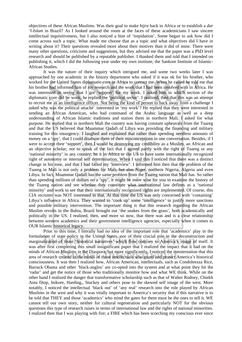objectives of these African Muslims. Was their goal to make *hijra* back to Africa or to establish a *dar 'l-Islam* in Brazil? As I looked around the room at the faces of these academicians I saw sincere intellectual inquisitiveness, but I also noticed a hint of 'trepidation'. Some began to ask how did I come across such a topic. What made me choose that as a topic and what objectives did I have in writing about it? Their questions revealed more about their motives than it did of mine. There were many other questions, criticisms and suggestions, but they advised me that the paper was a PhD level research and should be published by a reputable publisher. I thanked them and told that I intended on publishing it, which I did the following year under my own institute, the Sankore Institute of Islamic-African Studies.

 It was the nature of their inquiry which intrigued me, and some two weeks later I was approached by one academic in the history department who asked if it was ok for his brother, who worked for the United States diplomatic core in Africa to contact me. When he called he told me that his brother had informed him of my research and the work that I had been involved with in Africa. He was interested in seeing that I got 'support' for my work. I asked him in which section of the diplomatic core did he work, he replied the 'political sector'. I realized, then that this was an attempt to recruit me as an intelligence officer. Not being the kind of person to back away from a challenge I asked why was the political attaché` interested in 'my work'? He replied that they were interested in sending an African American, who had command of the Arabic language as well as a deep understanding of African Islamic traditions and station them in northern Mali. I asked for what purpose. He replied that in northern Mali the country was having constant upheavals from the Tuareg and that the US believed that Muammar Qadafi of Libya was providing the financing and military training for this insurgency. I laughed and explained that rather than spending needless amounts of money on a 'spy', that I could disabuse them of their misconceptions in one conversation. Besides, if I were to accept their 'support', then I would be destroying my credibility as a Muslim, an African and an objective scholar; not to speak of the fact that I agreed partly with the right of Tuareg or any 'national minority' in any country, be it in Africa or the US to have some internationally recognized right of autonomy or internal self determination. When I said this I noticed that there was a distinct change in his tone, and that I had failed my 'interview'. I informed him then that the problem of the Tuareg in Mali is not only a problem for Mali, but also Niger, northern Nigeria, Algeria and even Libya. In fact, Muammar Qadafi has the same problem from the Tuareg nation that Mali has. So rather than spending millions of dollars on a 'spy', it might be more wise for you to examine the history of the Tuareg nation and see whether they constitute what international law defines as a 'national minority' and work to see that their internationally recognized rights are implemented. Of course, this CIA recruiter was NOT interested in that. At that time the US was only concerned with 'containing' Libya's influence in Africa. They wanted to 'cook up' some 'intelligence' to justify more sanctions and possible military intervention. The important thing is that this research regarding the African Muslim revolts in the Bahia, Brazil brought out 'the snakes from the grass', both academically and politically in the US. I realized, then, and more so now, that there was and is a clear relationship between western academics and their government intelligence agencies, especially when it comes to OUR Islamic historical legacy.

 Prior to this time, I literally had no idea of the important role that 'academics' play in the formulation of state policy in the United States, nor of their crucial role in the deconstruction and marginalization of those 'historical narratives' which flow contrary to America's image of itself. It was after first completing this small insignificant paper that I realized the impact that it had on the minds of African Muslims in the Diaspora, but more significantly, I noticed the consternation that this area of research created in the minds of those intellectuals who guard and protect America's historical consciousness. It was then I realized how, African American, intellectuals, such as Condoleezza Rice, Barrack Obama and other 'black-anglos' are co-opted into the system and at what point they hit the 'radar' and get the notice of those who traditionally monitor how and what WE think. While on the other hand I realized the danger that transformative scholarship such as that of Walter Rodney, Chiekh Anta Diop, Inikore, Harding,, Stuckey and others pose to the skewed self image of the west. More notably, I noticed the intellectual 'black out' of 'any real' research into the role played by African Muslims in the west and why it was vitally important to America's security that if this narrative is to be told that THEY and those 'academics' who mind the gates for them must be the ones to tell it. WE cannot tell our own story, neither for cultural regeneration and particularly NOT for the obvious questions this type of research raises in terms of international law and the rights of national minorities. I realized then that I was playing with fire; a FIRE which has been scorching my conscious ever since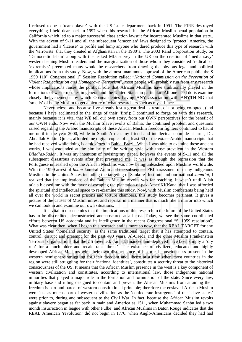I refused to be a 'team player' with the US 'state department back in 1991. The FIRE destroyed everything I held dear back in 1997 when this research hit the African Muslim penal population in California which led to a major successful class action lawsuit for incarcerated Muslims in that state.. With the advent of 9-11 and all the subsequent 'draconian' laws designed to 'protect' America, the government had a 'license' to profile and lump anyone who dared produce this type of research with the 'terrorists' that they created in Afghanistan in the 1980's. The 2003 Rand Corporation Study, on 'Democratic Islam' along with the leaked MI5 survey in the UK on the creation of 'media savy' western leaning Muslim leaders and the marginalization of those whom they considered 'radical' or 'extremists' preempted many would be researchers from drawing the obvious legal and political implications from this study. Now, with the almost unanimous approval of the American public the S 1959 110<sup>th</sup> Congressional 1<sup>st</sup> Session Resolution called: "*National Commission on the Prevention of Violent Radicalization and Homegrown Terrorism*", most people will probably run from any research whose implications raises the political role that African Muslims have traditionally played in the formations of western states in general and the United States in particular. All one need do is examine closely the vehemence by which Obama denies having ANY association with ANYTHING that 'smells' of being Muslim to get a picture of what researchers such as myself face.

 Nevertheless, and because I've already lost a great deal as result of not being co-opted, (and because I have acclimated to the singe of their 'fire'); I continued to forge on with this research, mainly because it is vital that WE tell our own story, from our OWN perspectives for the benefit of our OWN ends. Now with the Muslim Slave revolts of Bahia, the continued problem and questions raised regarding the Arabic manuscripts of these African Muslim freedom fighters continued to haunt me until in the year 2000, while in South Africa, my friend and intellectual comrade at arms, Dr. Abdallah Hakim Quick, afforded me digital copies of at least 60 of the extant Arabic manuscripts that he had received while doing Islamic *dawa* in Bahia, Brazil. When I was able to examine these ancient works, I was astounded at the similarity of the writing style with those prevalent in the Western *Bilad'as-Sudan*. It was my intention of revising my paper, however the events of 9-11 and all the subsequent disastrous events after that prevented me. It was as though the repression that the Portuguese unleashed upon the African Muslims was now being unleashed upon Muslims worldwide. With the 1999 arrest of *Imam* Jamil al-Amin and the subsequent FBI harassment of many indigenous Muslims in the United States including the targeting of Sankore` Institute and our national *Jama`at*, I realized that the implications of the Bahian Muslim revolts was far reaching. It wasn't until Allah ta`ala blessed me with the favor of escaping the plantation of pax-AmeriKKKana, that I was afforded the spiritual and intellectual space to re-examine this study. Now, with Muslim combatants being held all over the world in secret prisons and torture chambers, this study becomes pertinent. It gives a picture of the causes of Muslim unrest and reprisal in a manner that is much like a mirror into which we can look in and examine our own situations.

It is vital to our enemies that the implications of this research to the future of the United States has to be discredited, deconstructed and obscured at all cost. Today, we see the same coordinated efforts between US academia and its intelligence in the recent Congressional "S. 1959 resolution". What was clear then, when I began this research and is more so now, that the REAL TARGET for any United States 'homeland security' is the same traditional target that it has attempted to contain, control, disrupt and preempt for the past 400 years. Al-Qaeda and the other Muslim Frankenstein 'terrorist' organizations that the US invented, trained, financed and deployed have been simply a 'dry run' for a much older and recalcitrant 'threat'. The existence of civilized, educated and highly developed African Muslims with their own distinct since of historical consciousness present in the western hemisphere struggling for their freedom and liberty at a time when most countries in the region were still struggling for their 'national identities', constitutes a security threat to the historical consciousness of the US. It means that the African Muslim presence in the west is a key component of western civilization and constitutes, according to international law, those indigenous national minorities that played a major role in the formation and formulation of the state. Since every law, military base and ruling designed to contain and prevent the African Muslims from attaining their freedom is part and parcel of western constitutional principle; therefore the enslaved African Muslim were just as much apart of western civilization as the 'confederate insurgents' of the 'slave states' were prior to, during and subsequent to the Civil War. In fact, because the African Muslim revolts against slavery began as far back in mainland America as 1511, when Muhammad Sanbu led a two month insurrection in league with other Fulbe' and African Muslims in Baton Rouge indicates that the REAL American 'revolution' did not begin in 1776, when Anglo-Americans decided they had had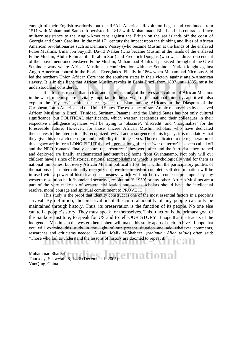enough of their English overlords, but the REAL American Revolution began and continued from 1511 with Muhammad Sanbu. It persisted in 1812 with Muhammadu Bilali and his comrades' brave military assistance to the Anglo-Americans against the British on the sea islands off the coast of Georgia and South Carolina. In the mid  $17<sup>th</sup>$  century the impact upon the thinking and lives of African American revolutionaries such as Denmark Vessey (who became Muslim at the hands of the enslaved Fulbe Muslims, Umar ibn Sayyid), David Walker (who became Muslim at the hands of the enslaved Fulbe Muslim, Abd'r-Rahman ibn Ibrahim Sori) and Frederick Douglas (who was a direct descendent of the above mentioned enslaved Fulbe Muslim, Muhammad Bilali). It persisted throughout the Great Seminole wars where African Muslims in confederation with the Seminole Nation fought against Anglo-American control in the Florida Everglades. Finally in 1864 when Muhammad Nicolous Said led the northern Union African Core into the southern states in their victory against anglo-American slavery. It is in this light that African Muslim revolts in Bahia Brazil from 1807 until 1835, must be understood and considered.

 It is for this reason that a clear and rigorous study of the lives and culture of African Muslims in the western hemisphere is vitally important to the survival of this national minority, and it will also explain the 'mystery' behind the resurgence of Islam among Africans in the Diaspora of the Caribbean, Latin America and the United States. The existence of rare Arabic manuscripts by enslaved African Muslims in Brazil, Trinidad, Surinam, Panama, and the United States has not only cultural significance, but POLITICAL significance, which western academics and their colleagues in their respective intelligence agencies will be trying to 'obscure', 'discredit' and 'marginalize' for the foreseeable future. However, for those sincere African Muslim scholars who have dedicated themselves to the internationally recognized revival and resurgence of this legacy, it is mandatory that they give this research the rigor, and credibility that it deserves. Those dedicated to the regeneration of this legacy are in for a LONG FIGHT that will persist long after the 'war on terror' has been called off and the NEO 'romans' finally capture the 'resources' they were after and the 'terrorist' they trained and deployed are finally anathematized and sent back home from Guantanamo. Not only will our children have a since of historical national accomplishment which is psychologically vital for them as national minorities, but every African Muslim political effort, be it within the participatory politics of the nations or an internationally recognized move for limited or complete self determination will be infused with a powerful historical consciousness which will not be overcome or preempted by any western resolution be it 'homeland security', resolution 'S 1959' or any other. African Muslims are a part of the very make-up of western civilization and we as scholars should have the intellectual resolve, moral courage and spiritual commitment to PROVE IT.

 This study is the proof that identity construct is one of the most essential factors in a people's survival. By definition, the preservation of the cultural identity of any people can only be maintained through history. Thus, its preservation is the function of its people. No one else can tell a people's story. They must speak for themselves. This function is the primary goal of the Sankore Institute, to speak for US and to tell OUR STORY! I hope that the leaders of the indigenous Muslims in the western hemisphere will make this study apart of their archives. I hope that you will examine this study in the light of our present situation and add whatever comments, researches and criticisms needed. Al-Hajj Malik el-Shabazz, (*rahimuhu Allah ta`ala*) often said: "Those who fail to understand the lessons of history are doomed to repeat it."

Muhammad Shareef Thursday, Shawwal 28, 1426 (December 1, 2005) YanQing, China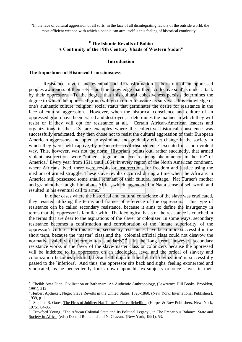"In the face of cultural aggression of all sorts, in the face of all disintegrating factors of the outside world, the most efficient weapon with which a people can arm itself is this feeling of historical continuity"

### **"The Islamic Revolts of Bahia: A Continuity of the 19th Century Jihads of Western Sudan"**

#### **Introduction**

#### **The Importance of Historical Consciousness**

1

Resistance, revolt, and eventual social transformation is born out of an oppressed peoples awareness of themselves and the knowledge that their `collective soul' is under attack by their oppressors. To the degree that this cultural cohesiveness persists determines the degree to which the oppressed group will go in order to assure its survival. It is knowledge of one's authentic culture, religion, social status that germinates the desire for resistance in the face of cultural aggression. However, when the historical conscience and culture of an oppressed group have been erased and destroyed, it determines the manner in which they will resist or if they will opt for resistance at all. Certain African-American leaders and organizations in the U.S. are examples where the collective historical conscience was successfully eradicated, they then chose not to resist the cultural aggression of their European American aggressors and opted to assimilate and gradually effect change in the society in which they were held captive, by means of `civil disobedience' executed in a non-violent way. This, however, was not the norm. Historians points out, rather succinctly, that armed violent insurrections were "rather a regular and ever-recurring phenomenon in the life" of America.<sup>2</sup> Every year from 1511 until 1864, in every region of the North American continent, where Africans lived, there were revolts or insurrections for freedom and justice using the medium of armed struggle. These slave revolts occurred during a time when the Africans in America still possessed some small remnant of their cultural heritage. Nat Turner's mother and grandmother taught him about Africa, which engendered in Nat a sense of self worth and resulted in his eventual call to arms.<sup>3</sup>

 In other cases where the historical and cultural conscience of the slave was eradicated, they resisted utilizing the terms and frames of reference of the oppressors. This type of resistance can be called secondary resistance, because it aims to define the insurgency in terms that the oppressor is familiar with. The ideological basis of the resistance is couched in the terms that are dear to the aspirations of the slaver or colonizer. In some ways, secondary resistance becomes a confirmation and corroboration of the `innate superiority' of the oppressor's culture. For this reason, secondary resistances have been more successful in the short term, because the 'master' class and the "colonial official class could not disavow the normative validity of metropolitan standards".<sup>4</sup> In the long term, however, secondary resistance works in the favor of the slave-master class or colonizers because the oppressed will be indebted to its oppressors on an ideological level and the ordeal of slavery and colonization becomes justified, because through it `the light of civilization' is successfully passed to the `inferiors'. And thus, the oppressor sits back and sighs, feeling exonerated and vindicated, as he benevolently looks down upon his ex-subjects or once slaves in their

<sup>&</sup>lt;sup>1</sup> Cheikh Anta Diop, Civilization or Barbarism: An Authentic Anthropology, (Lawrwnce Hill Books, Brooklyn, 1991), 212.

<sup>&</sup>lt;sup>2</sup> Herbert Aptheker, Negro Slave Revolts in the United States, 1526-1860, (New York, International Publishers), 1939, p. 11.

<sup>3</sup> Stephen B. Oates, The Fires of Jubilee: Nat Turner's Fierce Rebellion, (Harper & Row Publishers, New, York, 1975), 84-85.

<sup>&</sup>lt;sup>4</sup> Crawford Young, "The African Colonial State and Its Political Legacy", in The Precarious Balance: State and Society in Africa, (eds.) Donald Rothchild and N. Chazan, (New York, 1991), 53.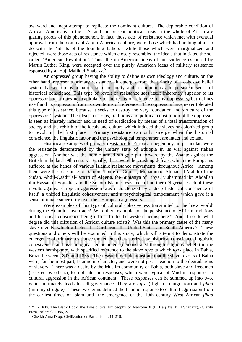awkward and inept attempt to replicate the dominant culture. The deplorable condition of African Americans in the U.S. and the present political crisis in the whole of Africa are glaring proofs of this phenomenon. In fact, those acts of resistance which met with eventual approval from the dominant Anglo-American culture, were those which had nothing at all to do with the 'ideals of the founding fathers', while those which were marginalized and rejected, were those acts of resistance which closely resembled the ideals that initiated the socalled 'American Revolution'. Thus, the un-American ideas of non-violence espoused by Martin Luther King, were accepted over the purely American ideas of military resistance espoused by al-Hajj Malik el-Shabazz.<sup>5</sup>

 An oppressed group having the ability to define its own ideology and culture, on the other hand, represents primary resistance. It emerges from the priority of a cohesive belief system backed up by a nation state or polity and a continuous and persistent sense of historical conscience. This type of revolt or resistance sees itself inherently superior to its oppressor and it does not capitulate to the terms of reference of its oppressors, but defines itself and its oppressors from its own terms of reference. The oppressors have never tolerated this type of resistance, because it seeks to destroy the very foundation and structure of the oppressors' system. The ideals, customs, traditions and political constitution of the oppressor is seen as innately inferior and in need of eradication by means of a total transformation of society and the rebirth of the ideals and culture which induced the slaves or colonized group to revolt in the first place. Primary resistance can only emerge when the historical conscience, the linguistic factor and the psychological temperament are intact and extant.<sup>6</sup>

 Historical examples of primary resistance to European hegemony, in particular, were the resistance demonstrated by the unitary state of Ethiopia in its war against Italian aggression. Another was the heroic armed struggle put forward by the Asante against the British in the late 19th century. Finally, there were the crushing defeats, which the Europeans suffered at the hands of various Islamic resistance movements throughout Africa. Among them were the resistance of Samore Toure in Guinea, Muhammad Ahmad al-Mahdi of the Sudan, Abd'l-Qaadir al-Jaza'iri of Algeria, the Sunissiya of Libya, Muhammad ibn Abdallah ibn Hassan of Somalia, and the Sokoto Islamic resistance of northern Nigeria. Each of these revolts against European aggression was characterized by a deep historical conscience of itself, a unified linguistic cohesiveness, and a psychological temperament which gave it a sense of innate superiority over their European aggressors.

 Were examples of this type of cultural cohesiveness transmitted to the `new world' during the Atlantic slave trade? Were there examples of the persistence of African traditions and historical conscience being diffused into the western hemisphere? And if so, to what degree did this diffusion of African culture exists? Was this the primary cause of the many slave revolts, which affected the Caribbean, the United States and South America? These questions and others will be examined in this study, which will attempt to demonstrate the emergence of primary resistance movements characterized by historical conscience, linguistic cohesiveness and psychological temperament (demonstrated through religious beliefs) in the western hemisphere, with specified reference to the slave revolts which took place in Bahia, Brazil between 1807 and 1835. The research will demonstrate that the slave revolts of Bahia were, for the most part, Islamic in character, and were not just a reaction to the degradations of slavery. There was a desire by the Muslim community of Bahia, both slave and freedmen (assisted by others), to replicate the responses, which were typical of Muslim responses to cultural aggression in the African continent. These responses can be summed up into two, which ultimately leads to self-governance. They are *hijra* (flight or emigration) and *jihad* (military struggle). These two terms defined the Islamic response to cultural aggression from the earliest times of Islam until the emergence of the 19th century West African *jihad*

<sup>&</sup>lt;sup>5</sup> Y. N. Kly, The Black Book: the True olitical Philosophy of Malcolm X (El Hajj Malik El Shabazz), (Clarity Press, Atlanta), 1986, 2-3.

<sup>&</sup>lt;sup>6</sup> Cheikh Anta Diop, Civilization or Barbarism, 211-219.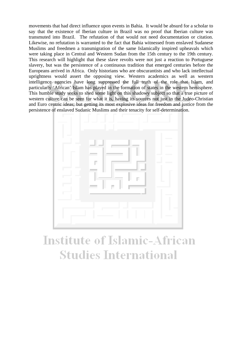movements that had direct influence upon events in Bahia. It would be absurd for a scholar to say that the existence of Iberian culture in Brazil was no proof that Iberian culture was transmuted into Brazil. The refutation of that would not need documentation or citation. Likewise, no refutation is warranted to the fact that Bahia witnessed from enslaved Sudanese Muslims and freedmen a transmigration of the same Islamically inspired upheavals which were taking place in Central and Western Sudan from the 15th century to the 19th century. This research will highlight that these slave revolts were not just a reaction to Portuguese slavery, but was the persistence of a continuous tradition that emerged centuries before the Europeans arrived in Africa. Only historians who are obscurantists and who lack intellectual uprightness would assert the opposing view. Western academics as well as western intelligence agencies have long suppressed the full truth of the role that Islam, and particularly 'African' Islam has played in the formation of states in the western hemisphere. This humble study seeks to shed some light on this shadowy subject so that a true picture of western culture can be seen for what it is, having its sources not just in the Judeo-Christian and Euro centric ideas; but getting its most explosive ideas for freedom and justice from the persistence of enslaved Sudanic Muslims and their tenacity for self-determination.



# **Institute of Islamic-African Studies International**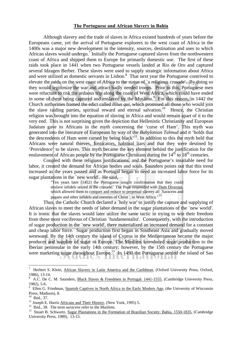#### **The Portuguese and African Slavery in Bahia**

 Although slavery and the trade of slaves in Africa existed hundreds of years before the Europeans came, yet the arrival of Portuguese explorers to the west coast of Africa in the 1400s was a major new development in the intensity, sources, destination and uses to which African slaves would undergo.<sup>7</sup> Initially the Portuguese captured slaves from the northwestern coast of Africa and shipped them to Europe for primarily domestic use. The first of these raids took place in 1441 when two Portuguese vessels landed at Rio de Oro and captured several Idzagen Berber. These slaves were used to supply strategic information about Africa and were utilized as domestic servants in Lisbon.<sup>8</sup> That next year the Portuguese contrived to elevate the raids on the west coast of Africa to the status of `a religious crusade'. By doing so they would legitimize the war and attract badly needed troops. Prior to this, Portuguese men were reluctant to risk the arduous trip along the coast of West Africa, which could have ended in some of them being captured and enslaved by the Muslims.<sup>9</sup> For this reason, in 1442 the Church authorities framed the edict called *Illius qui*, which promised all those who would join the slave raiding parties, spiritual reward and eternal salvation.<sup>10</sup> Hence, the Christian religion was brought into the equation of slaving in Africa and would remain apart of it to the very end. This is not surprising given the depiction that Hellenistic Christianity and European Judaism gave to Africans in the myth concerning the 'curse of Ham'. This myth was generated into the literature of Europeans by way of the *Babylonian Talmud* and it 'holds that the descendents of Ham were cursed by being black<sup> $,11$ </sup>. In addition to this the myth held that Africans were natural thieves, fornicators, habitual liars and that they were destined by 'Providence' to be slaves. This myth became the key element behind the justification for the enslavement of African people by the Portuguese Christians during the  $14<sup>th</sup>$  to  $18<sup>th</sup>$  centuries.

 Coupled with these religious justifications, and the Portuguese's insatiable need for labor, it created the demand for African bodies and souls. Saunders points out that this trend increased as the years passed and as Portugal began to need an increased labor force for its sugar plantations in the `new world'. He said,

"Ten years later [1452] the Portuguese sought confirmation that they could enslave infidels seized in the crusade. The Pope responded with Dum Diversus, which allowed them to conquer and reduce to perpetual slavery all `Saracens and pagans and other infidels and enemies of Christ ', in West Africa."12

Thus, the Catholic Church declared a `holy war' to justify the capture and supplying of African slaves to meet the needs of labor demand in the sugar plantations of the `new world'. It is ironic that the slaves would later utilize the same tactic in trying to win their freedom from these most vociferous of Christian `fundamentalist'. Consequently, with the introduction of sugar production in the `new world', there materialized an increased demand for a constant and cheap labor force. Sugar production first began in Southeast Asia and gradually moved westward. By the 14th century the island of Cyprus in the Mediterranean became the major producer and supplier of sugar to Europe. The Muslims introduced sugar production to the Iberian peninsular in the early 14th century; however, by the 15th century the Portuguese were marketing sugar throughout Europe.<sup>13</sup> In 1490 the Portuguese settled the island of Sao

<u>.</u>

<sup>7</sup> Herbert S. Klein, African Slavery in Latin America and the Caribbean, (Oxford University Press, Oxford, 1986), 13-14.

<sup>8</sup> A.C. De C. M. Saunders, Black Slaves & Freedmen in Portugal: 1441-1555, (Cambridge University Press, 1982), 5-6.

<sup>&</sup>lt;sup>9</sup> Ellen G. Friedman, Spanish Captives in North Africa in the Early Modern Age, (the University of Wisconsin Press, Madison), 8.

<sup>&</sup>lt;sup>10</sup> Ibid., 37.<br><sup>11</sup> Joseph E. Harris Africans and Their History, (New York, 1995) 5.

<sup>&</sup>lt;sup>12</sup> Ibid., 38. The term *saracens* refer to the Muslims.<br><sup>13</sup> Stuart B. Schwartz, Sugar Plantations in the Formation of Brazilian Society: Bahia, 1550-1835, (Cambridge University Press, 1989), 13-15.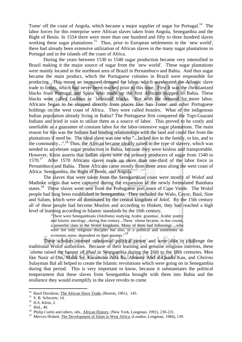Tome' off the coast of Angola, which became a major supplier of sugar for Portugal.<sup>14</sup> The labor forces for this enterprise were African slaves taken from Angola, Senegambia and the Bight of Benin. In 1554 there were more than one hundred and fifty to three hundred slaves working these sugar plantations.<sup>15</sup> Thus, prior to European settlements in the `new world', there had already been extensive utilization of African slaves in the many sugar plantations in Portugal and in the islands off the coast of Africa.

 During the years between 1530 to 1540 sugar production became very intensified in Brazil making it the major source of sugar from the 'new world'. These sugar plantations were mainly located in the northeast area of Brazil in Pernambuco and Bahia. And thus sugar became the main product, which the Portuguese colonies in Brazil were responsible for producing. This meant an increased demand for labor, which accelerated the Atlantic slave trade to limits, which had never been reached prior to this time. First it was the christianized blacks from Portugal and Spain who made up the first Africans shipped to Bahia. These blacks were called *Ladinos* or `latinized' blacks. But with the demand for more labor, Africans began to be shipped directly from places like Sao Tome' and other Portuguese holdings on the west coast of Africa. They were called *bozales*. What of the indigenous Indian population already living in Bahia? The Portuguese first conquered the Tupi-Guarani Indians and tried in vain to utilize them as a source of labor. This proved to be costly and unreliable as a guarantee of constant labor for the labor-intensive sugar plantations. The main reason for this was the Indians had binding relationships with the land and could flee from the plantations if need be. The ideal slave was one who "...lacked ties to the family, to kin, and to the community...".<sup>16</sup> Thus, the African became ideally suited to the type of slavery, which was needed to accelerate sugar production in Bahia, because they were kinless and transportable. However, Klein asserts that Indian slaves were the primary producers of sugar from 1540 to 1570.<sup>17</sup> After 1570 Africans slaves made up more than one-third of the labor force in Pernambuco and Bahia. These Africans came mostly from three areas along the west coast of Africa: Senegambia, the Bight of Benin, and Angola.

 The slaves that were taken from the Senegambian coast were mostly of Wolof and Madinke origin that were captured during the expansion of the newly formulated Bambara states.<sup>18</sup> These slaves were sent from the Portuguese port town of Cape Verde. The Wolof people had long been established in Senegambia. They included the Walo, Cayor, Baol, Sine and Salum, which were all dominated by the central kingdom of Jolof. By the 15th century all of these people had become Muslim and according to Hiskett, they had reached a high level of learning according to Islamic standards by the 16th century.

"There were Senegambians (Jolofians) studying Arabic grammar, Arabic poetry and Islamic astrology...during that century...These *`ulama* became, in due course, a powerful class in the Wolof kingdoms. Many of them had followings ...who were not only religious disciples but also, in a political and sometimes an economic sense, dependent on their masters."19

 These scholars exerted substantial political power and were able to challenge the traditional Wolof authorities. Because of their learning and genuine religious interests, these *`ulama* raised the banner of *jihad* in Senegambia during the 16th to the 18th centuries. Men like Nasir al-Din, Malik Sy, Karamoko Alfa Ba, *Almamy* Abd al-Qaadir Kan, and *Cheirno* Sulayman Bal all helped to create the Islamic revolutions which were going on in Senegambia during that period. This is very important to know, because it substantiates the political temperament that these slaves from Senegambia brought with them into Bahia and the resilience they would exemplify in the slave revolts to come.

<sup>1</sup> <sup>14</sup> Basil Davidson, <u>The African Slave Trade</u>, (Boston, 1961), 145.<br><sup>15</sup> S. B. Schwartz, 14.

<sup>&</sup>lt;sup>16</sup> H.S. Klein, 2.

<sup>17</sup> Ibid., 40.

<sup>&</sup>lt;sup>18</sup> Philip Curtin and others, eds., African History, (New York, Longman, 1991), 230-231.

<sup>&</sup>lt;sup>19</sup> Mervyn Hiskett, The Development of Islam in West Africa, (London, Longman, 1984), 139.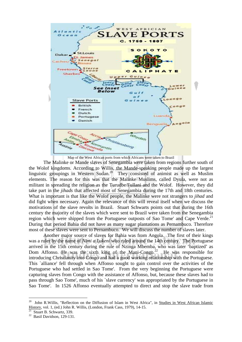

Map of the West African ports from which Africans were taken to Brazil

The Malinke or Mande slaves of Senegambia were taken from regions further south of the Wolof kingdoms. According to Willis, the Mande-speaking people made up the largest linguistic groupings in Western Sudan.20 They consisted of animist as well as Muslim elements. The reason for this was that the Malinke Muslims, called Dyula, were not as militant in spreading the religion as the Turudbe/Fullani and the Wolof. However, they did take part in the *jihads* that affected most of Senegambia during the 17th and 18th centuries. What is important is that like the Wolof people, the Malinke were not strangers to *jihad* and did fight when necessary. Again the relevance of this will reveal itself when we discuss the motivations of the slave revolts in Brazil. Stuart Schwarts points out that during the 16th century the majority of the slaves which were sent to Brazil were taken from the Senegambia region which were shipped from the Portuguese outposts of Sao Tome' and Cape Verde.<sup>21</sup> During that period Bahia did not have as many sugar plantations as Pernambuco. Therefore most of these slaves were sent to Pernambuco. We will discuss the number of slaves later.

 Another major source of slaves for Bahia was from Angola. The first of their kings was a ruler by the name of *Nimi a Lukeni* who ruled around the 14th century. The Portuguese arrived in the 15th century during the rule of Nzinga Mbemba, who was later 'baptized' as  $\sum_{i=1}^{\infty}$  Dom Affonso. He was the sixth king of the Mani-Congo.<sup>22</sup> He was responsible for introducing Christianity into Congo and had a good working relationship with the Portuguese. This `alliance' fell through when Affonso sought to gain control over the activities of the Portuguese who had settled in Sao Tome'. From the very beginning the Portuguese were capturing slaves from Congo with the assistance of Affonso, but, because these slaves had to pass through Sao Tome', much of his `slave currency' was appropriated by the Portuguese in Sao Tome'. In 1526 Affonso eventually attempted to direct and stop the slave trade from

<sup>20</sup> John R.Willis, "Reflection on the Diffusion of Islam in West Africa", in Studies in West African Islamic History, vol. 1, (ed.) John R. Willis, (London, Frank Cass, 1979), 14-15.<br><sup>21</sup> Stuart B. Schwartz, 339.

<sup>&</sup>lt;sup>22</sup> Basil Davidson, 129-131.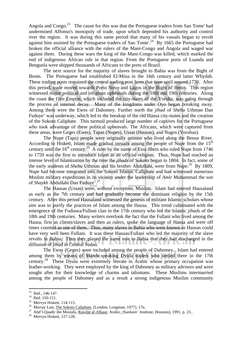Angola and Congo.<sup>23</sup> The cause for this was that the Portuguese traders from Sao Tome' had undermined Affonso's monopoly of trade, upon which depended his authority and control over the region. It was during this same period that many of his vassals began to revolt against him assisted by the Portuguese traders of Sao Tome'.<sup>24</sup> By 1665 the Portuguese had broken the official alliance with the rulers of the Mani-Congo and Angola and waged war against them. During these wars the king of the Mani-Congo was killed, which marked the end of indigenous African rule in that region. From the Portuguese ports of Luanda and Benguela were shipped thousands of Africans to the ports of Brazil.

 The next source for the majority of slaves brought to Bahia was from the Bight of Benin. The Portuguese had established El-Mina in the 16th century and latter Whydah. These trading posts remained the central trading post from that time until around 1770. After this period, trade moved towards Porto Novo and Lagos in the Bight of Benin. This region witnessed major political and religious upheavals during the 18th and 19th centuries. Along the coast the Oyo Empire, which included the city-states of the Yoruba, was going through the process of internal decay. Many of the kingdoms under Oyo began breaking away. Among them were the Ewes of Dahomey. Further north the *jihad* of *Shehu* Uthman Dan Fuduye' was underway, which led to the breakup of the old Hausa city-states and the creation of the Sokoto Caliphate. This turmoil produced large number of captives for the Portuguese who took advantage of these political upheavals. The Africans, which were captured from these areas, were Geges (Ewes), Tapas (Nupes), Ussas (Hausas), and Nagos (Yorubas).

 The Nupe (Tapa) people were originally animist who lived along the Benue River. According to Hiskett, Islam made gradual inroads among the people of Nupe from the  $15<sup>th</sup>$ century until the  $16<sup>th</sup>$  century.<sup>25</sup> A ruler by the name of Etsu Jibrin who ruled Nupe from 1746 to 1759 was the first to introduce Islam as an official religion. Thus, Nupe had reached an intense level of Islamization by the time the *jihads* of Sokoto began in 1804. In fact, some of the early students of *Shehu* Uthman and his brother Abdullahi, were from Nupe.<sup>26</sup> By 1809, Nupe had become integrated into the Sokoto Islamic Caliphate and had witnessed numerous Muslim military expeditions in its vicinity under the leadership of *Amir* Muhammad the son of *Shaykh* Abdullahi Dan Fuduye'.27

 The Hausas (Ussas) were, without exception, Muslim. Islam had entered Hausaland as early as the 7th century and had gradually become the dominant religion by the 15th century. After this period Hausaland witnessed the genesis of militant Islamic scholars whose aim was to purify the practices of Islam among the Hausa. This trend culminated with the emergence of the Fodiawa/Fullani clan in the 17th century who led the Islamic *jihads* of the 18th and 19th centuries. Many writers overlook the fact that the Fullani who lived among the Hausa, first as clients/slaves and then as rulers, spoke the language of Hausa and were off times counted as one of them. Thus, many slaves in Bahia who were known as Hausas could have very well been Fullani. It was these Hausas/Fullani who led the majority of the slave revolts in Bahia. Thus they played the same role in Bahia that they had discharged in the DELGI diffusion of *jihad* in Central Sudan.

 The Ewes (Geges) were included among the people of Dahomey. Islam had entered among them by means of Mande-speaking Dyula traders who settled there in the 17th century.28 These Dyula were extremely literate in Arabic whose primary occupation was leather-working. They were employed by the king of Dahomey as military advisors and were sought after for their knowledge of charms and talismans. These Muslims intermarried among the people of Dahomey and as a result a strong indigenous Muslim community

<sup>1</sup>  $23$  Ibid., 146-147.

<sup>24</sup> Ibid. 150-151.

<sup>&</sup>lt;sup>25</sup> Mervyn Hiskett, 114-115.<br><sup>26</sup> Murray Last, <u>The Sokoto Caliphate</u>, (London, Longman, 1977), 17n.

<sup>&</sup>lt;sup>27</sup> Abd'l-Qaadir ibn Mustafa, Rawdat al-Afkaar, Arabic, (Sankore` Institute, Houston), 1991, p. 23.. 28 Mervyn Hiskett, 127-128.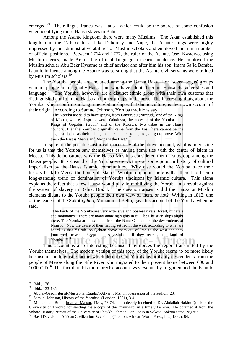emerged.<sup>29</sup> Their lingua franca was Hausa, which could be the source of some confusion when identifying those Hausa slaves in Bahia.

 Among the Asante kingdom there were many Muslims. The Akan established this kingdom in the 17th century. Like Dahomey and Nupe, the Asante kings were highly impressed by the administrative abilities of Muslim scholars and employed them in a number of official positions. Between 1764 and 1777, the ruler of the Asante, Osei Kwadwo, using Muslim clerics, made Arabic the official language for correspondence. He employed the Muslim scholar Abu Bakr Kyeame as chief advisor and after him his son, Imam Sa`id Bamba. Islamic influence among the Asante was so strong that the Asante civil servants were trained by Muslim scholars.<sup>30</sup>

 The Yoruba people are included among the Banza Bakwai or `seven bogus' groups who are people not originally Hausa, but who have adopted certain Hausa characteristics and language.<sup>31</sup> The Yoruba, however, are a distinct ethnic group with their own customs that distinguish them from the Hausa and other groups in the area. The interesting thing about the Yoruba, which confirms a long time relationship with Islamic culture, is their own account of their origin. According to Samuel Johnson, Yoruba traditions say,

> "The Yoruba are said to have sprung from Lamurudu (Nimrud), one of the Kings of Mecca, whose offspring were: Oduduwa, the ancestor of the Yorubas, the Kings of Gogobiri (Gobir) and of the Kukawa, two tribes in the Hausa country...That the Yorubas originally came from the East there cannot be the slightest doubt, as their habits, manners and customs, etc., all go to prove. With them the East is Mecca and Mecca is the East. $\frac{32}{5}$

 In spite of the possible historical inaccuracy of the above account, what is interesting for us is that the Yoruba saw themselves as having some ties with the center of Islam in Mecca. This demonstrates why the Hausa Muslims considered them a subgroup among the Hausa people. It is clear that the Yoruba were victims at some point in history of cultural imperialism by the Hausa Islamic communities. Why else would the Yoruba trace their history back to Mecca the home of Islam? What is important here is that there had been a long-standing trend of domination of Yoruba traditions by Islamic culture. This alone explains the effect that a few Hausa would play in mobilizing the Yoruba in a revolt against the system of slavery in Bahia, Brazil. The question arises is did the Hausa or Muslim elements dictate to the Yoruba people their own view of them, or not? Writing in 1812, one of the leaders of the Sokoto *jihad*, Muhammad Bello, gave his account of the Yoruba when he said,

> "The lands of the Yoruba are very extensive and possess rivers, forest, minerals and mountains. There are many amazing sights in it. The Christian ships alight there. The Yoruba are descended from the Banu Canaan and the descendents of Nimrud. Now the cause of their having settled in the west, according to what we heard, is that Ya`rub ibn Qahtan drove them out of Iraq to the west and they journeyed between Egypt and Abyssinia until they reached the land of Yoruba..."<sup>33</sup>

 This account is also interesting because it reinforces the report transmitted by the Yoruba themselves. The modern version of this story of the Yoruba seems to be more likely because of the linguistic factor, which describe the Yoruba as probably descendents from the people of Meroe along the Nile River who migrated to their present home between 600 and  $1000$  C.D.<sup>34</sup> The fact that this more precise account was eventually forgotten and the Islamic

<sup>29</sup> Ibid., 128.

 $\frac{30}{31}$  Ibid., 133-135.<br><sup>31</sup> Abd al-Qaadir ibn al-Mustapha, <u>Raudat'l-Afkar</u>, TMs., in possession of the author, 23.

<sup>&</sup>lt;sup>32</sup> Samuel Johnson, History of the Yorubas, (London, 1921), 3-4.<br><sup>33</sup> Muhammad Bello, *Infaq al-Maisur*, TMs., 73-74. I am deeply indebted to Dr. Abdallah Hakim Quick of the University of Toronto for sending me a copy of this manusript in a timely fashion. He obtained it from the Sokoto History Bureau of the University of Shaykh Uthman Dan Fodio in Sokoto, Sokoto State, Nigeria.

<sup>&</sup>lt;sup>34</sup> Basil Davidson, African Civilization Revisited, (Trenton, African World Press, Inc., 1982), 84.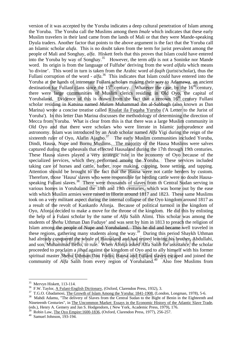version of it was accepted by the Yoruba indicates a deep cultural penetration of Islam among the Yoruba. The Yoruba call the Muslims among them *Imale* which indicates that these early Muslim travelers in their land came from the lands of Mali or that they were Mande-speaking Dyula traders. Another factor that points to the above argument is the fact that the Yoruba call an Islamic scholar *alufa*. This is no doubt taken from the term for jurist prevalent among the people of Mali and Songhay, *alfa*. Hiskett feels that this proves that Islam could have entered into the Yoruba by way of Songhay.35 However, the term *alfa* is not a Soninke nor Mande word. Its origin is from the language of Fulfube' deriving from the word *alfalu* which means 'to divine'. This word in turn is taken from the Arabic word *al-faqih* (jurist/scholar), thus the Fullani corruption of the word - *alfa*.<sup>36</sup> This indicates that Islam could have entered into the Yoruba at the hands of intenerate Fullani scholars making their way to Adamawa, an ancient destination for Fullani clans since the  $15<sup>th</sup>$  century. Whatever the case, by the  $16<sup>th</sup>$  century, there were large communities of Muslim clerics residing in Old Oyo, the capital of Yorubaland. Evidence of this is drawn from the fact that a renown  $16<sup>th</sup>$  century Fullani scholar residing in Katsina named *Malam* Muhammad ibn al-Sabbagh (also known as Dan Marina) wrote a concise treatise called Risalat ila Fuqaha Yuruba ('A Letter to the Jurist of Yoruba'). In this letter Dan Marina discusses the methodology of determining the direction of Mecca from Yoruba. What is clear from this is that there was a large Muslim community in Old Oyo and that there were scholars who were literate in Islamic jurisprudence and astronomy. Islam was introduced by an Arab scholar named *Alfa* Yigi during the reign of the sixteenth ruler of Oyo, Alafin Ajagbo.<sup>37</sup> The early Muslim communities included Yoruba, Dindi, Hausa, Nupe and Bornu Muslims. The majority of the Hausa Muslims were salves captured during the upheavals that effected Hausaland during the 17th through 19th centuries. These Hausa slaves played a very strategic role in the economy of Oyo because of the specialized services, which they performed among the Yoruba. These services included taking care of horses and cattle, barber, rope making, cupping, bone setting, and tapping. Attention should be brought to the fact that the Hausa were not cattle herders by custom. Therefore, those `Hausa' slaves who were responsible for herding cattle were no doubt Hausaspeaking Fullani slaves.<sup>38</sup> There were thousands of slaves from th Central Sudan serving in various homes in Yorubaland the 18th and 19th centuries, which was borne out by the ease with which Muslim armies were raised in Illorin around 1817 and 1823. These same Muslims took on a very militant aspect during the internal collapse of the Oyo kingdom around 1817 as a result of the revolt of Kankanfo Afonja. Because of political turmoil in the kingdom of Oyo, Afonja decided to make a move for the throne of the kingdom. He did this by enlisting the help of a Fulani scholar by the name of *Alfa* Salih Alimi. This scholar was among the students of *Shehu* Uthman Dan Fuduye' and was sent by him in 1813 to preach the religion of Islam among the people of Nupe and Yorubaland. This he did and became well traveled in these regions, gathering many students along the way.39 During this period Shaykh Uthman had already conquered the whole of Hausaland and had retired leaving his brother, Abdullahi, and son, Muhammad Bello, to rule. When Afonja asked Alfa Salih for assistance, the scholar proceeded to proclaim a *jihad* against the kingdom of Oyo and to ally himself with his former spiritual master *Shehu* Uthman Dan Fodio. Hausa and Fullani slaves escaped and joined the community of *Alfa* Salih from every region of Yorubaland.<sup>40</sup> Also free Muslims from

<sup>&</sup>lt;sup>35</sup> Mervyn Hiskett, 113-114.<br><sup>36</sup> F.W. Taylor, A Fulani-English Dictionary, (Oxford, Clarendon Press, 1932), 3.

<sup>&</sup>lt;sup>37</sup> T.G.O. Gbadamosi, The Growth of Islam Among the Yoruba: 1841-1908, (London, Longman, 1978), 5-6.<br><sup>38</sup> Mahdi Adamu, "The delivery of Slaves from the Central Sudan to the Bight of Benin in the Eighteenth and Nineteenth Centuries", in The Uncommon Market: Essays in the Economic History of the Atlantic Slave Trade, (eds.), Henry A. Gemery and Jan S. Hodgendorn, ( New York, Academic Press, 1979), 176.

 $39$  Robin Law, The Oyo Empire:1600-1836, (Oxford, Clarendon Press, 1977), 256-257.<br>
40 Samuel Johnson, 193-194.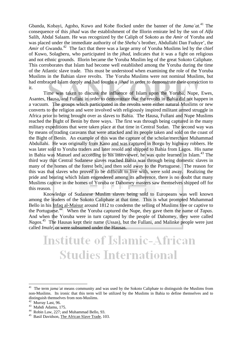Gbanda, Kobayi, Agoho, Kuwo and Kobe flocked under the banner of the *Jama`at*. 41 The consequence of this *jihad* was the establishment of the Illorin emirate led by the son of *Alfa* Salih, Abdal Salaam. He was recognized by the Caliph of Sokoto as the *Amir* of Yoruba and was placed under the immediate authority of the *Shehu*'s brother, Abdullahi Dan Fuduye', the *Amir* of Gwandu.<sup>42</sup> The fact that there was a large army of Yoruba Muslims led by the chief of Kuwo, Solagberu, who participated in the *jihad*, indicates that it was a fight on religious and not ethnic grounds. Illorin became the Yoruba Muslim leg of the great Sokoto Caliphate. This corroborates that Islam had become well established among the Yoruba during the time of the Atlantic slave trade. This must be understood when examining the role of the Yoruba Muslims in the Bahian slave revolts. The Yoruba Muslims were not nominal Muslims, but had embraced Islam deeply and had fought a *jihad* in order to demonstrate their conviction to it.

 Time was taken to discuss the influence of Islam upon the Yoruba, Nupe, Ewes, Asantes, Hausa, and Fullani in order to demonstrate that the revolts in Bahia did not happen in a vacuum. The groups which participated in the revolts were either natural Muslims or new converts to the religion and were involved with religiously inspired militant armed struggle in Africa prior to being brought over as slaves to Bahia. The Hausa, Fullani and Nupe Muslims reached the Bight of Benin by three ways. The first was through being captured in the many military expeditions that were taken place at that time in Central Sudan. The second way was by means of trading caravans that were attacked and its people taken and sold on the coast of the Bight of Benin. An example of this was the capture of the scholar/merchant Muhammad Abdullahi. He was originally from Kano and was captured in Borgu by highway robbers. He was later sold to Yoruba traders and later resold and shipped to Bahia from Lagos. His name in Bahia was Manuel and according to his interviewer, he was quite learned in Islam.<sup>43</sup> The third way that Central Sudanese slaves reached Bahia was through being domestic slaves in many of the homes of the forest belt, and then sold away to the Portuguese. The reason for this was that slaves who proved to be difficult to live with, were sold away. Realizing the pride and bearing which Islam engendered among its adherence, there is no doubt that many Muslims captive in the homes of Yoruba or Dahomey masters saw themselves shipped off for this reason.

 Knowledge of Sudanese Muslim slaves being sold to Europeans was well known among the leaders of the Sokoto Caliphate at that time. This is what prompted Muhammad Bello in his Infaq al-Maisur around 1812 to condemn the selling of Muslims free or captive to the Portuguese.44 When the Yoruba captured the Nupe, they gave them the name of *Tapas*. And when the Yoruba were in turn captured by the people of Dahomey, they were called *Nagos*. 45 The Hausas kept their name (Ussas), but the Fullani, and Malinke people were just called *Imale*, or were subsumed under the Hausas.

# **Institute of Islamic-African Studies International**

<sup>&</sup>lt;sup>41</sup> The term *jama* `*at* means community and was used by the Sokoto Caliphate to distinguish the Muslims from non-Muslims. Its ironic that this term will be utilized by the Muslims in Bahia to define themselves and to distinguish themselves from non-Muslims.

<sup>42</sup> Murray Last, 96.

 $^{43}$  Mahdi Adamu, 175.

<sup>&</sup>lt;sup>44</sup> Robin Law, 227; and Muhammad Bello, 93.

<sup>&</sup>lt;sup>45</sup> Basil Davidson, The African Slave Trade, 103.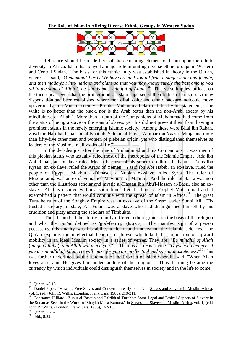

 Reference should be made here of the cementing element of Islam upon the ethnic diversity in Africa. Islam has played a major role in uniting diverse ethnic groups in Western and Central Sudan. The basis for this ethnic unity was established in theory in the Qur'an, where it is said, "*O mankind! Verily We have created you all from a single male and female, and then made you into nations and clans so that you may know; surely the best among you all in the sight of Allah is he who is most mindful of Allah*."46 This verse implies, at least on the theoretical level, that the brotherhood of Islam superseded the old ties of kinship. A new dispensation had been established where men of all color and ethnic background could move up vertically in a Muslim society. Prophet Muhammad clarified this by his statement, "The white is no better than the black, nor is the Arab better than the non-Arab, except by his mindfulness of Allah." More than a tenth of the Companions of Muhammad had come from the status of being a slave or the sons of slaves, yet this did not prevent them from having a prominent status in the newly emerging Islamic society. Among these were Bilal ibn Rabah, Zayd ibn Haritha, Umar ibn al-Khattab, Salman al-Farsi, `Ammar ibn Yaasir, Mihja and more than fifty-five other men and women of plebeian origin, yet who distinguished themselves as leaders of the Muslims in all walks of life.<sup>47</sup>

 In the decades just after the time of Muhammad and his Companions, it was men of this plebian status who actually ruled most of the metropoles of the Islamic Empire. Ada ibn Abi Rabah, an ex-slave ruled Mecca because of his superb erudition in Islam. Ta`us ibn Kysan, an ex-slave, ruled the Arabs of Yemen. Yazid ibn Abi Habib, an ex-slave, ruled the people of Egypt. Makhut al-Dimasqi, a Nubian ex-slave, ruled Syria. The ruler of Mesopotamia was an ex-slave named Maymun ibn Mahran. And the ruler of Basra was non other than the illustrious scholar and mystic al-Hassan ibn Abu'l-Hassan al-Basri, also an exslave. All this occured within a short time after the time of Prophet Muhammad and it exemplified a pattern that would continue with the spread of Islam in Africa.<sup>48</sup> The great Turudbe ruler of the Songhay Empire was an ex-slave of the Sosso leader Sonni Ali. His trusted secretary of state, Ali Fulani was a slave who had distinguished himself by his erudition and piety among the scholars of Timbuktu.

 Thus, Islam had the ability to unify different ethnic groups on the basis of the religion and what the Qur'an defined as 'god-fearing' (t*aqwa*). The manifest sign of a person possessing this quality was his ability to learn and understand the Islamic sciences. The Qur'an explains the intellectual benefits of t*aqwa* which laid the foundation of upward mobility in an ideal Muslim society in a series of verses. They are: "*Be mindful of Allah*  (*ataquu allaha*), *and Allah will teach you*."49 There is also His saying: "*O you who believe*! *If you are mindful of Allah, He will make for you an intellectual and spiritual astuteness*."50 This was further underlined by the statement of the Prophet of Islam when he said, "When Allah loves a servant, He gives him understanding of the religion". Thus, learning became the currency by which individuals could distinguish themselves in society and in the life to come.

<sup>46</sup> Qur'an, 49:13.

<sup>47</sup> Daniel Pipes, "Mawlas: Free Slaves and Converts in early Islam", in Slaves and Slavery in Muslim Africa, vol. 1, (ed.) John R. Willis, (London, Frank Cass, 1985), 210-211.<br><sup>48</sup> Constance Hilliard, "Zuhur al-Basatin and Ta`rikh al-Turubbe: Some Legal and Ethical Aspects of Slavery in

the Sudan as Seen in the Works of Shaykh Musa Kamara," in Slaves and Slavery in Muslim Africa, vol. 1, (ed.) John R. Willis, (London, Frank Cass, 1985), 167-168.

<sup>49</sup> Qur'an, 2:282.

<sup>50</sup> Ibid., 8:29.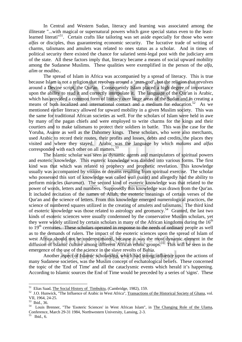In Central and Western Sudan, literacy and learning was associated among the illiterate "...with magical or supernatural powers which gave special status even to the leastlearned literati<sup>"51</sup>. Certain crafts like tailoring was set aside especially for those who were *alfas* or disciples, thus guaranteeing economic security. The lucrative trade of writing of charms, talismans and amulets was related to ones status as a scholar. And in times of political security there existed the chance for salaried semi-legal post with the judiciary arm of the state. All these factors imply that, literacy became a means of social upward mobility among the Sudanese Muslims. These qualities were exemplified in the person of the *alfa*, *alim* or *modibo*..

 The spread of Islam in Africa was accompanied by a spread of literacy. This is true because Islam is not a religion that revolves around a 'man-god', but the religion that revolves around a Devine script, the Qur'an. Consequently Islam placed a high degree of importance upon the ability to read it and correctly interpolate it. The language of the Qur'an is Arabic, which has provided a common form of literacy over large areas of the Sudan and in creating a means of both localized and international contact and a medium for education.<sup>52</sup> As we mentioned earlier literacy allowed for upward mobility in a given Muslim society. This was the same for traditional African societies as well. For the scholars of Islam were held in awe by many of the pagan chiefs and were employed to write charms for the kings and their courtiers and to make talismans to protect their soldiers in battle. This was the case for the Yoruba, Asante as well as the Dahomey kings. These scholars, who were also merchants, used Arabic to record their routes, their profits and losses, debts and credits, the places they visited and where they stayed. Arabic was the language by which *malams* and *alfas* corresponded with each other on all matters.<sup>53</sup>

 The Islamic scholar was seen as dynamic agents and manipulators of spiritual powers and esoteric knowledge. This esoteric knowledge was divided into various forms. The first kind was that which was related to prophecy and prophetic revelation. This knowledge usually was accompanied by visions or dreams resulting from spiritual exercise. The scholar who possessed this sort of knowledge was called *wali* (saint) and allegedly had the ability to perform miracles (*karamat*). The second kind of esoteric knowledge was that related to the power of words, letters and numbers. Supposedly this knowledge was drawn from the Qur'an. It included recitation of the names of Allah, the esoteric meanings of certain verses of the Qur'an and the science of letters. From this knowledge emerged numerological practices, the science of numbered squares utilized in the creating of amulets and talismans. The third kind of esoteric knowledge was those related to astrology and geomancy.54 Granted, the last two kinds of esoteric sciences were usually condemned by the conservative Muslim scholars, yet they were widely utilized by certain scholars in many of the African kingdoms during the  $16<sup>th</sup>$ to  $19<sup>th</sup>$  centuries. These scholars operated in response to the needs of ordinary people as well as to the demands of rulers. The impact of the esoteric sciences upon the spread of Islam of west Africa should not be underestimated, because it was the most dynamic element in the diffusion of Islamic culture among different African ethnic groups.<sup>55</sup> This will be seen in the emergence of the use of the science in the slave revolts of Bahia.

 Another aspect of Islamic scholarship, which had strong influence upon the actions of many Sudanese societies, was the Muslim concept of eschatological beliefs. These concerned the topic of the 'End of Time' and all the cataclysmic events which herald it's happening. According to Islamic sources the End of Time would be preceded by a series of 'signs'. These

<sup>&</sup>lt;sup>51</sup> Elias Saad, <u>The Social History of Timbuktu</u>, (Cambridge, 1982), 159.<br><sup>52</sup> J.O. Hunwick, "The Influence of Arabic in West Africa", Transactions of the Historical Society of Ghana, vol. VII, 1964, 24-25.

<sup>53</sup> Ibid., 36.

<sup>54</sup> Louis Brenner, "The 'Esoteric Sciences' in West African Islam", in <u>The Changing Role of the Ulama</u>, Conference, March 29-31 1984, Northwestern University, Lansing, 2-3.

Ibid., 6.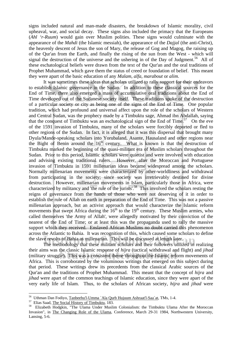signs included natural and man-made disasters, the breakdown of Islamic morality, civil upheaval, war, and social decay. These signs also included the primacy that the Europeans (*Ahl 'r-Ruum*) would gain over Muslim polities. These signs would culminate with the appearance of the *Mahdi* (the Islamic messiah), the appearance of the *Dajjal* (the anti-Christ), the heavenly descent of Jesus the son of Mary, the release of Gog and Magog, the raising up of the Qur'an from the Earth, and finally the rising of the sun from the West - which will signal the destruction of the universe and the ushering in of the Day of Judgment.<sup>56</sup> All of these eschatological beliefs were drawn from the text of the Qur'an and the oral traditions of Prophet Muhammad, which gave them the status of creed or foundation of belief. This meant they were apart of the basic education of any *Malam*, *alfa*, *marabout* or *alim*.

It was sometimes these ideas that scholars utilized to rally support for their endeavors to establish Islamic governance in the Sudan. In addition to these classical sources for the End of Time, there also emerged a mass of accumulative oral traditions about the End of Time developed out of the Sudanese society itself. These traditions spoke of the destruction of a particular society or city as being one of the signs of the End of Time. One popular tradition, which had profound and universal affect upon the role of the scholars of Western and Central Sudan, was the prophecy made by a Timbuktu sage, Ahmad ibn Abdallah, saying that the conquest of Timbuktu was an eschatological sign of the End of Time.<sup>57</sup> On the eve of the 1591 invasion of Timbuktu, many of the scholars were forcibly deported or fled to other regions of the Sudan. In fact, it is alleged that it was this dispersal that brought many Dyula/Mande-speaking scholars into Yorubaland, Asante, Hausaland and other regions near the Bight of Benin around the  $16<sup>th</sup>$  century. What is known is that the destruction of Timbuktu marked the beginning of the quasi-militant era of Muslim scholars throughout the Sudan. Prior to this period, Islamic scholars were quietist and were involved with education and advising existing traditional rulers. However, after the Moroccan and Portuguese invasion of Timbuktu in 1591 millenarian ideas became widespread among the scholars. Normally millenarian movements were characterized by other-worldliness and withdrawal from participating in the society; since society was irretrievably destined for divine destruction. However, millenarian movements in Islam, particularly those in Africa, were characterized by militancy and 'the rule of the jurists'.<sup>58</sup> This involved the scholars resting the reigns of governance from the hands of those who were not deserving of it in order to establish the rule of Allah on earth in preparation of the End of Time. This was not a passive millenarian approach, but an activist approach that would characterize the Islamic reform movements that swept Africa during the  $16<sup>th</sup>$  to the 19<sup>th</sup> century. These Muslim armies, who called themselves 'the Army of Allah', were allegedly motivated by their conviction of the nearest of the End of Time; or at least this was the propaganda used to rally the massive support which they received. Enslaved African Muslims no doubt carried this phenomenon across the Atlantic to Bahia. It was recognition of this, which caused some scholars to define the slave revolts of Bahia as millenarian. This will be discussed at length later.

 The methodology that these militant scholars and their followers utilized in realizing their aims was the classic Islamic response of *hijra* (tactical withdrawal and flight) and *jihad* (military struggle). This was a consistent theme throughout the Islamic reform movements of Africa. This is corroborated by the voluminous writings that emerged on this subject during that period. These writings drew its precedents from the classical Arabic sources of the Qur'an and the traditions of Prophet Muhammad. This meant that the concept of *hijra* and *jihad* were apart of the common teachings of Islamic education, since they were apart of the very early life of Islam. Thus, to the scholars of African society, *hijra* and *jihad* were

<sup>&</sup>lt;sup>56</sup> Uthman Dan Fodiyo, <u>Tanbeehu'l-Umma `Ala Qurb Hujuum Ashraat'l-Saa`at</u>, TMs, 1-4.<br><sup>57</sup> Elias Saad, <u>The Social History of Timbuktu</u>, 183.<br><sup>58</sup> Elizabeth Hodgkin, "The Ulama Under Muslim Colonialism: the Timbuktu Ulama Invasion", in The Changing Role of the Ulama, Conference, March 29-31 1984, Northwestern University, Lansing, 5-6.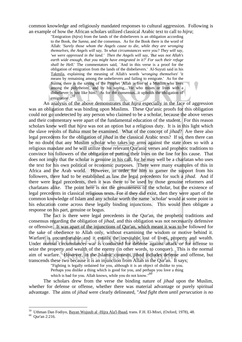common knowledge and religiously mandated responses to cultural aggression. Following is an example of how the African scholars utilized classical Arabic text to call to *hijra*;

> "Emigration (*hijra*) from the lands of the disbelievers is an obligation according to the Book, the *Sunna*, and the consensus. As for the Book there is the word of Allah: '*Surely those whom the Angels cause to die, while they are wronging themselves, the Angels will say, 'In what circumstances were you? They will say, 'we were oppressed in the land.' Then the Angels will say, 'But was not Allah's earth wide enough, that you might have emigrated in it?' For such their refuge shall be Hell.*' The commentators said, `And in this verse is a proof for the obligation of emigration from the lands of the disbelievers.' Al-Suyuti said in his Takmila, explaining the meaning of Allah's words '*wronging themselves*' 'it means by remaining among the unbelievers and failing to emigrate.' As for the Sunna, there is the saying of the Prophet 'Allah is free of a Muslim who lives among the polytheists', and by his saying,...'He who mixes or lives with a disbeliever is just like him.' As for the consensus...it upholds the obligation of emigration'."<sup>59</sup>

 An analysis of the above demonstrates that *hijra* especially in the face of aggression was an obligation that was binding upon Muslims. These Qur'anic proofs for this obligation could not go undetected by any person who claimed to be a scholar, because the above verses and their commentary were apart of the fundamental education of the student. For this reason scholars knew well that *hijra* was not an option but a religious duty. It is in this light which the slave revolts of Bahia must be examined. What of the concept of *jihad*? Are there also legal precedents for the obligation of *jihad* in the classical Arabic texts? If so, then there can be no doubt that any Muslim scholar who takes up arms against the state does so with a religious mandate and he will utilize those relevant Qur'anic verses and prophetic traditions to convince his followers of the obligation of putting their lives on the line for his cause. That does not imply that the scholar is genuine in his call, for he may well be a charlatan who uses the text for his own political or economic purposes. There were many examples of this in Africa and the Arab world. However, in order for him to garner the support from his followers, there had to be established as law the legal precedents for such a *jihad*. And if there were legal precedents, then it was there to be used by those genuine reformers and charlatans alike. The point here is not the genuineness of the scholar, but the existence of legal precedents in classical religious texts. For if they did exist, then they were apart of the common knowledge of Islam and any scholar worth the name `scholar' would at some point in his education come across these legally binding injunctions. This would then obligate a response on his part, genuine or bogus.

 The fact is there were legal precedents in the Qur'an, the prophetic traditions and consensus regarding the obligation of *jihad*, and this obligation was not necessarily defensive or offensive. It was apart of the injunctions of Qur'an, which meant it was to be followed for the sake of obedience to Allah only, without examining the wisdom or motive behind it. Warfare is uncomfortable and it entails the inevitable lost of lives, property and wealth. Under normal circumstances war is conducted for defense against attack or for offense to seize the property and wealth of the enemy (in other words, to conquer). This is the normal aim of warfare. However, in the Islamic contexts, *jihad* includes defense and offense, but transcends these two because it is an injunction from Allah in the Qur'an. It says;

"Fighting is legally ordained for you, although it is an object of dislike to you.

Perhaps you dislike a thing which is good for you, and perhaps you love a thing

which is bad for you. Allah knows, while you do not know."<sup>60</sup>

 The scholars drew from the verse the binding nature of *jihad* upon the Muslim, whether for defense or offense, whether there was material advantage or purely spiritual advantage. The aims of *jihad* were clearly delineated, "*And fight them until persecution is no* 

<sup>&</sup>lt;sup>59</sup> Uthman Dan Fodiyo, <u>Bayan Wujuub al -Hijra Ala'l-Ibaad</u>, trans. F.H. El-Misri, (Oxford, 1978), 48. <sup>60</sup> Our'an 2:216.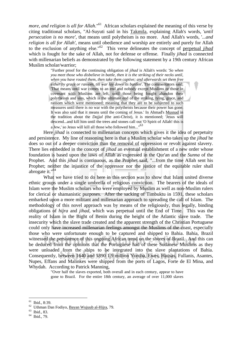*more, and religion is all for Allah*."<sup>61</sup> African scholars explained the meaning of this verse by citing traditional scholars, "Al-Suyuti said in his Takmila, explaining Allah's words, '*until persecution is no more'*, that means until polytheism is no more. And Allah's words, '...*and religion is all for Allah'*, means until obedience and worship are entirely and purely for Allah to the exclusion of anything else."62 This verse delineates the concept of perpetual *jihad* which is fought for the sake of Allah, not for defense or offense. Finally *jihad* is connected with millenarian beliefs as demonstrated by the following statement by a 19th century African Muslim scholar/warrior;

> "Further proof for the continuing obligation of *jihad* is Allah's words: '*So when you meet those who disbelieve in battle, then it is the striking of their necks until, when you have routed them, then take them captive; and afterwards set them free either by grace or ransom, till war lay down its burden*'. The commentators said; 'That means until war comes to an end and nobody except Muslims or those in covenant with Muslims are left, until those being fought abandon their polytheism and sins, which is the ultimate end of the striking, tying, grace, and ransom which were mentioned; meaning that they are to be subjected to such measures until there is no war with the polytheists because their power has gone. It was also said that it means until the coming of Jesus.' In Ahmad's Musnad in the tradition about the *Dajjal (*the anti-Christ), it is mentioned; 'Jesus will descend...and kill him until the trees and stones call out 'O Spirit of Allah! this is a Jew,' so Jesus will kill all those who followed him..."63

 Here *jihad* is connected to millenarian concepts which gives it the idea of perpetuity and persistence. My line of reasoning here is that a Muslim scholar who takes up the *jihad* he does so out of a deeper conviction than the removal of oppression or revolt against slavery. There lies embedded in the concept of *jihad* an eventual establishment of a new order whose foundation is based upon the laws of Allah as expressed in the Qur'an and the *Sunna* of the Prophet. And this *jihad* is continuous, as the Prophet said, "...from the time Allah sent his Prophet; neither the injustice of the oppressor nor the justice of the equitable ruler shall abrogate it."64

What we have tried to do here in this section was to show that Islam united diverse ethnic groups under a single umbrella of religious conviction. The bearers of the ideals of Islam were the Muslim scholars who were employed by Muslim as well as non-Muslim rulers for clerical or shamanistic purposes. After the sacking of Timbuktu in 1591, these scholars embarked upon a more militant and millenarian approach to spreading the call of Islam. The methodology of this novel approach was by means of the religiously, thus legally, binding obligations of *hijra* and *jihad*, which was perpetual until the End of Time. This was the reality of Islam in the Bight of Benin during the height of the Atlantic slave trade. The insecurity which the slave trade created and the apparent strength of the Christian Portuguese could only have increased millenarian feelings amongst the Muslims of the coast, especially those who were unfortunate enough to be captured and shipped to Bahia. Bahia, Brazil witnessed the persistence of this ongoing African trend on the shores of Brazil. And this can be deduced from the opinions that the Portuguese had of these Sudanese Muslims as they were unloaded from the ships to be integrated into the slave plantations of Bahia. Consequently, between 1640 and 1890 1.9 million Yoruba, Ewes, Hausas, Fullanis, Asantes, Nupes, Effans and Malinkes were shipped from the ports of Lagos, Forte de El Mina, and Whydah. According to Patrick Manning,

"Over half the slaves exported, both overall and in each century, appear to have gone to Brazil. For the entire 18th century, an average of over 11,000 slaves

<sup>61</sup> Ibid., 8:39.

<sup>&</sup>lt;sup>62</sup> Uthman Dan Fodiyo, <u>Bayan Wujuub al-Hijra,</u> 79. <sup>63</sup> Ibid., 83.

<sup>64</sup> Ibid., 79.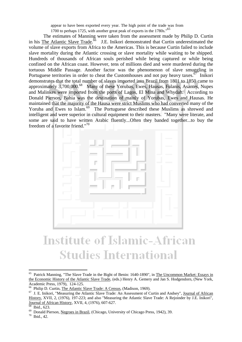appear to have been exported every year. The high point of the trade was from

1700 to perhaps 1725, with another great peak of exports in the 1780s."<sup>65</sup>

 The estimates of Manning were taken from the assessment made by Philip D. Curtin in his The Atlantic Slave Trade.<sup>66</sup> J.E. Inikori demonstrated that Curtin underestimated the volume of slave exports from Africa to the Americas. This is because Curtin failed to include slave mortality during the Atlantic crossing or slave mortality while waiting to be shipped. Hundreds of thousands of African souls perished while being captured or while being confined on the African coast. However, tens of millions died and were murdered during the tortuous Middle Passage. Another factor was the phenomenon of slave smuggling in Portuguese territories in order to cheat the Customhouses and not pay heavy taxes.<sup> $67$ </sup> Inikori demonstrates that the total number of slaves imported into Brazil from 1801 to 1850 came to approximately 3,700,000.68 Many of these Yorubas, Ewes, Hausas, Fulanis, Asantes, Nupes and Malinkes were imported from the ports of Lagos, El Mina and Whydah. According to Donald Pierson, Bahia was the destination of mainly of Yorubas, Ewes and Hausas. He maintained that the majority of the Hausa were strict Muslims who had converted many of the Yoruba and Ewes to Islam.<sup>69</sup> The Portuguese described these Muslims as shrewed and intelligent and were superior in cultural equipment to their masters. "Many were literate, and some are said to have written Arabic fluently...Often they banded together...to buy the freedom of a favorite friend."70



# **Institute of Islamic-African Studies International**

<sup>65</sup> Patrick Manning, "The Slave Trade in the Bight of Benin: 1640-1890", in The Uncommon Market: Essays in the Economic History of the Atlantic Slave Trade, (eds.) Henry A. Gemery and Jan S. Hodgendorn, (New York, Academic Press, 1979), 124-125.

<sup>&</sup>lt;sup>66</sup> Philip D. Curtin, <u>The Atlantic Slave Trade: A Census</u>, (Madison, 1969).<br><sup>67</sup> J. E. Inikori, "Measuring the Atlantic Slave Trade: An Assessment of Curtin and Andsey", Journal of African History, XVII, 2, (1976), 197-223; and also "Measuring the Atlantic Slave Trade: A Rejoinder by J.E. Inikori", Journal of African History, XVII, 4, (1976), 607-627.<br><sup>68</sup> Ibid., 623.

<sup>&</sup>lt;sup>69</sup> Donald Pierson, <u>Negroes in Brazil</u>, (Chicago, University of Chicago Press, 1942), 39. <sup>70</sup> Ibid., 42.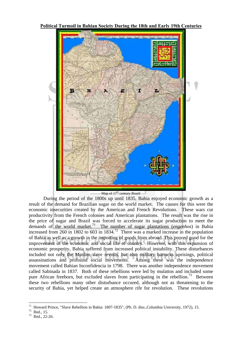



#### Map of  $17<sup>th</sup>$  century Brazil

 During the period of the 1800s up until 1835, Bahia enjoyed economic growth as a result of the demand for Brazilian sugar on the world market. The causes for this were the economic insecurities created by the American and French Revolutions. These wars cut productivity from the French colonies and American plantations. The result was the rise in the price of sugar and Brazil was forced to accelerate its sugar production to meet the demands of the world market.71 The number of sugar plantations (*engenhos*) in Bahia increased from 260 in 1802 to 603 in  $1834<sup>72</sup>$  There was a marked increase in the population of Bahia as well as a growth in the importing of goods from abroad. This proved good for the improvement of the economic and social life of country. However, with this expansion of economic prosperity, Bahia suffered from increased political instability. These disturbances included not only the Muslim slave revolts, but also military barracks uprisings, political assassinations and profound social movements. Among these was the independence movement called Bahian Inconfidencia in 1798. There was another independence movement called Sabinada in 1837. Both of these rebellions were led by mulattos and included some pure African freeborn, but excluded slaves from participating in the rebellion.<sup>73</sup> Between these two rebellions many other disturbance occured, although not as threatening to the security of Bahia, yet helped create an atmosphere rife for revolution. These revolutions

<sup>71</sup> 71 Howard Prince, "Slave Rebellion in Bahia: 1807-1835", (Ph. D. diss.,Columbia University, 1972), 15.

<sup>72</sup> Ibid., 15.

<sup>73</sup> Ibid., 22-26.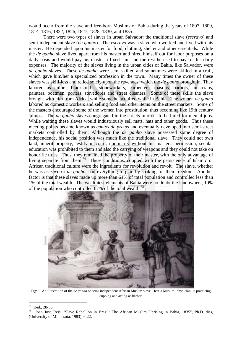would occur from the slave and free-born Muslims of Bahia during the years of 1807, 1809, 1814, 1816, 1822, 1826, 1827, 1828, 1830, and 1835.

 There were two types of slaves in urban Salvador: the traditional slave (*escravo*) and semi-independent slave (*de ganho*). The *escravo* was a slave who worked and lived with his master. He depended upon his master for food, clothing, shelter and other essentials. While the *de ganho* slave lived apart from his master and hired himself out for labor purposes on a daily basis and would pay his master a fixed sum and the rest he used to pay for his daily expenses. The majority of the slaves living in the urban cities of Bahia, like Salvador, were *de ganho* slaves. These *de ganho* were semi-skilled and sometimes were skilled in a craft, which gave him/her a specialized profession in the town. Many times the owner of these slaves was skill-less and relied solely upon the revenues, which the *de ganho* brought in. They labored as tailors, blacksmiths, stoneworkers, carpenters, masons, barbers, musicians, painters, boatmen, porters, stevedores and street cleaners. Some of these skills the slave brought with him from Africa, while some he acquired while in Bahia. The women *de ganho* labored as domestic workers and selling food and other items on the street markets. Some of the masters encouraged some of the women into prostitution, thus becoming like 19th century 'pimps'. The *de ganho* slaves congregated in the streets in order to be hired for menial jobs. While waiting these slaves would industriously sell mats, hats and other goods. Thus these meeting points became known as *cantos de pretos* and eventually developed into semi-street markets controlled by them. Although the *de ganho* slave possessed some degree of independence, his social position was much like the traditional slave. They could not own land, inherit property, testify in court, nor marry without his master's permission, secular education was prohibited to them and also the carrying of weapons and they could not take on honorific titles. Thus, they remained the property of their master, with the only advantage of living separate from them.<sup>74</sup> These conditions, coupled with the persistence of Islamic or African traditional culture were the ingredients for revolution and revolt. The slave, whether he was *escravo* or *de ganho*, had everything to gain by striking for their freedom. Another factor is that these slaves made up more than 61% of total population and controlled less than 1% of the total wealth. The wealthiest elements of Bahia were no doubt the landowners, 10% of the population who controlled 67% of the total wealth.<sup>75</sup>



Fig: 1 -An illustration of the *de ganho* or semi-independent African Muslim slave. Here a Muslim 'physician' is practicing cupping and acting as barber.

 $74\,$  $\frac{74}{75}$  Ibid., 28-35.

<sup>75</sup> Joao Jose Reis, "Slave Rebellion in Brazil: The African Muslim Uprising in Bahia, 1835", Ph.D. diss, (University of Minnesota, 1983), 6-22.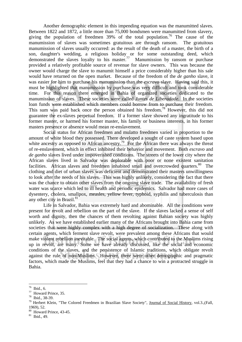Another demographic element in this impending equation was the manumitted slaves. Between 1822 and 1872, a little more than 75,000 bondsmen were manumitted from slavery, giving the population of freedmen 39% of the total population.<sup>76</sup> The cause of the manumission of slaves was sometimes gratuitous are through ransom. The gratuitous manumission of slaves usually occurred: as the result of the death of a master, the birth of a son, daughter's wedding, a religious holiday or for some outstanding deed, which demonstrated the slaves loyalty to his master.<sup>77</sup> Manumission by ransom or purchase provided a relatively profitable source of revenue for slave owners. This was because the owner would charge the slave to manumit himself a price considerably higher than his sale would have returned on the open market. Because of the freedom of the *de ganho* slave, it was easier for him to purchase his manumission than the *escravo* slave. Having said this, it must be highlighted that manumission by purchase was very difficult and took considerable time. For this reason there emerged in Bahia of organized societies dedicated to the manumission of slaves. These societies were called *Juntes de Liberadade*. In the societies loan funds were established which members could borrow from to purchase their freedom. This sum was paid back once the person obtained his freedom.<sup>78</sup> However, this did not guarantee the ex-slaves perpetual freedom. If a former slave showed any ingratitude to his former master, or harmed his former master, his family or business interests, in his former masters presence or absence would mean re-enslavement.

 Social status for African freedmen and mulatto freedmen varied in proportion to the amount of white blood they possessed. There developed a sought of caste system based upon white ancestry as opposed to African ancestry.<sup>79</sup> For the African there was always the threat of re-enslavement, which in effect inhibited their behavior and movement. Both *escravo* and *de ganho* slaves lived under impoverished conditions. The streets of the lower city where the African slaves lived in Salvador was deplorable with poor or none existent sanitation facilities. African slaves and freedmen inhabited small and overcrowded quarters.<sup>80</sup> The clothing and diet of urban slaves was deficient and demonstrated their masters unwillingness to look after the needs of his slaves. This was highly unlikely, considering the fact that there was the chance to obtain other slaves from the ongoing slave trade. The availability of fresh water was scarce which led to ill health and periodic epidemics. Salvador had more cases of dysentery, cholera, smallpox, measles, yellow fever, typhoid, syphilis and tuberculosis than any other city in Brazil. $81$ 

 Life in Salvador, Bahia was extremely hard and abominable. All the conditions were present for revolt and rebellion on the part of the slave. If the slaves lacked a sense of self worth and dignity, then the chances of them revolting against Bahian society was highly unlikely. As we have established earlier many of the Africans brought into Bahia came from societies that were highly complex with a high degree of socialization. These along with certain agents, which ferment slave revolt, were prevalent among these Africans that would make violent rebellion inevitable. The social agents, which contributed to the Muslims rising up in revolt, are many. Some we have already discussed, like the social and economic conditions of the slaves, and the persistence of Islamic traditions, which obligate revolt against the rule of non-Muslims. However, there were other demographic and pragmatic factors, which made the Muslims, feel that they had a chance to win a protracted struggle in Bahia.

<sup>76</sup> Ibid., 6.

<sup>77</sup> Howard Prince, 35.

<sup>78</sup> Ibid., 38-39.

<sup>&</sup>lt;sup>79</sup> Herbert Klein, "The Colored Freedmen in Brazilian Slave Society", Journal of Social History, vol.3., (Fall, 1969), 52.

<sup>&</sup>lt;sup>80</sup> Howard Prince, 43-45.

<sup>81</sup> Ibid., 49.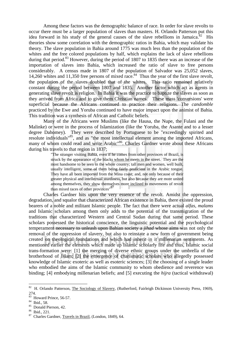Among these factors was the demographic balance of race. In order for slave revolts to occur there must be a larger population of slaves than masters. H. Orlando Patterson put this idea forward in his study of the general causes of the slave rebellions in Jamaica.<sup>82</sup> His theories show some correlation with the demographic ratios in Bahia, which may validate his theory. The slave population in Bahia around 1775 was much less than the population of the whites and the free colored populations by half, which explains the lack of slave rebellions during that period.<sup>83</sup> However, during the period of 1807 to 1835 there was an increase of the importation of slaves into Bahia, which increased the ratio of slave to free persons considerably. A census made in 1807 of the population of Salvador was 25,052 slaves, 14,260 whites and 11,350 free persons of mixed race.<sup>84</sup> Thus the year of the first slave revolt, the population of the slaves doubled that of the whites. This ratio remained relatively constant during the period between 1807 and 1835. Another factor which act as agents in generating slave revolt is religion. In Bahia it was the practice to baptize the slaves as soon as they arrived from Africa and to give them Christian names. These mass 'conversions' were superficial because the Africans continued to practice their religions. The *candomble* practiced by the Ewe and Yoruba continued to have major impact upon the animist of Bahia. This tradition was a synthesis of African and Catholic beliefs.

 Many of the Africans were Muslims (like the Hausa, the Nupe, the Fulani and the Malinke) or were in the process of Islamization (like the Yoruba, the Asante and to a lesser degree Dahomey). They were described by Portuguese to be "exceedingly spirited and resolute individuals"85, and as "the most intellectual element among the imported Africans, many of whom could read and write Arabic<sup>86</sup>. Charles Gardner wrote about these Africans during his travels to that region in 1837;

> "The stranger visiting Bahia, even if he comes from other provinces of Brazil, is struck by the appearance of the blacks whom he meets in the street. They are the most handsome to be seen in the whole country; tall men and women, well built, usually intelligent, some of them being fairly proficient in the Arabic tongue. They have all been imported from the Mina coast; and, not only because of their greater physical and intellectual sturdiness, but also because they are more united among themselves, they show themselves more inclined to movements of revolt than mixed races of other provinces"<sup>87</sup>

 Charles Gardner hits upon the very essence of the revolt. Amidst the oppression, degradation, and squalor that characterized African existence in Bahia, there existed the proud bearers of a noble and militant Islamic people. The fact that there were actual *alfas*, *malams* and Islamic scholars among them only adds to the potential of the transmigration of the traditions that characterized Western and Central Sudan during that same period. These scholars possessed the historical conscience, the linguistic potential and the psychological temperament necessary to unleash upon Bahian society a *jihad* whose aims was not only the removal of the oppression of slavery, but also to reinstate a new form of government being created on theological foundations and which had inherit in it millenarian sentiments. As mentioned earlier the elements which made up Islamic scholarly life and thus, Islamic social trans-formation were: [1] the merging of diverse ethnic groups under the umbrella of the brotherhood of Islam; [2] the emergence of charismatic scholars who allegedly possessed knowledge of Islamic exoteric as well as esoteric sciences; [3] the choosing of a single leader who embodied the aims of the Islamic community to whom obedience and reverence was binding; [4] embodying millenarian beliefs; and [5] executing the *hijra* (tactical withdrawal)

<sup>&</sup>lt;sup>82</sup> H. Orlando Patterson, The Sociology of Slavery, (Rutherford, Fairleigh Dickinson University Press, 1969), 274.

<sup>83</sup> Howard Prince, 56-57.

<sup>84</sup> Ibid., 58.

<sup>85</sup> Donald Pierson, 42.

<sup>86</sup> Ibid., 221.

<sup>87</sup> Charles Gardner, Travels in Brazil, (London, 1849), 64.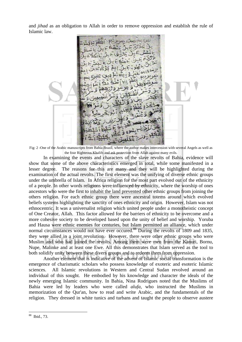and *jihad* as an obligation to Allah in order to remove oppression and establish the rule of Islamic law.



Fig: 2 -One of the Arabic manuscripts from Bahia Brazil, where the author makes intercession with several Angels as well as the four Righteous Khalifs and ask protection from Allah against many evils.

 In examining the events and characters of the slave revolts of Bahia, evidence will show that some of the above characteristics emerged in total, while some manifested in a lesser degree. The reasons for this are many and they will be highlighted during the examination of the actual revolts. The first element was the unifying of diverse ethnic groups under the umbrella of Islam. In Africa religion for the most part evolved out of the ethnicity of a people. In other words religions were influenced by ethnicity, where the worship of ones ancestors who were the first to inhabit the land prevented other ethnic groups from joining the others religion. For each ethnic group there were ancestral totems around which evolved beliefs systems highlighting the sanctity of ones ethnicity and origin. However, Islam was not ethnocentric. It was a universalist religion which united people under a monotheistic concept of One Creator, Allah. This factor allowed for the barriers of ethnicity to be overcome and a more cohesive society to be developed based upon the unity of belief and worship. Yoruba and Hausa were ethnic enemies for centuries, but Islam permitted an alliance, which under normal circumstances would not have ever occured.<sup>88</sup> During the revolts of 1809 and 1835, they were allied in a joint revolution. However, there were other ethnic groups who were Muslim and who had joined the revolts. Among them were men from the Kanuri, Bornu, Nupe, Malinke and at least one Ewe. All this demonstrates that Islam served as the tool to both solidify unity between these divers groups and to redeem them from oppression.

 Another element that is indicative of the advent of Islamic social transformation is the emergence of charismatic scholars who possess knowledge of exoteric and esoteric Islamic sciences. All Islamic revolutions in Western and Central Sudan revolved around an individual of this sought. He embodied by his knowledge and character the ideals of the newly emerging Islamic community. In Bahia, Nina Rodrigues noted that the Muslims of Bahia were led by leaders who were called *alufa*, who instructed the Muslims in memorization of the Qur'an, how to read and write Arabic, and the fundamentals of the religion. They dressed in white tunics and turbans and taught the people to observe austere

<sup>1</sup> 88 Ibid., 73.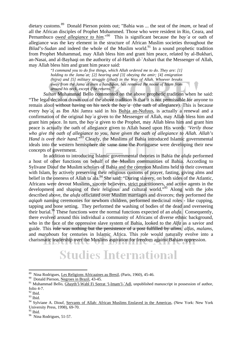dietary customs.89 Donald Pierson points out; "Bahia was ... the seat of the *imam*, or head of all the African disciples of Prophet Mohammed. Those who were resident in Rio, Ceara, and Pernambuco *owed allegiance to him*."90 This is significant because the *bay`a* or oath of allegiance was the key element in the structure of African Muslim societies throughout the *Bilad's-Sudan* and indeed the whole of the Muslim world.<sup>91</sup> In a sound prophetic tradition from Prophet Muhammad, may Allah bless him and grant him peace, related by al-Bukhari, an-Nasai, and al-Bayhaqi on the authority of al-Harith al-`Ashari that the Messenger of Allah, may Allah bless him and grant him peace said: "*I command you to do five things, which Allah ordered me to do. They are: [1]* 

*holding to the Jama`at; [2] hearing and [3] obeying the amir; [4] emigration (hijra) and [5] military struggle (jihad) in the Way of Allah. Whoever breaks away from the Jama`at even a handspan, has removed the noose of Islam from around his neck, except if he returns*."92

*Sultan* Muhammad Bello commented on the above prophetic tradition when he said: "The legal decision drawn out of the above tradition is that it is not permissible for anyone to remain aloof without having on his neck the *bay`a* (the oath of allegiance). This is because every *bay`a*, as Ibn Abi Jamra said in his Buhja an-Nufuus, is actually a renewal and a confirmation of the original *bay`a* given to the Messenger of Allah, may Allah bless him and grant him peace. In turn, the *bay`a* given to the Prophet, may Allah bless him and grant him peace is actually the oath of allegiance given to Allah based upon His words: '*Verily those who give the oath of allegiance to you, have given the oath of allegiance to Allah. Allah's Hand is over their hand*."<sup>93</sup> Clearly, the Muslims of Bahia introduced Islamic governmental ideals into the western hemisphere the same time the Portuguese were developing their new concepts of government.

In addition to introducing Islamic governmental theories in Bahia the *alufa* performed a host of other functions on behalf of the Muslim communities of Bahia. According to Sylivane Diouf the Muslim scholars of Bahia and the common Muslims held to their covenant with Islam, by actively preserving their religious customs of prayer, fasting, giving alms and belief in the oneness of Allah ta`ala.<sup>94</sup> She said: "During slavery, on both sides of the Atlantic, Africans were devout Muslims, sincere believers, strict practitioners, and active agents in the development and shaping of their religious and cultural world."95 Along with the jobs described above, the *alufa* officiated over Muslim marriages and divorces; they performed the *aqiqah* naming ceremonies for newborn children, performed medicinal roles - like cupping, tapping and bone setting. They performed the washing of bodies of the dead and overseeing their burial.96 These functions were the normal functions expected of an *alufa*. Consequently, there evolved around this individual a community of Africans of diverse ethnic background, who in the face of the oppressive slave system of Bahia, looked to the *Alfa* as a savior and guide. This role was nothing but the persistence of a post fulfilled by *alims*, *alfas*, *malams*, and *marabouts* for centuries in Islamic Africa. This role would naturally evolve into a charismatic leadership over the Muslims aspiration for freedom against Bahian oppression.

# **Studies International**

<sup>89</sup> Nina Rodrigues, Les Religions Africaaines au Bresil, (Paris, 1960), 45-46.

<sup>&</sup>lt;sup>90</sup> Donald Pierson, Negroes in Brazil, 43-45.

<sup>&</sup>lt;sup>91</sup> Muhammad Bello, Ghayth'l-Wabl Fi Seerat 'l-Imam'l-`Adl, unpublished manuscript in possession of author, folio 4-7.

 $92$  Ibid.

<sup>93</sup> Ibid.

<sup>&</sup>lt;sup>94</sup> Sylviane A. Diouf, Servants of Allah: African Muslims Enslaved in the Americas, (New York: New York) University Press, 1998), 69-70.

<sup>&</sup>lt;sup>95</sup> Ibid.

<sup>&</sup>lt;sup>96</sup> Nina Rodrigues, 51-57.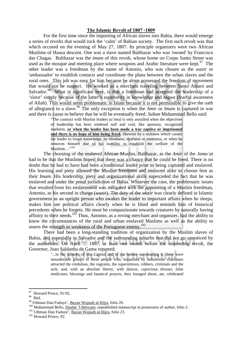### **The Islamic Revolt of 1807 -1809**

 For the first time since the importing of African slaves into Bahia, there would emerge a series of revolts that would rock the 'calm' of Bahian society. The first such revolt was that which occured on the evening of May 27, 1807. Its principle organizers were two African Muslims of Hausa descent. One was a slave named Balthazar who was 'owned' by Francisco das Chagas. Balthazar was the *imam* of this revolt, whose home on Corpo Santo Street was used as the mosque and meeting place where weapons and Arabic literature were kept. $97$  The other leader was a freedman by the name of Antonio, who was chosen as the *wazir* or 'ambassador' to establish contacts and coordinate the plans between the urban slaves and the rural ones. This job was easy for him because he alone possessed the freedom of movement that would not be suspect. He worked as a merchant traveling between Santo Amaro and Salvador.<sup>98</sup> What is significant here, is that a freedman had accepted the leadership of a 'slave' simply because of the latter's superiority in knowledge and *taqwa* (fearful awareness of Allah). This would seem problematic in Islam because it is not permissible to give the oath of allegiance to a slave.99 The only exception is when the *Amir* or *Imam* is captured in war and there is cause to believe that he will be eventually freed. *Sultan* Muhammad Bello said:

> "The contract with Muslim leaders (*a'ima*) is only annulled when the objectives of leadership has been rendered null and void, like apostasy, recognized madness, **or when the leader has been made a war captive or imprisoned and there is no hope of him being freed**, likewise by a sickness which causes the leader to forget knowledge, by blindness, deafness or muteness, or when he removes himself due to his inability to establish the welfare of the Muslims..."<sup>100</sup>

The choosing of the enslaved African Muslim, Balthazar, as the *Amir* of the *Jama`at* had to be that the Muslims hoped that there was a chance that he could be freed. There is no doubt that he had to have had been a traditional leader prior to being captured and enslaved. His learning and piety allowed the Muslim freedmen and enslaved alike to choose him as their *Imam*. His leadership, piety and organizational skills superceded the fact that he was enslaved and under the penal jurisdiction of Bahia. Whatever the case, the problematic issues that resulted from his enslavement was mitigated with the appointing of a Muslim freedman, Antonio, as his second in charge (*wazir*). The duty of the *wazir* was clearly defined in Islamic government as an upright person who awakes the leader to important affairs when he sleeps, makes him see political affairs clearly when he is blind and reminds him of historical precedents when he forgets. He must be compassionate towards creatures by naturally having affinity to their needs.<sup>101</sup> Thus, Antonio, as a roving merchant and organizer, had the ability to know the circumstances of the rural and urban enslaved Muslims as well as the ability to assess the strength or weakness of the Portuguese enemy.<sup>102</sup>

There had been a long-standing tradition of organization by the Muslim slaves of Bahia, and especially in Salvador and the surrounding suburbs that did not go unnoticed by the authorities. On April 7, 1807, at least one month before the impending revolt, the Governor, Joao Saldanha de Gama reported;

> "...in the suburbs of this Capital and in the bushes surrounding it, there were innumerable groups of these people who, organized by industrious charlatans attracted the credulous, the vagrants, the superstitious, robbers, criminals and the sick; and, with an absolute liberty, with dances, capricious dresses, false medicines, blessings and fanatical prayers, they lounged about, ate, celebrated

<sup>&</sup>lt;sup>97</sup> Howard Prince, 91-92.

<sup>&</sup>lt;sup>98</sup> Ibid.<br><sup>99</sup> Uthman Dan Fuduye', <u>Bayan Wujuub al-Hijra</u>, folio 20.

<sup>&</sup>lt;sup>100</sup> Muhammad Bello, Ifaadat '1-Ikhwaan, unpublished manuscript in possession of author, folio 2.<br><sup>101</sup> Uthman Dan Fuduye', <u>Bayan Wujuub al-Hijra</u>, folio 23.<br><sup>102</sup> Howard Prince, 92.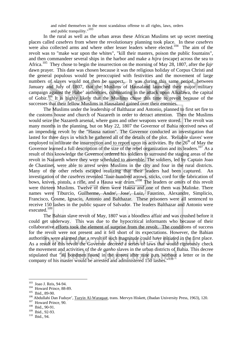and ruled themselves in the most scandalous offense to all rights, laws, orders and public tranquility."<sup>103</sup>

 In the rural as well as the urban areas these African Muslims set up secret meeting places called *casebres* from where the revolutionary planning took place. In these *casebres* were also collected arms and where other lesser leaders where elected.<sup>104</sup> The aim of the revolt was to "make war upon the whites", "kill their masters, poison the public fountains", and then commandeer several ships in the harbor and make a *hijra* (escape) across the sea to Africa.<sup>105</sup> They chose to begin the insurrection on the morning of May 28, 1807, after the *fajr* dawn prayer. This date was chosen because it was the religious holiday of Corpus Christi and the general populous would be preoccupied with festivities and the movement of large numbers of slaves would not then be suspect. It was during this same period, between January and July of 1807, that the Muslims of Hausaland launched their major military campaign against the Habe' authorities, culminating in the attack upon Alkalawa, the capital of Gobir.106 It is highly likely that the Muslims chose this time to revolt because of the successes that their fellow Muslims in Hausaland gained over their enemies.

The Muslims under the leadership of Balthazar and Antonio, planned to first set fire to the customs house and church of Nazareth in order to detract attention. Then the Muslims would seize the Nazareth arsenal, where guns and other weapons were stored. The revolt was many months in the planning, but on May 22, 1807 the Governor of Bahia received news of an impending revolt by the "Hausa nation". The Governor conducted an investigation that lasted for three days in which he gathered all of the details of the plot. 'Reliable slaves' were employed to infiltrate the insurrection and to report upon its activities. By the  $26<sup>th</sup>$  of May the Governor learned a full description of the size of the rebel organization and its leaders.<sup>107</sup> As a result of this knowledge the Governor ordered his soldiers to surround the staging areas of the revolt in Nazareth where they were scheduled to assemble. The soldiers, led by Captain Joao de Chastinet, were able to arrest seven Muslims in the city and four in the rural districts. Many of the other rebels escaped realizing that their leaders had been captured. An investigation of the *casebres* revealed "four-hundred arrows, sticks, cord for the fabrication of bows, knives, pistols, a rifle, and a Hausa war drum."108 The leaders or *amirs* of this revolt were thirteen Muslims. Twelve of them were Hausa and one of them was Malinke. There names were Tiburcio, Guilherme, Andre', Jose', Luiz, Faustino, Alexandre, Simplicio, Francisco, Cosme, Ignacio, Antonio and Balthazar. These prisoners were all sentenced to receive 150 lashes in the public square of Salvador. The leaders Balthazar and Antonio were executed.109

 The Bahian slave revolt of May, 1807 was a bloodless affair and was crushed before it could get underway. This was due to the hypocritical informants who because of their collaborative efforts took the element of surprise from the revolt. The conditions of success for the revolt were not present and it fell short of its expectations. However, the Bahian authorities were alarmed that a revolt of such magnitude could have initiated in the first place. As a result of this revolt the Governor decreed a series of laws that would rigorously check the movement and activities of the *de ganho* slaves in the urban districts of Bahia. This decree stipulated that "all bondmen found in the streets after nine p.m. without a letter or in the company of his master would be arrested and administered 150 lashes."<sup>110</sup>

<sup>&</sup>lt;sup>103</sup> Joao J. Reis, 94-94.<br><sup>104</sup> Howard Prince, 88-89. 105 Ibid., 89-90.<br><sup>105</sup> Ibid., 89-90.<br><sup>105</sup> Abdullahi Dan Fuduye', <u>Tazyin Al-Waraqaat</u>, trans. Mervyn Hiskett, (Ibadan University Press, 1963), 120.<br><sup>107</sup> Howard Pri

 $\frac{109}{110}$  Ibid., 92-93.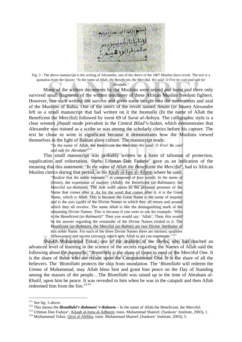

Fig: 3 - The above manuscript is the writing of Alexandre, one of the *Amirs* of the 1807 Muslim slave revolt. The text is a quotation from the *Quran*: "*In the name of Allah, the Beneficent, the Merciful. We said: O Fire be cool and safe for Abraham.*"

 Many of the written documents by the Muslims were seized and burnt and there only survived small fragments of the written testimony of these African Muslim freedom fighters. However, one such writing did survive and gives some insight into the motivations and zeal of the Muslims of Bahia. One of the *amirs* of the revolt named *Amam* (or *Imam*) Alexandre left us a small manuscript that had written on it the *basmalla* (In the name of Allah the Beneficent the Merciful) followed by verse 69 of *Surat al-Anbiya*. The calligraphic style is a clear western *jihaadi* mode prevalent in the Central *Bilad's-Sudan*, which demonstrates that Alexandre was trained as a scribe or was among the scholarly clerics before his capture. The text he chose to write is significant because it demonstrates how the Muslims viewed themselves in the light of Bahian slave culture. The manuscript reads:

"In the name of Allah, the Beneficent the Merciful: *We said: O Fire! Be cool and safe for Abraham*" 111

 This small manuscript was probably written as a form of talisman of protection, supplication and exhortation. *Shehu* Uthman Dan Fuduye' gave us an indication of the meaning that this statement: '*In the name of Allah the Beneficent the Merciful*', had to African Muslim clerics during that period, in his Kitab al-Ism al-Athem where he said;

> "Realize that the noble *basmala*<sup>112</sup> is composed of four words: *In the name of* (*bismi*); the expression of majesty (*Allah*); the Beneficent (*ar-Rahmaan*); the Merciful (*ar-Raheem*). The first word points to the personal pronoun of the Name that comes after it. As for the word that comes after it, it is the Great Name, which is *Allah*. This is because the Great Name is the name of majesty and is the axis (*qutb*) of the Divine Names to which they all return and around which they all revolve. The name *Allah* is like the distinguishing mark of the remaining Divine Names. This is because if you were to ask for example: 'Who is the Beneficent (*ar-Rahman*)?' Then you would say: 'Allah'. Then, this would be the answer regarding the remainder of the Divine Names related to it. The Beneficent (*ar-Rahman*), the Merciful (*ar-Rahim*) are two Divine Attributes of this noble Name. For each of the three Divine Names there are intrinsic qualities (*Khawwaas*) and secrets (*asraar*), which only Allah ta`ala can enumerate."113

*Shaykh* Muhammad Tukur, one of the students of the *Shehu*, who had reached an advanced level of learning in the science of the secrets regarding the Names of Allah said the following about the *basmalla*: "*Bismillahi* is the share of those in need of the Merciful One. It is the share of those who are reliant upon the Compassionate One. It is the share of all the believers. The '*Bismillahi* protects the ship from inundation. The '*Bismillahi* will redeem the *Umma* of Muhammad, may Allah bless him and grant him peace on the Day of Standing among the masses of the people…The *Bismillahi* was raised up in the time of Abraham *al-Khalil*, upon him be peace. It was revealed to him when he was in the catapult and then Allah redeemed him from the fire."<sup>114</sup>

<sup>&</sup>lt;sup>112</sup> See fig: 3 above.<br><sup>112</sup> This means the *Bismillahi'r-Rahmani 'r-Raheem* – In the name of Allah the Beneficent, the Merciful.<br><sup>113</sup> Uthman Dan Fuduye', <u>Kitaab al-Isma al-Adheem</u>, trans. Muhammad Shareef, (Sankore' I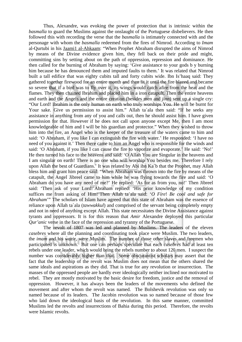Thus, Alexandre, was evoking the power of protection that is intrinsic within the *basmalla* to guard the Muslims against the onslaught of the Portuguese disbelievers. He then followed this with recording the verse that the *basmalla* is intimately connected with and the personage with whom the *basmalla* redeemed from the fires of Nimrod. According to *Imam* al-Qurtubi in his Jaami1 al-Ahkaam: "When Prophet Abraham disrupted the aims of Nimrod by means of the Divine evidence given him, they fell back on their pride and might, committing sins by setting about on the path of oppression, repression and dominance. He then called for the burning of Abraham by saying: 'Give assistance to your gods b y burning him because he has denounced them and imputed faults to them.' It was related that Nimrod built a tall edifice that was eighty cubits tall and forty cubits wide. Ibn Is'haaq said: They gathered together firewood for an entire month and then lit it until the fire blazed and became so severe that if a bird was to fly over it, its wings would catch afire from the heat and the flames. They then chained Ibrahim and placed him in a iron catapult. Then the entire heavens and earth and the Angels and the entire creation (besides men and *jinn*) sent up a single cry: "Our Lord! Ibrahim is the only human on earth who truly worships You. He will be burnt for Your sake. Give us permission to assist him." Allah ta`ala then said: "If he seeks any assistance in anything from any of you and calls out, then he should assist him. I have given permission for that. However if he does not call upon anyone except Me, then I am most knowledgeable of him and I will be his guardian and protector." When they wished to throw him into the fire, an Angel who is the keeper of the treasure of the waters came to him and said: 'O Abraham, if you like I can extinguish the fire with water.' He responded: 'I have no need of you against it.' Then there came to him an Angel who is responsible for the winds and said: 'O Abraham, if you like I can cause the fire to vaporize and evaporate.' He said: 'No!' He then turned his face to the heavens and said: 'O Allah You are Singular in the heavens and I am singular on earth! There is no one who will worship You besides me. Therefore I rely upon Allah the best of Guardians.' It was related by Abi ibn Ka`b that the Prophet, may Allah bless him and grant him peace said: "When Abraham was thrown into the fire by means of the catapult, the Angel Jibreel came to him while he was flying towards the fire and said: 'O Abraham do you have any need of me?' He replied: 'As for as from you, no!' Then Jibreel said: 'Then ask of your Lord!'Abraham replied: 'His prior knowledge of my condition suffices me from asking of Him!'Then Allah ta`ala said: '*O Fire*! *Be cool and safe for Abraham*'" The scholars of Islam have agreed that this state of Abraham was the essence of reliance upon Allah ta`ala (*tawwakkul*) and comprised of the servant being completely empty and not in need of anything except Allah. This state necessitates the Divine Assistance against tyrants and oppressors. It is for this reason that *Amir* Alexandre deployed this particular *Qur'anic* verse in the face of the repression and tyranny of the Portuguese.

The revolt of 1807 was led and planned by Muslims. The leaders of the eleven *casebres* where all the planning and coordinating took place were Muslim. The two leaders, the *imam* and his *wazir*, were Muslim. The number of those other slaves and freemen who participated is unknown. But one can perhaps speculate that each *casebres* had at least ten rebels under one leader, which would bring the rebels number to about 120 men. I suspect the number was considerably higher than that. Some obscurantist scholars may assert that the fact that the leadership of the revolt was Muslim does not mean that the others shared the same ideals and aspirations as they did. That is true for any revolution or insurrection. The masses of the oppressed people are hardly ever ideologically neither inclined nor motivated to rebel. They are mostly motivated by the basic desire for freedom, justice and the removal of oppression. However, it has always been the leaders of the movements who defined the movement and after whom the revolt was named. The Bolshevik revolution was only so named because of its leaders. The Jacobin revolution was so named because of those few who laid down the ideological basis of the revolution. In this same manner, committed Muslims led the revolts and insurrections of Bahia during this period. Therefore, the revolts were Islamic revolts.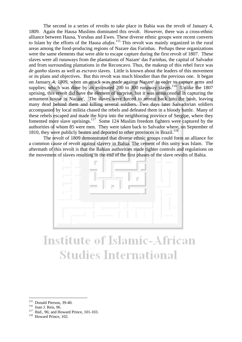The second in a series of revolts to take place in Bahia was the revolt of January 4, 1809. Again the Hausa Muslims dominated this revolt. However, there was a cross-ethnic alliance between Hausa, Yorubas and Ewes. These diverse ethnic groups were recent converts to Islam by the efforts of the Hausa *alufas*. 115 This revolt was mainly organized in the rural areas among the food-producing regions of Nazare das Farinhas. Perhaps these organizations were the same elements that were able to escape capture during the first revolt of 1807. These slaves were all runaways from the plantations of Nazare' das Farinhas, the capital of Salvador and from surrounding plantations in the Reconcavo. Thus, the makeup of this rebel force was *de ganho* slaves as well as *escravo* slaves. Little is known about the leaders of this movement or its plans and objectives. But this revolt was much bloodier than the previous one. It began on January 4, 1809, when an attack was made against Nazare' in order to capture arms and supplies; which was done by an estimated 200 to 300 runaway slaves.<sup>116</sup> Unlike the 1807 uprising, this revolt did have the element of surprise, but it was unsuccessful in capturing the armament house in Nazare'. The slaves were forced to retreat back into the bush, leaving many dead behind them and killing several soldiers. Two days later Salvadorian soldiers accompanied by local militia chased the rebels and defeated them in a bloody battle. Many of these rebels escaped and made the *hijra* into the neighboring province of Sergipe, where they fomented more slave uprisings.117 Some 124 Muslim freedom fighters were captured by the authorities of whom 85 were men. They were taken back to Salvador where, on September of 1810, they were publicly beaten and deported to other provinces in Brazil.<sup>118</sup>

 The revolt of 1809 demonstrated that diverse ethnic groups could form an alliance for a common cause of revolt against slavery in Bahia. The cement of this unity was Islam. The aftermath of this revolt is that the Bahian authorities made tighter controls and regulations on the movement of slaves resulting in the end of the first phases of the slave revolts of Bahia.



## **Institute of Islamic-African Studies International**

<sup>115</sup> 

<sup>&</sup>lt;sup>115</sup> Donald Pierson, 39-40.<br><sup>116</sup> Joao J. Reis, 96.<br><sup>117</sup> Ibid., 96; and Howard Prince, 101-103.<br><sup>118</sup> Howard Prince, 102.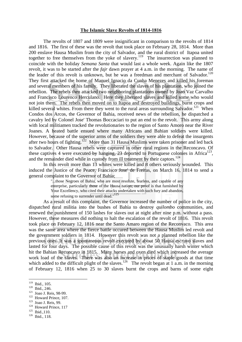#### **The Islamic Slave Revolts of 1814-1816**

 The revolts of 1807 and 1809 were insignificant in comparison to the revolts of 1814 and 1816. The first of these was the revolt that took place on February 28, 1814. More than 200 enslave Hausa Muslim from the city of Salvador, and the rural district of Itapoa united together to free themselves from the yoke of slavery.<sup>119</sup> The insurrection was planned to coincide with the holiday *Semana Santa* that would last a whole week. Again like the 1807 revolt, it was to be started after the *fajr* dawn prayer at 4 a.m. in the morning. The name of the leader of this revolt is unknown, but he was a freedman and merchant of Salvador.<sup>120</sup> They first attacked the home of Manuel Ignacio da Cunha Menezes and killed his foreman and several members of his family. They liberated the slaves of his plantation, who joined the rebellion. The rebels then attacked two neighboring plantations owned by Joao Vaz Carvalho and Francisco Lourenco Herculano. Here they liberated slaves and killed some who would not join them. The rebels then moved on to Itapoa and destroyed buildings, burnt crops and killed several whites. From there they went to the rural areas surrounding Salvador.<sup>121</sup> When Condos dos Arcos, the Governor of Bahia, received news of the rebellion, he dispatched a cavalry led by Colonel Jose' Thomas Boccaciari to put an end to the revolt. This army along with local militiamen tracked the revolutionaries to the region of Santo Amoro near the River Joanes. A heated battle ensued where many Africans and Bahian soldiers were killed. However, because of the superior arms of the soldiers they were able to defeat the insurgents after two hours of fighting.<sup>122</sup> More than 31 Hausa Muslims were taken prisoner and led back to Salvador. Other Hausa rebels were captured in other rural regions in the Reconcavo. Of these captives 4 were executed by hanging, 23 deported to Portuguese colonies in Africa<sup>123</sup>, and the remainder died while in custody from ill treatment by their captors.<sup>124</sup>

In this revolt more than 13 whites were killed and 8 others seriously wounded. This induced the Justice of the Peace, Francisco Jose' de Freitas, on March 16, 1814 to send a general complaint to the Governor of Bahia;

> "...those Negroes of Bahia, who are most resolute, fearless, and capable of any enterprise, particularly those of the Hausa nation; our proof is that furnished by Your Excellency, who cited their attacks undertaken with such fury and abandon, some refusing to surrender until dead."<sup>125</sup>

 As a result of this complaint, the Governor increased the number of police in the city, dispatched rural militia into the bushes of Bahia to destroy *quilombo* communities, and renewed the punishment of 150 lashes for slaves out at night after nine p.m. without a pass. However, these measures did nothing to halt the escalation of the revolt of 1816. This revolt took place on February 12, 1816 near the Santo Amaro region of the Reconvaco. This area was the same area where the fierce battle occured between the Hausa Muslim led revolt and the government soldiers in 1814. However this revolt was not a planned rebellion like the previous ones. It was a spontaneous revolt executed by about 50 Hausa *escravo* slaves and lasted for four days. The possible cause of this revolt was the unusually harsh winter which hit the Bahian Reconcavo in 1815. Many horses and oxen died which increased the average work load of the slaves. There was also an increase in prices of staple goods at that time which added to the difficult plight of the slaves.<sup>126</sup> The revolt began at 1 a.m. in the morning of February 12, 1816 when 25 to 30 slaves burnt the crops and barns of some eight

- 
- 

 $119$  Ibid., 105.

<sup>120</sup> Ibid., 246.<br>
<sup>121</sup> Joao J. Reis, 98-99.<br>
<sup>122</sup> Howard Prince, 107.<br>
<sup>123</sup> Joao J. Reis, 99.<br>
<sup>124</sup> Howard Prince, 117<br>
<sup>125</sup> Ibid., 110.<br>
<sup>126</sup> Ibid., 118.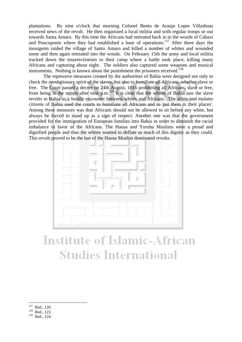plantations. By nine o'clock that morning Colonel Bento de Araujo Lopes Villasboas received news of the revolt. He then organized a local militia and with regular troops se out towards Santa Amaro. By this time the Africans had retreated back in to the woods of Cabaxi and Poucoponto where they had established a base of operations.<sup>127</sup> After three days the insurgents raided the village of Santo Amaro and killed a number of whites and wounded some and then again retreated into the woods. On February 15th the army and local militia tracked down the insurrectionists to their camp where a battle took place, killing many Africans and capturing about eight. The soldiers also captured some weapons and musical instruments. Nothing is known about the punishment the prisoners received.<sup>128</sup>

 The repressive measures created by the authorities of Bahia were designed not only to check the revolutionary spirit of the slaves, but also to humiliate all Africans, whether slave or free. The Court passed a decree on 24th August, 1816 prohibiting all Africans, slave or free, from being in the streets after nine p.m.129 It is clear that the whites of Bahia saw the slave revolts in Bahia as a hostile encounter between whites and Africans. The white and mulatto citizens of Bahia used the courts to humiliate all Africans and to 'put them in their places'. Among these measures was that Africans should not be allowed to sit before any white, but always be forced to stand up as a sign of respect. Another one was that the government provided for the immigration of European families into Bahia in order to diminish the racial imbalance in favor of the Africans. The Hausa and Yoruba Muslims were a proud and dignified people and thus the whites wanted to deflate as much of this dignity as they could. This revolt proved to be the last of the Hausa Muslim dominated revolts.



# **Institute of Islamic-African Studies International**

- 127  $\frac{127}{128}$  Ibid., 120.<br>Ibid., 123.
- 
- 129 Ibid., 124.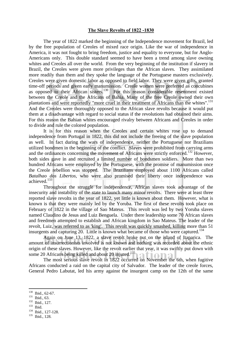#### **The Slave Revolts of 1822 -1830**

 The year of 1822 marked the beginning of the Independence movement for Brazil, led by the free population of Creoles of mixed race origin. Like the war of independence in America, it was not fought to bring freedom, justice and equality to everyone, but for Anglo-Americans only. This double standard seemed to have been a trend among slave owning whites and Creoles all over the world. From the very beginning of the institution if slavery in Brazil, the Creoles were given more privileges than the African slaves. They assimilated more readily than them and they spoke the language of the Portuguese masters exclusively. Creoles were given domestic labor as opposed to field labor. They were given gifts, granted time-off periods and given early manumission. Creole women were preferred as concubines as opposed to their African sisters.<sup>130</sup> For this reason considerable resentment existed between the Creole and the Africans of Bahia. Many of the free Creole owned their own plantations and were reportedly "more cruel in their treatment of Africans than the whites".<sup>131</sup> And the Creoles were thoroughly opposed to the African slave revolts because it would put them at a disadvantage with regard to social status if the revolutions had obtained their aims. For this reason the Bahian whites encouraged rivalry between Africans and Creoles in order to divide and rule the colored population.

 It is for this reason when the Creoles and certain whites rose up to demand independence from Portugal in 1822, this did not include the freeing of the slave population as well. In fact during the wars of independence, neither the Portuguese nor Brazilians utilized bondmen in the beginning of the conflict. Slaves were prohibited from carrying arms and the ordinances concerning the movement of Africans were strictly enforced.<sup>132</sup> However, both sides gave in and recruited a limited number of bondsmen soldiers. More than two hundred Africans were employed by the Portuguese, with the promise of manumission once the Creole rebellion was stopped. The Brazilians employed about 1100 Africans called *Batalhao dos Libertos*, who were also promised their liberty once independence was achieved.133

 Throughout the struggle for independence, African slaves took advantage of the insecurity and instability of the state to launch many minor revolts. There were at least three reported slave revolts in the year of 1822, yet little is known about them. However, what is known is that they were mainly led by the Yoruba. The first of these revolts took place on February of 1822 in the village of Sao Mateus. This revolt was led by two Yoruba slaves named Claudino de Jesus and Luiz Benguela. Under there leadership some 70 African slaves and freedmen attempted to establish and African kingdom in Sao Mateus. The leader of the revolt, Luiz, was referred to as 'king'. This revolt was quickly smashed, killing more than 51 insurgents and capturing 20. Little is known what became of those who were captured.<sup>134</sup>

 Again on June 13, 1822, a slave revolt broke out on the island of Itaparica. The amount of insurrectionists involved is not known and nothing was recorded about the ethnic origin of these slaves. However, like the revolt earlier that year, it was swiftly put down with some 20 Africans being killed and about 20 injured.<sup>135</sup>

 The most serious slave revolt in 1822 occurred on November the 6th, when fugitive Africans conducted a raid on the capital city of Salvador. The leader of the creole forces, General Pedro Labutat, led his army against the insurgent camp on the 12th of the same

 $130$  Ibid., 62-67.

<sup>&</sup>lt;sup>131</sup> Ibid., 63.<br><sup>132</sup> Ibid., 127.<br><sup>133</sup> Ibid., 127-128.<br><sup>135</sup> Ibid., 128.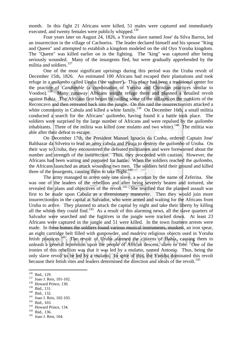month. In this fight 21 Africans were killed, 51 males were captured and immediately executed, and twenty females were publicly whipped.<sup>136</sup>

 Four years later on August 24, 1826, a Yoruba slave named Jose' da Silva Barros, led an insurrection in the village of Cachoeira. The leader declared himself and his spouse "King and Queen" and attempted to establish a kingdom modeled on the old Oyo Yoruba kingdom. The "Queen" was killed earlier on in the fighting. The "king" was captured after being seriously wounded. Many of the insurgents fled, but were gradually apprehended by the militia and soldiers.<sup>137</sup>

 One of the most significant uprisings during this period was the Uruba revolt of December 15th, 1826. An estimated 100 Africans had escaped their plantations and took refuge in a *quilombo* called Uruba ('the vulture'). This place had been a traditional center for the practice of *Candomble* (a combination of Yoruba and Christian practices similar to Voodoo).138 Many runaway Africans sought refuge there and planned a detailed revolt against Bahia. The Africans first began by raiding some of the villages on the outskirts of the Reconcavo and then retreated back into the jungle. On this raid the insurrectionists attacked a white community in Cabula and killed a white family.<sup>139</sup> On December 16th, a small militia conducted a search for the Africans' *quilombo*, having found it a battle took place. The soldiers were surprised by the large number of Africans and were repulsed by the *quilombo* inhabitants. Three of the militia was killed (one mulatto and two white).<sup>140</sup> The militia was able after their defeat to escape.

 On December 17th, the President Manuel Ignacio da Cunha, ordered Captain Jose' Balthazar da Silveira to lead an army cabula and Piraja to destroy the *quilombo* of Uruba. On their way to Uruba, they encountered the defeated militiamen and were forewarned about the number and strength of the insurrection. Thus, they proceeded with caution. However, the Africans had been waiting and prepared for battle. When the soldiers reached the *quilombo*, the Africans launched an attack wounding two men. The soldiers held their ground and killed three of the insurgents, causing them to take flight.<sup>141</sup>

 The army managed to arrest only one slave, a woman by the name of Zeferina. She was one of the leaders of the rebellion and after being severely beaten and tortured, she revealed the plans and objectives of the revolt.<sup>142</sup> She testified that the planned assault was first to be made upon Cabula as a diversionary maneuver. Then they would join more insurrectionists in the capital at Salvador, who were armed and waiting for the Africans from Uruba to arrive. They planned to attack the capital by night and take their liberty by killing all the whites they could find.<sup>143</sup> As a result of this alarming news, all the slave quarters of Salvador were searched and the fugitives in the jungle were tracked down. At least 23 Africans were captured in the jungle and 51 were killed. In the town fourteen arrests were made. In these homes the soldiers found various musical instruments, muskets, an iron spear, an eight cartridge belt filled with gunpowder, and *madeira* religious objects used in Yoruba fetish practices.144 The revolt of Uruba alarmed the citizens of Bahia, causing them to unleash a general repression upon the people of African descent, slave or free. One of the ironies of this rebellion was that it was led by a mulatto, named Antonio. Thus, being the only slave revolt to be led by a mulatto. In spite of this, the Yoruba dominated this revolt because their fetish rites and leaders determined the direction and ideals of the revolt.<sup>145</sup>

<sup>140</sup> Ibid., 132.<br><sup>141</sup> Joao J. Reis, 102-103.<br><sup>142</sup> Ibid., 103.<br><sup>143</sup> Howard Prince, 134.<br><sup>144</sup> Ibid., 136.<br><sup>145</sup> Joao J. Reis, 104.

<sup>&</sup>lt;sup>136</sup> Ibid., 129.

<sup>137</sup> Joao J. Reis, 101-102.<br>
<sup>138</sup> Howard Prince, 130.<br>
<sup>139</sup> Ibid., 131.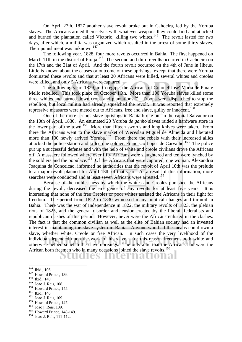On April 27th, 1827 another slave revolt broke out in Cahoeira, led by the Yoruba slaves. The Africans armed themselves with whatever weapons they could find and attacked and burned the plantation called Victorio, killing two whites.<sup>146</sup> The revolt lasted for two days, after which, a militia was organized which resulted in the arrest of some thirty slaves. Their punishment was unknown.<sup>147</sup>

 The following year, 1828, four more revolts occurred in Bahia. The first happened on March 11th in the district of Piraja.<sup>148</sup> The second and third revolts occurred in Cachoeira on the 17th and the 21at of April. And the fourth revolt occurred on the 4th of June in Ilheus. Little is known about the causes or outcome of these uprisings, except that there were Yoruba dominated these revolts and that at least 20 Africans were killed, several whites and creoles were killed, and only 5 Africans were captured.

 The following year, 1829, in Cotegipe, the Africans of Colonel Jose' Maria de Pina e Mello rebelled. This took place on October 16th. More than 100 Yoruba slaves killed some three whites and burned down crops and plantations.<sup>149</sup> Troops were dispatched to stop the rebellion, but local militia had already squelched the revolt. It was reported that extremely repressive measures were meted out to Africans, free and slave, guilty or innocent.<sup>150</sup>

 One of the more serious slave uprisings in Bahia broke out in the capital Salvador on the 10th of April, 1830. An estimated 20 Yoruba *de ganho* slaves raided a hardware store in the lower part of the town.<sup>151</sup> More than fifteen swords and long knives were taken. From there the Africans went to the slave market of Weceslau Miguel de Almeida and liberated more than 100 newly arrived Yoruba.<sup>152</sup> From there the rebels with their increased allies attacked the police station and killed one soldier, Francisco Lopes de Carvalho.<sup>153</sup> The police put up a successful defense and with the help of white and creole civilians drove the Africans off. A massacre followed where over fifty Africans were slaughtered and ten were lynched by the soldiers and the populace.<sup>154</sup> Of the Africans that were captured, one woman, Alexandria Joaquina da Conceicao, informed he authorities that the revolt of April 10th was the prelude to a major revolt planned for April 13th of that year. As a result of this information, more searches were conducted and at least seven Africans were arrested.<sup>155</sup>

 Because of the ruthlessness by which the whites and Creoles punished the Africans during the revolt, decreased the emergence of any revolts for at least five years. It is interesting that none of the free Creoles or poor whites assisted the Africans in their fight for freedom. The period from 1822 to 1830 witnessed many political changes and turmoil in Bahia. There was the war of Independence in 1822, the military revolts of 1823, the plebian riots of 1825, and the general disorder and tension created by the liberal, federalists and republican clashes of this period. However, never were the Africans enlisted in the clashes. The fact is that the common civilian as well as the elite of Bahian society had an invested interest in maintaining the slave system in Bahia. Anyone who had the means could own a slave, whether white, Creole or free African. In such cases the very livelihood of the individual depended upon the work of his slave. For this reason freemen, both white and otherwise helped squelch the slave uprisings. The only allie that the Africans had were the African born freemen who in many occasions joined the slave revolts.<sup>156</sup>

dies International O

- 
- 

<sup>150</sup> Howard Prince, 145.<br><sup>151</sup> Joao J. Reis, 109<br><sup>153</sup> Howard Prince, 147.<br><sup>154</sup> Joao j. Reis, 109.<br><sup>155</sup> Howard Prince, 148-149.<br><sup>156</sup> Joao J. Reis, 111-112.

 $146$  Ibid., 106.

<sup>&</sup>lt;sup>147</sup> Howard Prince, 139.<br><sup>148</sup> Ibid., 140.<br><sup>149</sup> Joao J. Reis, 108.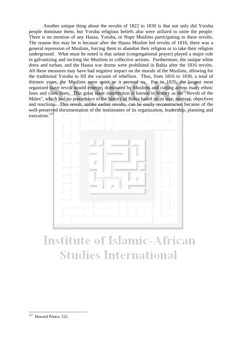Another unique thing about the revolts of 1822 to 1830 is that not only did Yoruba people dominate them, but Yoruba religious beliefs also were utilized to unite the people. There is no mention of any Hausa, Yoruba, or Nupe Muslims participating in these revolts. The reason this may be is because after the Hausa Muslim led revolts of 1816, there was a general repression of Muslims, forcing them to abandon their religion or to take their religion underground. What must be noted is that *salaat* (congregational prayer) played a major role in galvanizing and inciting the Muslims to collective actions. Furthermore, the unique white dress and turban, and the Hausa war drums were prohibited in Bahia after the 1816 revolts. All these measures may have had negative impact on the morale of the Muslims, allowing for the traditional Yoruba to fill the vacuum of rebellion. Thus, from 1816 to 1830, a total of thirteen years, the Muslims were quiet or it seemed so. For in 1835, the largest most organized slave revolt would emerge, dominated by Muslims and cutting across many ethnic lines and class lines. This great slave insurrection is known in history as the "Revolt of the Males", which had no precedence in the history of Bahia based on its size, motives, objectives and reactions. This revolt, unlike earlier revolts, can be easily reconstructed because of the well-preserved documentation of the testimonies of its organization, leadership, planning and execution.157



# **Institute of Islamic-African Studies International**

<sup>&</sup>lt;sup>157</sup> Howard Prince, 152.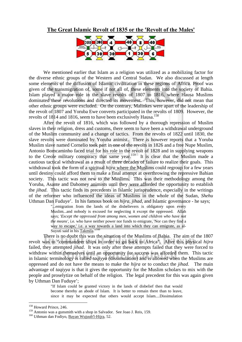#### **The Great Islamic Revolt of 1835 or the 'Revolt of the Males'**



 We mentioned earlier that Islam as a religion was utilized as a mobilizing factor for the diverse ethnic groups of the Western and Central Sudan. We also discussed at length some elements of the diffusion of Islamic civilization in these regions of Africa. Proof was given of the transmigration of, some if not all of, these elements into the society of Bahia. Islam played a major role in the slave revolts of 1807 to 1816, where Hausa Muslims dominated these revolutions and directed its movement. This, however, did not mean that other ethnic groups were excluded. On the contrary, Malinkes were apart of the leadership of the revolt of 1807 and Yoruba Ewe converts participated in the revolts of 1809. However, the revolts of 1814 and 1816, seem to have been exclusively Hausa.<sup>158</sup>

 After the revolt of 1816, which was followed by a thorough repression of Muslim slaves in their religion, dress and customs, there seem to have been a withdrawal underground of the Muslim community and a change of tactics. From the revolts of 1822 until 1830, the slave revolts were dominated by Yoruba animist. There is however reports that a Yoruba Muslim slave named Cornelio took part in one of the revolts in 1826 and a free Nupe Muslim, Antonio Bomcaminho faced trial for his role in the revolt of 1828 and in supplying weapons to the Creole military conspiracy that same year.<sup>159</sup> It is clear that the Muslim made a cautious tactical withdrawal as a result of three decades of failure to realize their goals. This withdrawal took the form of a spiritual *hijra* where the Muslims could regroup for a few years until destiny could afford them to make a final attempt at overthrowing the repressive Bahian society. This tactic was not new to the Muslims. This was their methodology among the Yoruba, Asante and Dahomey animists until they were afforded the opportunity to establish the *jihad*. This tactic finds its precedents in Islamic jurisprudence, especially in the writings of the reformer who influenced the ideas of Muslims in the whole of the Sudan, *Shehu* Uthman Dan Fuduye'. In his famous book on *hijra*, *jihad*, and Islamic governance - he says;

"...emigration from the lands of the disbelievers is obligatory upon every Muslim...and nobody is excused for neglecting it except the oppressed. Allah says; '*Except the oppressed from among men, women and children who have not the means'*, i.e. who have neither power nor funds to emigrate, 'Nor can they find a way to escape,' i.e. a way towards a land into which they can emigrate, as al-Suyuti said in his Takmila."<sup>160</sup>

 There is no doubt this was the situation of the Muslims of Bahia. The aim of the 1807 revolt was to "commandeer ships in order to go back to Africa". After this physical *hijra* failed, they attempted *jihad*. It was only after these attempts failed that they were forced to withdraw within themselves until an opportunity for success was afforded them. This tactic in Islamic terminology is called *taqiyya* (dissimulation) and is allowed when the Muslims are oppressed and do not have the means to make the *hijra* or to conduct the *jihad*. The main advantage of *taqiyya* is that it gives the opportunity for the Muslim scholars to mix with the people and proselytize on behalf of the religion. The legal precedent for this was again given by Uthman Dan Fuduye';

> "If Islam could be granted victory in the lands of disbelief then that would become thereby an abode of Islam. It is better to remain there than to leave, since it may be expected that others would accept Islam....Dissimulation

<sup>&</sup>lt;sup>158</sup> Howard Prince, 246.

<sup>159&</sup>lt;br>
<sup>159</sup> Antonio was a gunsmith with a shop in Salvador. See Joao J. Reis, 159.<br>
<sup>160</sup> Uthman dan Fodiyo, <u>Bayan Wujuub'l-Hijra</u>, 52.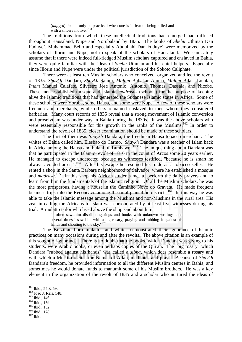(*taqiyya*) should only be practiced when one is in fear of being killed and then with a sincere motive."<sup>161</sup>

 The traditions from which these intellectual traditions had emerged had diffused throughout Hausaland, Nupe and Yorubaland by 1835. The books of *Shehu* Uthman Dan Fuduye', Muhammad Bello and especially Abdullahi Dan Fuduye' were memorized by the scholars of Illorin and Nupe, not to speak of the scholars of Hausaland. We can safely assume that if there were indeed full-fledged Muslim scholars captured and enslaved in Bahia, they were quite familiar with the ideas of *Shehu* Uthman and his chief helpers. Especially since Illorin and Nupe were under the political jurisdiction of the Sokoto Caliphate.

 There were at least ten Muslim scholars who conceived, organized and led the revolt of 1835. *Shaykh* Dandara, *Shaykh* Sanim, *Malam* Bubakar Ahuna, *Malam* Bilal Licutan, *Imam* Manuel Calafate, Silvestre Jose Antonio, Antonio, Thomas, Dassala, and Nicobe. These men established mosque and Islamic *madrasas* (schools) for the purpose of keeping alive the Islamic traditions that had generated the Sudanese Islamic states in Africa. Some of these scholars were Yoruba, some Hausa, and some were Nupe. A few of these scholars were freemen and merchants, while others remained enslaved to men whom they considered barbarian. Many court records of 1835 reveal that a strong movement of Islamic conversion and proselytism was under way in Bahia during the 1830s. It was the above scholars who were essentially responsible for this growth in the ranks of the Muslims.<sup>162</sup> In order to understand the revolt of 1835, closer examination should be made of these scholars.

 The first of them was *Shaykh* Dandara, the freedman Hausa tobacco merchant. The whites of Bahia called him, Elesbao do Carmo. *Shaykh* Dandara was a teacher of Islam back in Africa among the Hausa and Fulani of Tambawel.<sup>163</sup> The unique thing about Dandara was that he participated in the Islamic revolt of 1816 in the count of Arcos some 20 years earlier. He managed to escape undetected because as witnesses testified, "because he is smart he always avoided arrest".164 After his escape he resumed his trade as a tobacco seller. He rented a shop in the Santa Barbara neighborhood of Salvador, where he established a mosque and *madrasa*.<sup>165</sup> In this shop his African students met to perform the daily prayers and to learn from him the fundamentals of the Islamic religion. Of all the Muslim scholars, he was the most prosperous, having a house in the Caminho Novo do Gravata. He made frequent business trips into the Reconcavo among the rural plantation districts.<sup>166</sup> In this way he was able to take the Islamic message among the Muslims and non-Muslims in the rural area. His zeal in calling the Africans to Islam was corroborated by at least five witnesses during his trial. A mulatto tailor who lived above the shop said about him,

"I often saw him distributing rings and books with unknown writings...and several times I saw him with a big rosary, praying and rubbing it against his hands and shouting to the skv."<sup>167</sup>

 The Brazilian born mulattos and whites demonstrated their ignorance of Islamic practices on many occasions during and after the revolts. The above citation is an example of this sought of ignorance. There is no doubt that the books, which Dandara was giving to his students, were Arabic books, or even perhaps copies of the Qur'an. The "big rosary" which Dandara "rubbed against his hands" was called a *sibha*, which does resemble a rosary and with which a Muslim recites the Names of Allah, meditates and prays. Because of *Shaykh* Dandara's freedom, he provided information to all the different Muslim centers in Bahia, and sometimes he would donate funds to manumit some of his Muslim brothers. He was a key element in the organization of the revolt of 1835 and a scholar who nurtured the ideas of

<sup>&</sup>lt;sup>161</sup> Ibid., 55 & 59.

<sup>&</sup>lt;sup>162</sup> Joao J. Reis, 148.<br><sup>163</sup> Ibid., 146.<br><sup>164</sup> Ibid., 159.<br><sup>165</sup> Ibid., 178.<br><sup>167</sup> Ibid.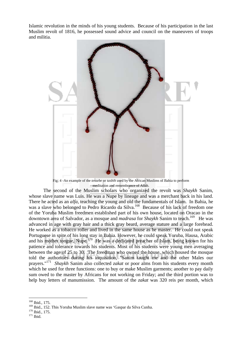Islamic revolution in the minds of his young students. Because of his participation in the last Muslim revolt of 1816, he possessed sound advice and council on the maneuvers of troops and militia.



Fig; 4 -An example of the *tessebe* or *tasbih* used by the African Muslims of Bahia to perform meditation and remembrance of Allah.

 The second of the Muslim scholars who organized the revolt was *Shaykh* Sanim, whose slave name was Luis. He was a Nupe by lineage and was a merchant back in his land. There he acted as an *alfa*, teaching the young and old the fundamentals of Islam. In Bahia, he was a slave who belonged to Pedro Ricardo da Silva.<sup>168</sup> Because of his lack of freedom one of the Yoruba Muslim freedmen established part of his own house, located on Oracao in the downtown area of Salvador, as a mosque and *madrasa* for *Shaykh* Sanim to teach.<sup>169</sup> He was advanced in age with gray hair and a thick gray beard, average stature and a large forehead. He worked as a tobacco roller and lived in the same house as he master. He could not speak Portuguese in spite of his long stay in Bahia. However, he could speak Yoruba, Hausa, Arabic and his mother tongue, Nupe.<sup>170</sup> He was a dedicated preacher of Islam, being known for his patience and tolerance towards his students. Most of his students were young men averaging between the age of 25 to 30. The freedman who owned the house, which housed the mosque told the authorities during his inquisition, "Sanim taught me and the other Males our prayers."171 *Shaykh* Sanim also collected *zakat* or poor alms from his students every month which he used for three functions: one to buy or make Muslim garments; another to pay daily sum owed to the master by Africans for not working on Friday; and the third portion was to help buy letters of manumission. The amount of the *zakat* was 320 reis per month, which

<sup>168</sup> Ibid., 175.

<sup>&</sup>lt;sup>169</sup> Ibid., 152. This Yoruba Muslim slave name was 'Gaspar da Silva Cunha.<br><sup>170</sup> Ibid., 175.<br><sup>171</sup> Ibid.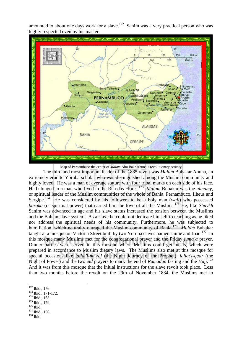amounted to about one days work for a slave.<sup>172</sup> Sanim was a very practical person who was highly respected even by his master.



Map of Pernambuco the center of *Malam* Abu Bakr Ahuna's revolutionary activity

 The third and most important leader of the 1835 revolt was *Malam* Bubakar Ahuna, an extremely erudite Yoruba scholar who was distinguished among the Muslim community and highly loved. He was a man of average stature with four tribal marks on each side of his face. He belonged to a man who lived in the Rua das Flores.173 *Malam* Bubakar was the *almamy*, or spiritual leader of the Muslim communities of the whole of Bahia, Pernambuco, Ilheus and Sergine.<sup>174</sup> He was considered by his followers to be a holy man *(wali)* who possessed He was considered by his followers to be a holy man *(wali)* who possessed *baraka* (or spiritual power) that earned him the love of all the Muslims.175 He, like *Shaykh* Sanim was advanced in age and his slave status increased the tension between the Muslims and the Bahian slave system. As a slave he could not dedicate himself to teaching as he liked nor address the spiritual needs of his community. Furthermore, he was subjected to humiliation, which naturally outraged the Muslim community of Bahia.176 *Malam* Bubakar taught at a mosque on Victoria Street built by two Yoruba slaves named Jaime and Joao.<sup>177</sup> In this mosque many Muslims met for the congregational prayer and the Friday *juma`a* prayer. Dinner parties were served in this mosque where Muslims could get meals, which were prepared in accordance to Muslim dietary laws. The Muslims also met at this mosque for special occasions like *lailat'l-mi`raj* (the Night Journey of the Prophet), *lailat'l-qadr* (the Night of Power) and the two *eid* prayers to mark the end of *Ramadan* fasting and the *Hajj*. 178 And it was from this mosque that the initial instructions for the slave revolt took place. Less than two months before the revolt on the 29th of November 1834, the Muslims met to

<sup>&</sup>lt;sup>172</sup> Ibid., 176.

<sup>173</sup> Ibid., 171-172.<br><sup>175</sup> Ibid., 163.<br><sup>175</sup> Ibid., 179.<br><sup>176</sup> Ibid., 156.<br><sup>178</sup> Ibid.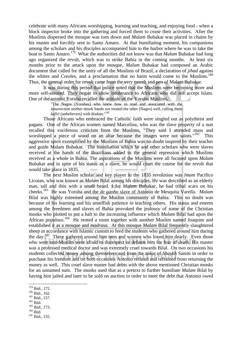celebrate with many Africans worshipping, learning and teaching, and enjoying food - when a block inspector broke into the gathering and forced them to cease their activities. After the Muslims dispersed the mosque was torn down and *Malam* Bubakar was placed in chains by his master and forcibly sent to Santo Amaro. At that humiliating moment, his companions among the scholars and his disciples accompanied him to the harbor where he was to take the boat to Santo Amaro.<sup>179</sup> What the authorities did not know was that *Malam* Bubakar had long ago organized the revolt, which was to strike Bahia in the coming months. At least six months prior to the attack upon the mosque, *Malam* Bubakar had composed an Arabic document that called for the unity of all the Muslims of Brazil, a declaration of *jihad* against the whites and Creoles, and a proclamation that no harm would come to the Muslims.<sup>180</sup> Thus, the general order for revolt came from the very mouth and pen of Malam Bubakar.

 It was during this period that police noted that the Muslims were becoming more and more self-assured. They began to show intolerance to Africans who did not accept Islam. One of the animist Yoruba recalled the attitude of the Yoruba Muslims,

> "The Nagos (Yorubas) who knew how to read and associated with the insurrection neither shook hands nor treated the other (Nagos) well, calling them *kafiri* (unbelievers) with disdain."181

 Those Africans who embraced the Catholic faith were singled out as polytheist and pagans. One of the African women named Marcelina, who was the slave property of a nun recalled this vociferous criticism from the Muslims, "They said I attended mass and worshipped a piece of wood on an altar because the images were not saints."<sup>182</sup> This aggressive spirit exemplified by the Muslims of Bahia was no doubt inspired by their teacher and guide Malam Bubakar. The humiliation which he and other scholars who were slaves received at the hands of the Brazilians added to the general repression which Muslims received as a whole in Bahia. The aspirations of the Muslims were all focused upon *Malam* Bubakar and in spite of his status as a slave, he would chart the course for the revolt that would take place in 1835.

 The next Muslim scholar and key player in the 1835 revolution was *Imam* Pacifico Licutan, who was known as *Malam* Bilal among his disciples. He was described as an elderly man, tall and thin with a small beard. Like *Malam* Bubakar, he had tribal scars on his cheeks.183 He was Yoruba and the *de ganho* slave of Antonio de Mesquita Varella. *Malam* Bilal was highly esteemed among the Muslim community of Bahia. This no doubt was because of his learning and his unselfish patience in teaching others. His status and esteem among the freedmen and slaves of Bahia provoked the jealousy of some of the Christian monks who plotted to put a halt to the increasing influence which *Malam* Bilal had upon the African populous.<sup>184</sup> He rented a room together with another Muslim named Joaquim and established it as a mosque and *madrasa*. At this mosque *Malam* Bilal frequently slaughtered sheep in accordance with Islamic custom to feed the students who gathered around him during the day.<sup>185</sup> There gathered around him men and women who loved him dearly. Even those who were non-Muslim were afraid to disrespect or defame him for fear of death. His master was a professed medical doctor and was extremely cruel towards Bilal. On two occasions his students collected money among themselves and from the *zakat* of *Shaykh* Sanim in order to purchase his freedom and on both occasions Antonio refused and refrained from returning the money as well. This cruel slave master had debts with the above mentioned Christian monks for an unnamed sum. The monks used that as a pretext to further humiliate *Malam* Bilal by having him jailed and later to be sold on auction in order to meet the debt that Antonio owed

- 
- 
- 
- 

<sup>&</sup>lt;sup>179</sup> Ibid., 172.

<sup>&</sup>lt;sup>180</sup> Ibid., 162.<br><sup>181</sup> Ibid., 157.<br><sup>182</sup> Ibid.<br><sup>183</sup> Ibid., 173.<br><sup>185</sup> Ibid., 155.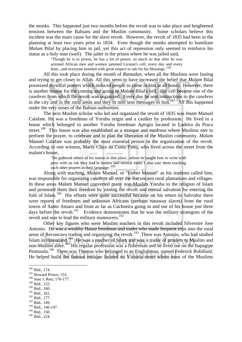the monks. This happened just two months before the revolt was to take place and heightened tensions between the Bahians and the Muslim community. Some scholars believe this incident was the main cause for the slave revolt. However, the revolt of 1835 had been in the planning at least two years prior to 1834. Even though the monks attempted to humiliate *Malam* Bilal by placing him in jail, yet this act of repression only seemed to reinforce his status as a holy man (*wali*). The jailer in the prison where he was jailed said,

> "Though he is in prison, he has a lot of power, so much so that after he was arrested African men and women jammed Licutan's cell, every day and every hour...and everyone kneeled with great respect to ask for his blessings."<sup>186</sup>

 All this took place during the month of *Ramadan*, when all the Muslims were fasting and trying to get closer to Allah. All this seem to have increased the belief that *Malam* Bilal possessed mystical powers which induced people to come to him at all hours. However, there is another reason for the coming and going to *Malam* Bilal's cell. His cell became one of the *casebres* from which the revolt was organized. Every day he sent instructions to the *casebres* in the city and in the rural areas and they in turn sent messages to  $\lim$ <sup>187</sup> All this happened under the very noses of the Bahian authorities.

 The next Muslim scholar who led and organized the revolt of 1835 was *Imam* Manuel Calafate. He was a freedman of Yoruba origin and a caulker by profession. He lived in a house which belonged to another Yoruba freedman Aprigio located in Ladeira da Praca street.188 This house was also established as a mosque and *madrasa* where Muslims met to perform the prayer, to celebrate and to plan the liberation of the Muslim community. *Malam* Manuel Calafate was probably the most essential person in the organization of the revolt. According to one witness, Maria Clara da Costa Pinto, who lived across the street from the malam's house,

> "He gathered others of his nation in that place...whom he taught how to write with pens with an ink they had in bottles and several times I also saw them teaching each other prayers in their language."<sup>189</sup>

 Along with teaching, *Malam* Manuel, or "Father Manuel" as his students called him, was responsible for organizing *casebres* all over the Reconcavo rural plantations and villages. In these areas Malam Manuel converted many non-Muslim Yoruba to the religion of Islam and promised them their freedom by joining the revolt and eternal salvation for entering the fold of Islam.<sup>190</sup> His efforts were quite successful because on his return to Salvodor there were reports of freedmen and unknown Africans (perhaps runaway slaves) from the rural towns of Santo Amaro and from as far as Cachoeira going in and out of his house just three days before the revolt.<sup>191</sup> Evidence demonstrates that he was the military strategists of the revolt and was to lead the military maneuvers.<sup>192</sup>

 Other key figures who were Muslim teachers in this revolt included Silverstre Jose Antonio. He was a wealthy Hausa freedman and trader who made frequent trips into the rural areas of Reconcavo trading and organizing the revolt.<sup>193</sup> There was Antonio, who had studied Islam in Hausaland.<sup>194</sup> He was a teacher of Islam and was a trader of amulets to Muslim and non-Muslim alike.<sup>195</sup> His regular profession was a fisherman and he lived out on the Itapagipe Peninsula.196 There was Thomas who belonged to an Englishman, named Federick Robillard. He helped build the famous mosque located on Victoria street where most of the Muslims

<sup>191</sup> Ibid., 161.

193 Ibid., 149.

<sup>&</sup>lt;sup>186</sup> Ibid., 174.

 $187$  Howard Prince, 153.  $188$  Joao J. Reis, 176-177.

<sup>189</sup> Ibid., 152.

<sup>190</sup> Ibid., 160.

<sup>192</sup> Ibid., 177.

<sup>194</sup> Ibid., 146-147.

<sup>195</sup> Ibid., 150.

<sup>196</sup> Ibid., 224.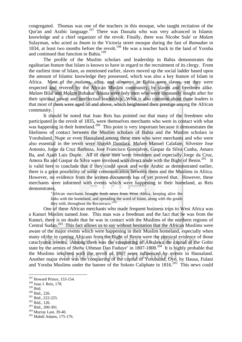congregated. Thomas was one of the teachers in this mosque, who taught recitation of the Qur'an and Arabic language.197 There was Dassalu who was very advanced in Islamic knowledge and a chief organizer of the revolt. Finally, there was Nicobe Sule' or *Malam* Sulayman, who acted as *Imam* in the Victoria street mosque during the fast of *Ramadan* in 1834, at least two months before the revolt.<sup>198</sup> He was a teacher back in the land of Yoruba and continued that function in Bahia.<sup>199</sup>

 The profile of the Muslim scholars and leadership in Bahia demonstrates the egalitarian feature that Islam is known to have in regard to the recruitment of its clergy. From the earliest time of Islam, as mentioned earlier, slaves moved up the social ladder based upon the amount of Islamic knowledge they possessed, which was also a key feature of Islam in Africa. Most of the *malams*, *alfas*, and *almamys* in Bahia were slaves, yet they were respected and revered by the African Muslim community, by slaves and freedmen alike. *Malam* Bilal and *Malam* Bubakar Ahuna were holy men who were constantly sought after for their spiritual power and intellectual leadership. What is also common about these leaders is that most of them were aged 50 and above, which heightened their prestige among the African community.

 It should be noted that Joao Reis has pointed out that many of the freedmen who participated in the revolt of 1835, were themselves merchants who were in contact with what was happening in their homeland.<sup>200</sup> This point is very important because it demonstrates the likeliness of contact between the Muslim scholars of Bahia and the Muslim scholars in Yorubaland, Nupe or even Hausaland.among these men who were merchants and who were also essential in the revolt were *Shaykh* Dandara, *Malam* Manuel Calafate, Silvestre Jose Antonio, Jorge da Cruz Barboza, Jose Francisco Goncalves, Gaspar da Silva Cunha, Amaro Ba, and Ajadi Luis Duple. All of these men were freedmen and especially Jorge da Cruz, Amora Ba and Gaspar da Silva were involved with direct trade with the Bight of Benin.<sup>201</sup> It is valid here to conclude that if they could speak and write Arabic as demonstrated earlier, there is a great possibility of some communication between them and the Muslims in Africa. However, no evidence from the written documents has of yet proved that. However, these merchants were informed with events which were happening in their homeland, as Reis demonstrates,

"African merchants brought fresh news from West Africa, keeping alive the links with the homeland, and spreading the word of Islam, along with the goods they sold, throughout the Reconvaco."<sup>202</sup>

 One of these African merchants who made frequent business trips to West Africa was a Kanuri Muslim named Jose. This man was a freedman and the fact that he was from the Kanuri, there is no doubt that he was in contact with the Muslims of the northern regions of Central Sudan.<sup>203</sup> This fact allows us to say without hesitation that the African Muslims were aware of the major events which were happening in their Muslim homeland, especially when many of the in coming Africans from the Bight of Benin were the physical evidence of those cataclysmic events. Among them was the conquering of Alkalawa the capital of the Gobir state by the armies of *Shehu* Uthman Dan Fuduye' in 1807-1808.<sup>204</sup> It is highly probable that the Muslims involved with the revolt of 1807 were influenced by events in Hausaland. Another major event was the conquering of the capital of Yorubalnd, Oyo, by Hausa, Fulani and Yoruba Muslims under the banner of the Sokoto Caliphate in  $1816$ <sup>205</sup>. This news could

- $198 \text{ Joao J. Reis, } 178.$ <br> $199 \text{ Thid.}$
- 

<sup>&</sup>lt;sup>197</sup> Howard Prince, 153-154.

<sup>200</sup> Ibid., 226.<br>
<sup>201</sup> Ibid., 222-225.<br>
<sup>202</sup> Ibid., 126.<br>
<sup>203</sup> Ibid., 300-301.<br>
<sup>204</sup> Murray Last, 39-40.<br>
<sup>205</sup> Mahdi Adams, 175-176.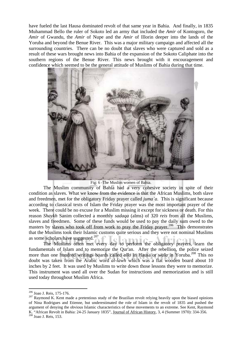have fueled the last Hausa dominated revolt of that same year in Bahia. And finally, in 1835 Muhammad Bello the ruler of Sokoto led an army that included the *Amir* of Kontogoro, the *Amir* of Gwandu, the *Amir* of Nupe and the *Amir* of Illorin deeper into the lands of the Yoruba and beyond the Benue River. This was a major military campaign and affected all the surrounding countries. There can be no doubt that slaves who were captured and sold as a result of these wars brought news into Bahia of the expansion of the Sokoto Caliphate into the southern regions of the Benue River. This news brought with it encouragement and confidence which seemed to be the general attitude of Muslims of Bahia during that time.



Fig: 6 -The Muslim women of Bahia.

 The Muslim community of Bahia had a very cohesive society in spite of their condition as slaves. What we know from the evidence is that the African Muslims, both slave and freedmen, met for the obligatory Friday prayer called *juma`a*. This is significant because according to classical texts of Islam the Friday prayer was the most important prayer of the week. There could be no excuse for a Muslim missing it except for sickness or death. For this reason *Shaykh* Sanim collected a monthly *sadaqa* (alms) of 320 *reis* from all the Muslims, slaves and freedmen. Some of these funds would be used to pay the daily sum owed to the masters by slaves who took off from work to pray the Friday prayer.<sup>206</sup> This demonstrates that the Muslims took their Islamic customs quite serious and they were not nominal Muslims as some scholars have suggested.<sup>207</sup>

 The Muslims often met every day to perform the obligatory prayers, learn the fundamentals of Islam and to memorize the Qur'an. After the rebellion, the police seized more than one hundred writings boards called *allo* in Hausa or *wala* in Yoruba.<sup>208</sup> This no doubt was taken from the Arabic word *al-lawh* which was a flat wooden board about 10 inches by 2 feet. It was used by Muslims to write down those lessons they were to memorize. This instrument was used all over the Sudan for instructions and memorization and is still used today throughout Muslim Africa.

<sup>&</sup>lt;sup>206</sup> Joao J. Reis, 175-176.

 $207$  Raymond K. Kent made a pretentious study of the Brazilian revolt relying heavily upon the biased opinions of Nina Rodrigues and Etienne, but underestimated the role of Islam in the revolt of 1835 and pushed the argument of denying the obvious Islamic characteristics of these movements to an extreme. See Kent, Raymond K. "African Revolt in Bahia: 24-25 January 1835", Journal of African History, 3, 4 (Summer 1970): 334-356. 208 Joao J. Reis, 153.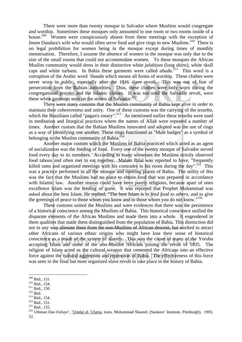There were more than twenty mosque in Salvador where Muslims would congregate and worship. Sometimes these mosques only amounted to one room or two rooms inside of a house.<sup>209</sup> Women were conspicuously absent from these meetings with the exception of *Imam* Dandara's wife who would often serve food and give rings to new Muslims.<sup>210</sup> There is no legal prohibition for women being in the mosque except during times of monthly menstruation. Therefore, I assume the absence of women in the mosque was only due to the size of the small rooms that could not accommodate women. To these mosques the African Muslim community would dress in their distinctive white *jalabiyas* (long shirts), white skull caps and white turbans. In Bahia these garments were called *abada*<sup>211</sup> This word is a corruption of the Arabic word *`ibaada* which means all forms of worship. These clothes were never worn in public, especially after the 1816 slave revolt. This was out of fear of persecution from the Bahian authorities. Thus, these clothes were only worn during the congregational prayers and the Islamic classes. It was not until the Salvador revolt, were these white garments seen on the streets of Salvador.<sup>212</sup>

 There were many customs that the Muslim community of Bahia kept alive in order to maintain their cohesiveness and unity. One of these customs was the carrying of the *tesseba*, which the Brazilians called "pagan's rosary".<sup>213</sup> As mentioned earlier these *tesseba* were used in meditation and liturgical practices where the names of Allah were repeated a number of times. Another custom that the Bahian Muslims innovated and adopted was the use of rings as a way of identifying one another. These rings functioned as "Male badges" as a symbol of belonging to the Muslim community of Bahia.<sup>214</sup>

Another major custom which the Muslims of Bahia practiced which acted as an agent of socialization was the feeding of food. Every one of the twenty mosque of Salvador served food every day to its members. According to many witnesses the Muslims strictly observed food taboos and often met to eat together. Malam Bilal was reported to have, "frequently killed rams and organized meetings with his comrades in his room during the day".<sup>215</sup> This was a practice performed in all the mosque and meeting places of Bahia. The utility of this was the fact that the Muslims had no place to obtain food that was prepared in accordance with Islamic law. Another reason could have been purely religious, because apart of ones excellence Islam was the feeding of guest. It was reported that Prophet Muhammad was asked about the best Islam. He replied, "The best Islam is *to feed food to others*, and to give the greetings of peace to those whom you know and to those whom you do not know."<sup>216</sup>

 These customs united the Muslims and were evidences that there was the persistence of a historical conscience among the Muslims of Bahia. This historical conscience unified the disparate elements of the African Muslims and made them into a whole. It engendered in them qualities that made them distinguished from the population of Bahia. This distinction did not in any way alienate them from the non-Muslims of African descent, but worked to attract other Africans of various ethnic origins who might have lose their sense of historical conscience as a result of the system of slavery. This was the cause of many of the Yoruba accepting Islam and some of the non-Muslim Africans joining the revolt of 1835. The religion of Islam acted as the cultural weapon that cemented the Africans into an effective force against the cultural aggression and repression of Bahia. The effectiveness of this force was seen in the final but most organized slave revolt to take place in the history of Bahia.

- 
- 

 $209$  Ibid., 151.

<sup>210</sup> Ibid., 154.<br>
<sup>211</sup> Ibid., 150.<br>
<sup>212</sup> Ibid., 150.<br>
<sup>213</sup> Ibid., 154.<br>
<sup>214</sup> Ibid., 151.<br>
<sup>215</sup> Ibid., 155.<br>
<sup>216</sup> Uthman Dan Fufuye', <u>`Umdat al-`Ulama</u>, trans. Muhammad Shareef, (Sankore' Institute, Pittsburgh), 1993 52.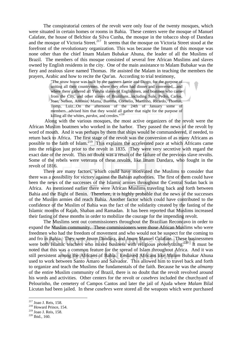The conspiratorial centers of the revolt were only four of the twenty mosques, which were situated in certain homes or rooms in Bahia. These centers were the mosque of Manuel Calafate, the house of Belchior da Silva Cunha, the mosque in the tobacco shop of Dandara and the mosque of Victoria Street.<sup>217</sup> It seems that the mosque on Victoria Street stood at the forefront of the revolutionary organization. This was because the Imam of this mosque was none other than the chief Imam Malam Bubakar Ahuna, the leader of all the Muslims of Brazil. The members of this mosque consisted of several free African Muslims and slaves owned by English residents in the city. One of the main assistance to Malam Bubakar was the fiery and zealous slave named Thomas. He assisted the Malam in teaching the members the prayers, Arabic and how to recite the Qur'an. According to trial testimony,

> "The straw house was built by the partners Jamie and Diogo, for the purpose of uniting all their countrymen, where they often had dinner and conversed,...and where there gathered all Yoruba slaves of Englishmen, and boatmen who came from the City, and other slaves of Brazilians...including Sule, Pedro, Carlos, Joao, Nelson, Antonio, Mama, Burema, Cornelio, Martinho, Ricardo, Thomas, Tomp, Luiz...On the afternoon of the 24th of January some of members...advised him that they would all gather that night for the purpose of killing all the whites, *pardos*, and creoles."218

 Along with the various mosques, the most active organizers of the revolt were the African Muslim boatmen who worked in the harbor. They passed the news of the revolt by word of mouth. And it was perhaps by them that ships would be commandeered, if needed, to return back to Africa. The first stage of the revolt was the conversion of as many Africans as possible to the faith of Islam.<sup>219</sup> This explains the accelerated pace at which Africans came into the religion just prior to the revolt in 1835. They were very secretive with regard the exact date of the revolt. This no doubt was a result of the failure of the previous slave revolts. Some of the rebels were veterans of these revolts, like Imam Dandara, who fought in the revolt of 1816.

 There are many factors, which could have motivated the Muslims to consider that there was a possibility for victory against the Bahian authorities. The first of them could have been the news of the successes of the Islamic armies throughout the Central Sudan back in Africa. As mentioned earlier there were African Muslims traveling back and forth between Bahia and the Bight of Benin. Therefore, it is highly probable that the news of the successes of the Muslim armies did reach Bahia. Another factor which could have contributed to the confidence of the Muslim of Bahia was the fact of the solidarity created by the fasting of the Islamic months of Rajab, Shaban and Ramadan. It has been reported that Muslims increased their fasting of these months in order to mobilize the courage for the impending revolt.

 The Muslims sent out commissioners throughout the Brazilian Reconcavo in order to expand the Muslim community. These commissioners were those African Muslims who were freedmen who had the freedom of movement and who would not be suspect for the coming to and fro in Bahia. They were *Imam* Dandara, and *Imam* Manuel Calafate. These businessmen were both Islamic teachers who mixed business with religious proselytizing.<sup>220</sup> It must be noted that this was a common feature for the spread of Islam throughout Africa. And it was still persistent among the Africans of Bahia. Enslaved Africans like *Malam* Bubakar Ahuna used to work between Santo Amaro and Salvador. This allowed him to travel back and forth to organize and teach the Muslims the fundamentals of the faith. Because he was the *almamy* of the entire Muslim community of Brazil, there is no doubt that the revolt revolved around his words and activities. Other centers for the revolt or *casebres* included the churchyard of Pelourinho, the cemetery of Campos Cantos and later the jail of Ajuda where *Malam* Bilal Licutan had been jailed. In these *casebres* were stored all the weapons which were purchased

<sup>&</sup>lt;sup>217</sup> Joao J. Reis, 158.

 $218$  Howard Prince, 154.

<sup>&</sup>lt;sup>219</sup> Joao J. Reis, 158.<br><sup>220</sup> Ibid., 160.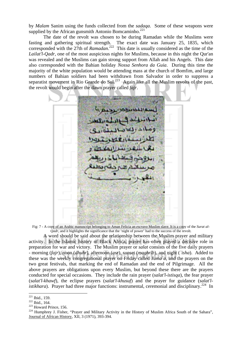by *Malam* Sanim using the funds collected from the *sadaqa*. Some of these weapons were supplied by the African gunsmith Antonio Bomcaminho.<sup>221</sup>

 The date of the revolt was chosen to be during Ramadan while the Muslims were fasting and gathering spiritual strength. The exact date was January 25, 1835, which corresponded with the 27th of *Ramadan*.<sup>222</sup> This date is usually considered as the time of the *Lailat'l-Qadr*, one of the most auspicious nights for Muslims, because in this night the Qur'an was revealed and the Muslims can gain strong support from Allah and his Angels. This date also corresponded with the Bahian holiday *Nossa Senhora da Guia*. During this time the majority of the white population would be attending mass at the church of Bomfim, and large numbers of Bahian soldiers had been withdrawn from Salvador in order to suppress a separatist movement in Rio Grande do Sul.<sup>223</sup> -Again like all the Muslim revolts of the past, the revolt would begin after the dawn prayer called *fajr*.

Fig: 7 - A copy of an Arabic manuscript belonging to Aman Felicia an *escravo* Muslim slave. It is a copy of the *Surat al-Qadr*, and it highlights the significance that the 'night of power' had to the success of the revolt.

 A word should be said about the relationship between the Muslim prayer and military activity. In the Islamic history of Black Africa, prayer has often played a decisive role in preparation for war and victory. The Muslim prayer or *salat* consists of the five daily prayers - morning (*fajr*), noon (*dhuhr*), afternoon (*asr*), sunset (*maghrib*), and night (*`isha*). Added to these was the weekly congregational prayer on Friday called *Juma`a*, and the prayers on the two great festivals, that marking the end of Ramadan and the end of Pilgrimage. All the above prayers are obligations upon every Muslim, but beyond these there are the prayers conducted for special occasions. They include the rain prayer (*salat'l-istisqa*), the fear prayer (*salat'l-khawf*), the eclipse prayers (*salat'l-khusuf*) and the prayer for guidance (*salat'listikhara*). Prayer had three major functions: instrumental, ceremonial and disciplinary.<sup>224</sup> In

<sup>&</sup>lt;sup>221</sup> Ibid., 159.

<sup>222</sup> Ibid., 159. 223<br>
223 Howard Prince, 156.<br>
<sup>223</sup> Howard Prince, 156. <sup>224</sup> Humphrey J. Fisher, "Prayer and Military Activity in the History of Muslim Africa South of the Sahara", Journal of African History, XII, 3 (1971), 393-394.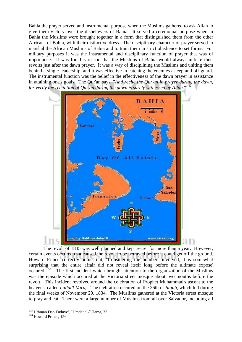Bahia the prayer served and instrumental purpose when the Muslims gathered to ask Allah to give them victory over the disbelievers of Bahia. It served a ceremonial purpose when in Bahia the Muslims were brought together in a form that distinguished them from the other Africans of Bahia, with their distinctive dress. The disciplinary character of prayer served to marshal the African Muslims of Bahia and to train them in strict obedience to set forms. For military purposes it was the instrumental and disciplinary function of prayer that was of importance. It was for this reason that the Muslims of Bahia would always initiate their revolts just after the dawn prayer. It was a way of disciplining the Muslims and uniting them behind a single leadership, and it was effective in catching the enemies asleep and off-guard. The instrumental function was the belief in the effectiveness of the dawn prayer in assistance in attaining one's goals. The Qur'an says, "*And recite the Qur'an in prayer during the dawn, for verily the recitation of Our'an during the dawn is surely witnessed by Allah.*"<sup>22</sup>



The revolt of 1835 was well planned and kept secret for more than a year. However, certain events occured that caused the revolt to be betrayed before it could get off the ground. Howard Prince correctly points out, "Considering the numbers involved, it is somewhat surprising that the entire affair did not reveal itself long before the ultimate expose' occured. $1226$  The first incident which brought attention to the organization of the Muslims was the episode which occured at the Victoria street mosque about two months before the revolt. This incident revolved around the celebration of Prophet Muhammad's ascent to the heavens, called *Lailat'l-Miraj*. The elebration occured on the 26th of *Rajab*, which fell during the final weeks of November 29, 1834. The Muslims gathered at the Victoria street mosque to pray and eat. There were a large number of Muslims from all over Salvador, including all

<sup>&</sup>lt;sup>225</sup> Uthman Dan Fuduye', <u>`Umdat al-`Ulama</u>, 37.<br><sup>226</sup> Howard Prince, 156.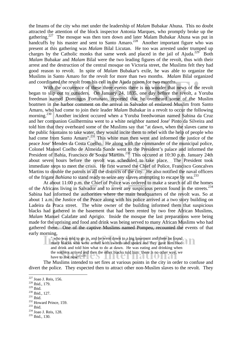the Imams of the city who met under the leadership of *Malam* Bubakar Ahuna. This no doubt attracted the attention of the block inspector Antonia Marques, who promptly broke up the gathering.<sup>227</sup> The mosque was then torn down and later Malam Bubakar Ahuna was put in handcuffs by his master and sent to Santo Amaro.<sup>228</sup> Another important figure who was present at this gathering was *Malam* Bilal Licutan. He too was arrested under trumped up charges by the Catholic monks that same week and placed in the jail of Ajuda.<sup>229</sup> Both *Malam* Bubakar and *Malam* Bilal were the two leading figures of the revolt, thus with their arrest and the destruction of the central mosque on Victoria street, the Muslims felt they had good reason to revolt. In spite of *Malam* Bubakar's exile, he was able to organize the Muslims in Santo Amaro for the revolt for more than two months. *Malam* Bilal organized and coordinated the revolt from his cell in the Ajuda prison for two months.

With the occurrence of these three events there is no wonder that news of the revolt began to slip out to outsiders. On January 24, 1835, one day before the revolt, a Yoruba freedman named Domingos Fortunato, reported that he overheard some of the Muslim boatmen in the harbor comment on the arrival in Salvador of enslaved Muslim from Santo Amaro, who had come to join their leader *Malam* Bubakar in a revolt to occur the following morning.<sup>230</sup> Another incident occured when a Yoruba freedwoman named Sabina da Cruz and her companion Guilhermina went to a white neighbor named Jose' Pinto da Silveira and told him that they overheard some of the Muslims say that "at dawn, when the slaves came to the public fountains to take water, they would incite them to rebel with the help of people who had come from Santo Amaro".<sup>231</sup> This white man then went and informed the justice of the peace Jose' Mendes da Costa Coelho. He along with the commander of the municipal police, Colonel Manoel Coelho de Almeida Sande went to the President's palace and informed the President of Bahia, Francisco de Souza Martins.<sup>232</sup> This occured at 10:30 p.m. January 24th about seven hours before the revolt was scheduled to take place. The President took immediate steps to meet the crisis. He first warned the Chief of Police, Francisco Goncalves Martins to double the patrols in all the districts of the city. He also notified the naval officers of the frigate *Bahiana* to stand ready to seize any slaves attempting to escape by sea.<sup>233</sup>

At about 11:00 p.m. the Chief of Police was ordered to make a search of all the homes of the Africans living in Salvador and to arrest any suspicious person found in the streets.<sup>234</sup> Sabina had informed the authorities where the main headquarters of the revolt was. So at about 1 a.m. the Justice of the Peace along with his police arrived at a two story building on Ladeira da Praca street. The white owner of the building informed them that suspicious blacks had gathered in the basement that had been rented by two free African Muslims, *Malam* Manuel Calafate and Aprigio. Inside the mosque the last preparations were being made for the uprising and food and drink was being served to many African Muslims who had gathered there. One of the captive Muslims named Pompeu, recounted the events of that early morning,

" who was told to go in, and he went down to a big basement and there he found many blacks who were armed with swords and spears and they gave him food and drink and told him what to do at dawn. He was eating and drinking when the soldiers arrived and then the other blacks told him: 'there is no other way, we

have to rise now!'."<sup>235</sup>

The Muslims intended to set fires at various points in the city in order to confuse and divert the police. They expected then to attract other non-Muslim slaves to the revolt. They

1

<sup>228</sup> Ibid., 179.<br><sup>229</sup> Ibid.<br><sup>230</sup> Ibid. 127.<br><sup>231</sup> Ibid. <sup>232</sup> Howard Prince, 159.<br><sup>233</sup> Ibid. <sup>234</sup> Joao J. Reis, 128.<br><sup>235</sup> Ibid., 130.

<sup>&</sup>lt;sup>227</sup> Joao J. Reis, 156.<br><sup>228</sup> Ibid., 179.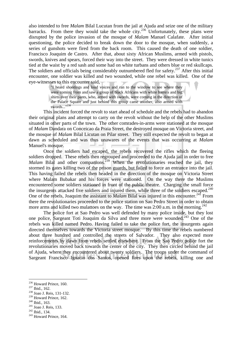also intended to free *Malam* Bilal Lucutan from the jail at Ajuda and seize one of the military barracks. From there they would take the whole city.<sup>236</sup> Unfortunately, these plans were disrupted by the police invasion of the mosque of *Malam* Manuel Calafate. After initial questioning, the police decided to break down the door to the mosque, when suddenly, a series of gunshots were fired from the back room. This caused the death of one soldier, Francisco Joaquim de Castro. After that, about sixty African Muslims, armed with pistols, swords, knives and spears, forced their way into the street. They were dressed in white tunics tied at the waist by a red sash and some had on white turbans and others blue or red skullcaps. The soldiers and officials being considerably outnumbered fled for safety.<sup>237</sup> After this initial encounter, one soldier was killed and two wounded, while one rebel was killed. One of the eye-witnesses to this encounter said,

"I heard shootings and loud voices and ran to the window to see where they were coming from and saw a group of black Africans with white barrets and big shirts over their pants, who, armed with swords, were coming in the direction of the Palace Square and just behind this group came another, also armed with swords..."238

This incident forced the revolt to start ahead of schedule and the rebels had to abandon their original plans and attempt to carry on the revolt without the help of the other Muslims situated in other parts of the town. The other comrades-in-arms were stationed at the mosque of *Malam* Dandara on Conceicao da Praia Street, the destroyed mosque on Victoria street, and the mosque of *Malam* Bilal Licutan on Pilar street. They still expected the revolt to began at dawn as scheduled and was thus unawares of the events that was occurring at *Malam* Manuel's mosque.

 Once the soldiers had escaped, the rebels recovered the rifles which the fleeing soldiers dropped. These rebels then regrouped and proceeded to the Ajuda jail in order to free *Malam* Bilal and other companions.<sup>239</sup> When the revolutionaries reached the jail, they stormed its gates killing two of the prison guards, but failed to force an entrance into the jail. This having failed the rebels then headed in the direction of the mosque on Victoria Street where Malam Bubakar and his forces were stationed. On the way there the Muslims encountered some soldiers stationed in front of the public theatre. Charging the small force the insurgents attacked five soldiers and injured them, while three of the soldiers escaped.<sup>240</sup> One of the rebels, Joaquim the assistant to *Malam* Bilal was injured in this encounter.<sup>241</sup> From there the revolutionaries proceeded to the police station on Sao Pedro Street in order to obtain more arms and killed two mulattoes on the way. The time was  $2:00$  a.m. in the morning.<sup>242</sup>

The police fort at Sao Pedro was well defended by many police inside, but they lost one police, Sargeant Toti Joaquim da Silva and three more were wounded.<sup>243</sup> One of the rebels was killed named Pedro. Having failed to take the police fort, the insurgents again directed themselves towards the Victoria street mosque. By this time the rebels numbered about three hundred and controlled the streets of Salvador. They also expected more reinforcements by dawn from rebels settled elsewhere. From the Sao Pedro police fort the revolutionaries moved back towards the center of the city. They then circled behind the jail of Ajuda, where they encountered about twenty soldiers. The troops under the command of Sargeant Francisco Ignacio dos Santos, opened fires upon the rebels, killing one and

- <sup>236</sup> Howard Prince, 160.<br><sup>237</sup> Ibid., 162.<br><sup>238</sup> Joao J. Reis, 131-132.<br><sup>239</sup> Howard Prince, 162.
- 
- 
- 

<sup>&</sup>lt;sup>240</sup> Ibid., 163.<br><sup>241</sup> Joao J. Reis, 133.<br><sup>242</sup> Ibid., 134.<br><sup>243</sup> Howard Prince, 164.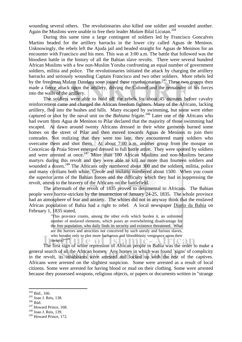wounding several others. The revolutionaries also killed one soldier and wounded another. Again the Muslims were unable to free their leader *Malam* Bilal Licutan.<sup>244</sup>

During this same time a large contingent of soldiers led by Francisco Goncalves Martins headed for the artillery barracks in the lower city called Aguas de Meninos. Unknowingly, the rebels left the Ajuda jail and headed straight for Aguas de Meninos for an encounter with Francisco and his men. This was at 3:00 a.m. The battle that followed was the bloodiest battle in the history of all the Bahian slave revolts. There were several hundred African Muslims with a few non-Muslim Yoruba confronting an equal number of government soldiers, militia and police. The revolutionaries initiated the attack by charging the artillery barracks and seriously wounding Captain Francisco and two other soldiers. More rebels led by the freedman Malam Dandara soon joined these revolutionaries.<sup>245</sup> These two groups then made a fierce attack upon the artillery, driving the Colonel and the remainder of his forces into the walls of the artillery.

The soldiers were able to hold off the rebels for about 45 minutes before cavalry reinforcement came and charged the African freedom fighters. Many of the Africans, lacking artillery, fled into the bushes and hills. Many escaped by swimming, but some were either captured or shot by the naval unit on the *Bahiana* frigate.<sup>246</sup> Later one of the Africans who had swum from Agua de Meninos to Pilar declared that the majority of those swimming had escaped. At dawn around twenty Africans dressed in their white garments burned some homes on the street of Pilar and then moved towards Aguas de Meninos to join their comrades. Not realizing that they were too late, they encountered many soldiers who overcame them and shot them. At about 7:00 a.m. another group from the mosque on Conceicao da Praia Street emerged dressed in full battle attire. They were spotted by soldiers and were arrested at once.<sup>247</sup> More than 100 African Muslims and non-Muslims became martyrs during this revolt and they were able to kill no more than fourteen soldiers and wounded a dozen.<sup>248</sup> The Africans only numbered about 300 and the soldiers, militia, police and many civilians both white, Creole and mulatto numbered about 1500. When you count the superior arms of the Bahian forces and the difficulty which they had in suppressing the revolt, attests to the bravery of the Africans on the battlefield.

The aftermath of the revolt of 1835 proved to detrimental to Africans. The Bahian people were horror-stricken by the insurrection of January 24-25, 1835. The whole province had an atmosphere of fear and anxiety. The whites did not in anyway think that the enslaved African population of Bahia had a right to rebel. A local newspaper Diario da Bahia on February 1, 1835 stated,

> "This province counts, among the other evils which burden it, an unlimited number of enslaved elements, which poses an overwhelming disadvantage for the free population, who daily finds its security and existence threatened. What are the horrors and atrocities not conceived by such unruly and furious slaves, who breathe only to plot more barbarous and bloodthirsty vengeance upon their owners?" $^{249}$  | | | | | | <u> ภาพ เ</u>

 The first sign of white repression of African people in Bahia was the order to make a general search of all the African homes. Any homes in which was found `signs' of complicity in the revolt, its inhabitants were arrested and locked up with the rest of the captives. Africans were arrested on the slightest suspicion. Some were arrested as a result of local citizens. Some were arrested for having blood or mud on their clothing. Some were arrested because they possessed weapons, religious objects, or papers or documents written in "strange

<sup>&</sup>lt;sup>244</sup> Ibid., 166.

<sup>&</sup>lt;sup>245</sup> Joao J. Reis, 138.<br><sup>246</sup> Ibid.<br><sup>247</sup> Howard Prince, 168.<br><sup>248</sup> Joao J. Reis, 139.

<sup>&</sup>lt;sup>249</sup> Howard Prince, 172.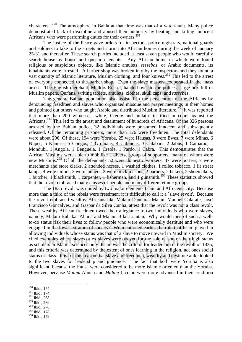characters".<sup>250</sup> The atmosphere in Bahia at that time was that of a witch-hunt. Many police demonstrated lack of discipline and abused their authority by beating and killing innocent Africans who were performing duties for their owners.251

The Justice of the Peace gave orders for inspectors, police registrars, national guards and soldiers to take to the streets and storm into African homes during the week of January 25-31 and thereafter. These search parties included at least seven people who would carefully search house by house and question tenants. Any African home in which were found religious or suspicious objects, like Islamic amulets, *tessebas*, or Arabic documents, its inhabitants were arrested. A barber shop was broken into by the inspectors and they found a vast quantity of Islamic literature, Muslim clothing, and four knives.<sup>252</sup> This led to the arrest of everyone connected to the barber shop. Even the slave masters cooperated in the mass arrest. The English merchant, Mellors Russel, handed over to the police a large box full of Muslim papers, Qur'ans, writing tablets, amulets, clothes, skull caps, and *tassebes*.

 The general Bahian population also assisted in the persecution of the Africans by denouncing freedmen and slaves who organized mosque and prayer meetings in their homes and pointed out others who taught Arabic and distributed Muslim literature.<sup>253</sup> It was reported that more than 200 witnesses, white, Creole and mulatto testified in court against the Africans.<sup>254</sup> This led to the arrest and detainment of hundreds of Africans. Of the 326 persons arrested by the Bahian police, 32 individuals were presumed innocent and subsequently released. Of the remaining prisoners, more than 126 were freedmen. The total defendants were about 296. Of these, 194 were Yoruba, 25 were Hausas, 9 were Ewes, 7 were Minas, 6 Nupes, 5 Kanuris, 5 Congos, 4 Grumans, 4 Cabindas, 3 Calabars, 2 Jabus, 1 Camarao, 1 Mondubi, 1 Angola, 1 Benguela, 1 Creole, 1 Pardo, 1 Cabra. This demonstrates that the African Muslims were able to mobilize a diverse group of supporters, many of whom were new Muslims.255 Of all the defendants 52 were domestic workers, 37 were porters, 7 were merchants and store clerks, 2 attended horses, 1 washed clothes, 1 rolled tobacco, 1 lit street lamps, 4 were tailors, 3 were tanners, 2 were brick masons, 2 barbers, 2 bakers, 2 shoemakers, 1 butcher, 1 blacksmith, 1 carpenter, 1 fisherman, and 1 gunsmith.256 These statistics showed that the revolt embraced many classes of people and many different ethnic groups.

 The 1835 revolt was united by two major elements Islam and Afrocentricity. Because more than a third of the rebels were freedmen, it is difficult to call it a `slave revolt'. Because the revolt embraced wealthy Africans like Malam Dandara, Malam Manuel Calafate, Jose' Francisco Goncalves, and Gaspar da Silva Cunha, attest that the revolt was not a class revolt. These wealthy African freedmen owed their allegiance to two individuals who were slaves, namely; Malam Bubakar Ahuna and Malam Bilal Licutan. Why would men of such a wellto-do status risk their lives to follow people who were economically destitute and who were engaged in the lowest stratum of society? We mentioned earlier the role that Islam played in allowing individuals whose status was that of a slave to move upward in Muslim society. We cited examples where slaves or ex-slaves were obeyed for the sole reason of their high status as scholars in Islamic sciences only. Islam was the criteria for leadership in the revolt of 1835, and this criteria was determined by the extent of ones learning in the religion, not ones social status or class. It is for this reason that slave and freedmen, wealthy and destitute alike looked to the two slaves for leadership and guidance. The fact that both were Yoruba is also significant, because the Hausa were considered to be more Islamic oriented than the Yoruba. However, because *Malam* Ahuna and *Malam* Licutan were more advanced in their erudition

- 
- 
- 
- 
- <sup>251</sup> Ibid., 174.<br><sup>252</sup> Ibid., 268.<br><sup>253</sup> Ibid., 269.<br><sup>255</sup> Ibid., 178.<br><sup>255</sup> Ibid., 178.
- 

<sup>&</sup>lt;sup>250</sup> Ibid., 174.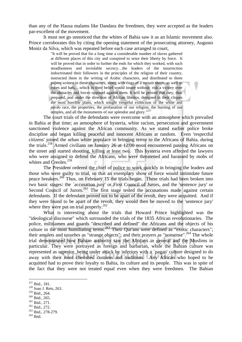than any of the Hausa malams like Dandara the freedmen, they were accepted as the leaders par-excellent of the movement.

 It must not go unnoticed that the whites of Bahia saw it as an Islamic movement also. Prince corroborates this by citing the opening statement of the prosecuting attorney, Augusto Moniz da Silva, which was repeated before each case arranged in court,

> "It will be proved that for a long time a considerable number of slaves gathered at different places of this city and conspired to seize their liberty by force. It will be proved that in order to further the ends for which they worked, with such steadfastness and inviolable secrecy…the leaders of the insurrection indoctrinated their followers in the principles of the religion of their country, instructed them in the writing of Arabic characters, and distributed to them papers written in these characters, along with rings of a certain shape, as well as robes and hats,…which in their belief would insure without risk a victory over the obstacles and forces opposed against them. It will be proved that they, thus prepared, and under the direction of African libertos, designed in their cliques the most horrible plans, which sought vengeful extinction of the white and *pardo* race, the properties, the profanation of our religion, the burning of our temples, and all the monuments of our splendor and glory."<sup>257</sup>

The court trials of the defendants were overcome with an atmosphere which prevailed in Bahia at that time; an atmosphere of hysteria, white racism, persecution and government sanctioned violence against the African community. As we stated earlier police broke discipline and began killing peaceful and innocent Africans at random. Even 'respectful citizens' joined the urban white populace in bringing terror to the Africans of Bahia, during the trials.258 Armed civilians on January 26 at 12:00 noon encountered passing Africans on the street and started shooting, killing at least two. This hysteria even affected the lawyers who were assigned to defend the Africans, who were threatened and harassed by mobs of whites and Creoles.<sup>259</sup>

The President ordered the chief of police to work quickly in bringing the leaders and those who were guilty to trial, so that an exemplary show of force would intimidate future peace breakers.<sup>260</sup> Thus, on February 15 the trials began. These trials had been broken into two basic stages: the `accusation jury' or First Council of Jurors, and the 'sentence jury' or Second Council of Jurors.<sup>261</sup> The first stage tested the accusations made against certain defendants. If the defendant proved not to be apart of the revolt, they were acquitted. And if they were found to be apart of the revolt, they would then be moved to the 'sentence jury' where they were put on trial properly.<sup>262</sup>

 What is interesting about the trials that Howard Prince highlighted was the "ideological discourse" which surrounded the trials of the 1835 African revolutionaries. The police, militiamen and guards "described and defined" the Africans and the objects of his culture in the most humiliating terms.<sup>263</sup> Their Qur'ans were defined as "exotic characters"; their amulets and *tassebes* as "strange objects"; and their prayers as "nonsense".<sup>264</sup> The whole trial demonstrated how Bahian authority saw the Africans in general and the Muslims in particular. They were portrayed as foreign and barbarian, while the Bahian culture was represented as superior, being under attack by inferiors with a `pagan' culture designed to do away with their most cherished customs and traditions. Any African who hoped to be acquitted had to prove their loyalty to Bahia, its culture and its people. This was in spite of the fact that they were not treated equal even when they were freedmen. The Bahian

- 
- 
- 
- 

<sup>&</sup>lt;sup>257</sup> Ibid., 181.<br><sup>258</sup> Joao J. Reis, 263.<br><sup>259</sup> Ibid., 264.

<sup>&</sup>lt;sup>260</sup> Ibid., 265.<br><sup>261</sup> Ibid., 271.<br><sup>262</sup> Ibid., 272.<br><sup>263</sup> Ibid., 278-279.<br><sup>264</sup> Ibid.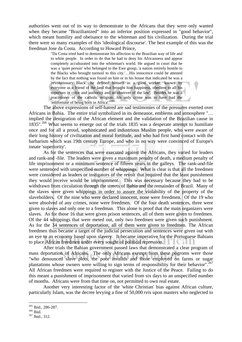authorities went out of its way to demonstrate to the Africans that they were only wanted when they became "Brazilianized" into an inferior position expressed in "good behavior", which meant humility and obeisance to the whiteman and his civilization. During the trial there were so many examples of this 'ideological discourse'. The best example of this was the freedman Jose da Costa. According to Howard Prince,

> "Da Costa tried hard to demonstrate his affection to the Brazilian way of life and to white people. In order to do that he had to deny his Africanness and appear completely acculturated into the whiteman's world. He argued in court that he was a 'quiet person' who belonged to the Ewe group, 'a nation entirely hostile to the Blacks who brought turmoil to this city.'…His innocence could be attested by the fact that nothing was found on him or in his house that indicated he was a 'revolutionary Black'…he defined himself as a good worker, 'known by everyone as a friend of the land that brought him happiness, obedient to all his superiors in color and authority and an observer of the law'. Besides he was a practitioner of the catholic religion…his only crime was to have had the 'misfortune of being born in Africa'."265

 The above expressions of self-hatred are sad testimonies of the pressures exerted over Africans in Bahia. The entire trial symbolized in its demeanor, emblems and atmosphere "… implied the denigration of the African element and the validation of the Brazilian cause in 1835".<sup>266</sup> What seems to emerge out of the trials 1835 was a desperate attempt to humiliate once and for all a proud, sophisticated and industrious Muslim people, who were aware of their long history of civilization and moral fortitude, and who had first hand contact with the barbarism which was 19th century Europe, and who in no way were convinced of Europe's innate 'superiority'.

 As for the sentences that were executed against the Africans, they varied for leaders and rank-and -file. The leaders were given a maximum penalty of death, a medium penalty of life imprisonment or a minimum sentence of fifteen years in the galleys. The rank-and-file were sentenced with unspecified number of whippings. What is clear is that all the freedmen were considered as leaders or instigators of the revolt that required that the least punishment they would receive would be imprisonment. This was necessary because they had to be withdrawn from circulation through the streets of Bahia and the remainder of Brazil. Many of the slaves were given whippings in order to assure the violability of the property of the slaveholders. Of the nine who were declared innocent, none were freedmen. Of the 19 who were absolved of any crimes, none were freedmen. Of the four death sentences, three were given to slaves and only one to a freedman. This alone is proof that the main organizers were slaves. As for those 16 that were given prison sentences, all of them were given to freedmen. Of the 44 whippings that were meted out, only two freedmen were given such punishment. As for the 34 sentences of deportation, all of them were given to freedmen. The African freedmen thus became a target of the judicial persecution and sentences were given out with an eye to an economy based upon slavery. It became imperative for the Portuguese Bahians to place African freedmen under every sought of political repression.

 After trials the Bahian government passed laws that demonstrated a clear program of mass deportation of Africans. The only Africans exempt from these pogroms were those "who denounced slave plots, the poor invalids and those employed on farms or sugar plantations whose owners were willing to sign terms of responsibility for their behavior".<sup>267</sup> All African freedmen were required to register with the Justice of the Peace. Failing to do this meant a punishment of imprisonment that varied from six days to an unspecified number of months. Africans were from that time on, not permitted to own real estate.

 Another very interesting factor of the 'white Christian' bias against African culture, particularly Islam, was the decree levying a fine of 50,000 *reis* upon masters who neglected to

<sup>&</sup>lt;sup>265</sup> Ibid., 286-287.<br><sup>266</sup> Ibid.<br><sup>267</sup> Ibid., 312.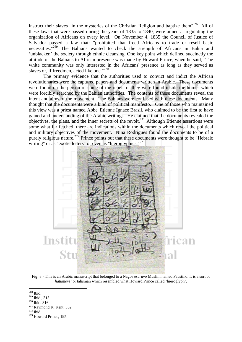instruct their slaves "in the mysteries of the Christian Religion and baptize them".<sup>268</sup> All of these laws that were passed during the years of 1835 to 1840, were aimed at regulating the organization of Africans on every level. On November 4, 1835 the Council of Justice of Salvador passed a law that: "prohibited that freed Africans to trade or resell basic necessities."269 The Bahians wanted to check the strength of Africans in Bahia and 'unblacken' the society through ethnic cleansing. One key point which defined succinctly the attitude of the Bahians to African presence was made by Howard Prince, when he said, "The white community was only interested in the Africans' presence as long as they served as slaves or, if freedmen, acted like one."<sup>270</sup>

The primary evidence that the authorities used to convict and indict the African revolutionaries were the captured papers and documents written in Arabic. These documents were found on the person of some of the rebels or they were found inside the homes which were forcibly searched by the Bahian authorities. The contents of these documents reveal the intent and aims of the movement. The Bahians were confused with these documents. Many thought that the documents were a kind of political manifesto. One of those who maintained this view was a priest named Abbe' Etienne Ignace Brasil, who claimed to be the first to have gained and understanding of the Arabic writings. He claimed that the documents revealed the objectives, the plans, and the inner secrets of the revolt.271 Although Etienne assertions were some what far fetched, there are indications within the documents which reveal the political and military objectives of the movement. Nina Rodrigues found the documents to be of a purely religious nature.<sup>272</sup> Prince points out that these documents were thought to be "Hebraic writing" or as "exotic letters" or even as "hieroglyphics."<sup>273</sup>



Fig: 8 - This is an Arabic manuscript that belonged to a Nagos *escravo* Muslim named Faustino. It is a sort of *hatumere'* or talisman which resembled what Howard Prince called 'hieroglyph'.

<sup>269</sup> Ibid., 315.<br><sup>270</sup> Ibid. 316.<br><sup>271</sup> Raymond K. Kent, 352.<br><sup>272</sup> Ibid. <sup>273</sup> Howard Prince, 195.

<sup>1</sup> 268 Ibid.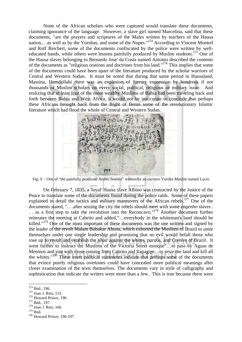None of the African scholars who were captured would translate these documents, claiming ignorance of the language. However, a slave girl named Marcelina, said that these documents, "are the prayers and scriptures of the Males written by teachers of the Hausa nation,…as well as by the Yorubas, and some of the Nupes."<sup>274</sup> According to Vincent Monteil and Rolf Reichert, some of the documents confiscated by the police were written by welleducated hands, while others were lessons painfully produced by Muslim students.<sup>275</sup> One of the Hausa slaves belonging to Bernardo Jose' da Costa named Antonio described the contents of the documents as "religious orations and doctrines from his land."276 This implies that some of the documents could have been apart of the literature produced by the scholar warriors of Central and Western Sudan. It must be noted that during that same period in Hausaland, Massina, Hamdullahi there was an explosion of literary expression by hundreds if not thousands of Muslim scholars on every social, political, religious or military issue. And realizing that at least four of the more wealthy Muslims of Bahia had been traveling back and forth between Bahia and West Africa, it would not be inaccurate to conclude that perhaps these Africans brought back from the Bight of Benin some of the revolutionary Islamic literature which had flood the whole of Central and Western Sudan.



Fig: 9 - One of "the painfully produced Arabic lessons" written by an *escravo* Yoruba Muslim named Lucio

 On February 7, 1835, a 'loyal' Hausa slave Albino was contracted by the Justice of the Peace to translate some of the documents found during the police raids. Some of these papers explained in detail the tactics and military maneuvers of the African rebels.<sup>277</sup> One of the documents stated, ". . .after seizing the city the rebels should meet with some *engenho* slaves .  $\therefore$  as a first step to take the revolution into the Reconcavo."<sup>278</sup> Another document further reiterates the meeting at Cabrito and added,"…everybody in the whiteman's land should be killed."<sup>279</sup> One of the most important of these documents was the one written and signed by the leader of the revolt Malam Bubakar Ahuna, which exhorted the Muslims of Brazil to unite themselves under one single leadership and promising that no evil would befall those who rose up to revolt and establish the *jihad* against the whites, *pardos*, and Creoles of Brazil. It went further to instruct the Muslims of the Victoria Street mosque"…to pass by Aguas de Meninos and join with those coming from Cabrito and Itapagipe…to seize the land and kill all the whites."280 These overt political statements indicate that perhaps some of the documents that evince purely religious overtones could have concealed more political meanings after closer examination of the texts themselves. The documents vary in style of calligraphy and sophistication that indicate the writers were more than a few. This is true because there were

<sup>&</sup>lt;sup>274</sup> Ibid., 196.

<sup>&</sup>lt;sup>275</sup> Joao J. Reis, 153.<br><sup>276</sup> Howard Prince, 196.<br><sup>277</sup> Ibid., 197.<br><sup>278</sup> Joao J. Reis, 166.<br><sup>279</sup> Ibid.

 $280$  Howard Prince, 196-197.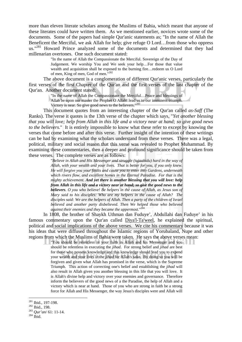more than eleven literate scholars among the Muslims of Bahia, which meant that anyone of these literates could have written them. As we mentioned earlier, novices wrote some of the documents. Some of the papers had simple Qur'anic statements as; "In the name of Allah the Beneficent the Merciful, we ask Allah for help; give refuge O Lord…from those who oppress us."<sup>281</sup> Howard Prince analyzed some of the documents and determined that they had millenarian overtones. One such document stated:

> "In the name of Allah the Compassionate the Merciful. Sovereign of the Day of Judgement. We worship You and We seek your help…For those that value wealth and acquisition shall be exposed to the burning fire…redeem us O Lord of men, King of men, God of men."<sup>282</sup>

The above document is a conglomeration of different Qur'anic verses, particularly the first verses of the first Chapter of the Qur'an and the first verses of the last chapter of the Qur'an. Another document stated:

"In the name of Allah the Compassionate the Merciful…Peace and blessings of

Allah be upon our master the Prophet O Allah! lead us to our imminent triumph.

Victory is near. So give good news to the believers."<sup>283</sup>

 This document quotes from an interesting chapter of the Qur'an called *as-Saff* (The Ranks). The verse it quotes is the 13th verse of the chapter which says, "*Yet another blessing that you will love; help from Allah in this life and a victory near at hand; so give good news to the believers*." It is entirely impossible to know what these refer to except by knowing the verses that come before and after this verse. Further insight of the intention of these writings can be had by examining what the scholars understand from these verses. There was a legal, political, military and social reason that this verse was revealed to Prophet Muhammad. By examining these commentaries, then a deeper and profound significance should be taken from these verses. The complete verses are as follows:

> "*Believe in Allah and His Messenger and struggle (tujaahidu) hard in the way of Allah, with your wealth and your lives. That is better for you, if you only knew. He will forgive you your faults and cause you to enter into Gardens, underneath which rivers flow, and excellent homes in the Eternal Paradise. For that is the mighty achievement. And yet there is another blessing that you will love: help from Allah in this life and a victory near at hand; so give the good news to the believers. O you who believe! Be helpers in the cause of Allah, as Jesus son of Mary said to his disciples: Who are my helpers in the cause of Allah? The disciples said: We are the helpers of Allah. Then a party of the children of Israel believed and another party disbelieved. Then We helped those who believed against their enemies and they became the uppermost*."284

In 1808, the brother of Shaykh Uthman dan Fuduye', Abdullahi dan Fuduye' in his famous commentary upon the Qur'an called Diya'l-Ta'weel, he explained the spiritual, political and social implications of the above verses. We cite his commentary because it was his ideas that were diffused throughout the Islamic regions of Yorubaland, Nupe and other regions from which the Muslims of Bahia were taken. He says the above verses mean:

"You should be relentless in your faith in Allah and his Messenger and you should be relentless in executing the *jihad*. For strong belief and *jihad* are best for those who possess knowledge and this knowledge should lead you to expend your wealth and your lives in the *jihad* for Allah's sake. By doing so you will be forgiven and given what Allah has promised in the verse, which is the Supreme Triumph. This action of correcting one's belief and establishing the *jihad* will also result in Allah given you another blessing in this life that you will love. It is Allah's divine help and victory over your enemies and governance. Therefore inform the believers of the good news of a the Paradise, the help of Allah and a victory which is near at hand. Those of you who are strong in faith be a strong force for Allah and His Messenger, the way Jesus's disciples were and Allah will

<sup>281</sup> Ibid., 197-198. 282 Ibid., 198. 283 *Qur'an*/ 61: 11-14. 284 Ibid.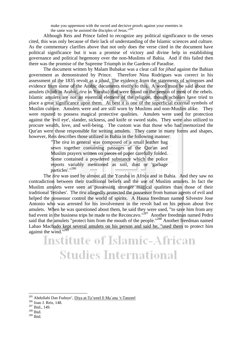make you uppermost with the sword and decisive proofs against your enemies in the same way he assisted the disciples of Jesus."<sup>285</sup>

Although Reis and Prince failed to recognize any political significance to the verses cited, this was only because of their lack of understanding of the Islamic sciences and culture. As the commentary clarifies above that not only does the verse cited in the document have political significance but it was a promise of victory and divine help in establishing governance and political hegemony over the non-Muslims of Bahia. And if this failed then there was the promise of the Supreme Triumph in the Gardens of Paradise.

 The document written by Malam Bubakar was a clear call for *jihad* against the Bahian government as demonstrated by Prince. Therefore Nina Rodrigues was correct in his assessment of the 1835 revolt as a *jihad*. The evidence from the statements of witnesses and evidence from some of the Arabic documents testify to this. A word must be said about the amulets (*hijab* in Arabic, *tira* in Yoruba) that were found on the person of most of the rebels. Islamic amulets are not an essential element of the religion, though scholars have tried to place a great significance upon them. At best it is one of the superficial external symbols of Muslim culture. Amulets were and are still worn by Muslims and non-Muslim alike. They were reputed to possess magical protective qualities. Amulets were used for protection against the 'evil eye', slander, sickness, and knife or sword stabs. They were also utilized to procure wealth, love, and well-being. The custom was that those who had memorized the Qur'an were those responsible for writing amulets. They came in many forms and shapes, however, Reis describes those utilized in Bahia in the following manner:

"The *tira* in general was composed of a small leather bag sewn together containing passages of the Qur'an and Muslim prayers written on pieces of paper carefully folded. Some contained a powdered substance which the police reports variably mentioned as soil, dust or 'garbage particles'."<sup>286</sup>

The *tira* was used by almost all the Yoruba in Africa and in Bahia. And they saw no contradiction between their traditional beliefs and the use of Muslim amulets. In fact the Muslim amulets were seen as possessing stronger magical qualities than those of their traditional 'fetishes'. The *tira* allegedly protected the possessor from human agents of evil and helped the possessor control the world of spirits. A Hausa freedman named Silvestre Jose Antonio who was arrested for his involvement in the revolt had on his person about five amulets. When he was questioned about them, he said they were used, "to save him from any bad event in the business trips he made to the Reconcavo."<sup>287</sup> Another freedman named Pedro said that the amulets "protect him from the mouth of the people."<sup>288</sup> Another freedman named Labao Machado kept several amulets on his person and said he, "used them to protect him against the wind." $289$ 

## **Institute of Islamic-African Studies International**

<sup>&</sup>lt;sup>285</sup> Abdullahi Dan Fuduye', <u>Diya at-Ta'weel fi Ma`ana 't-Tanzeel</u>  $\frac{^{286}}{^{287}}$  Joao J. Reis, 148. <sup>287</sup> Ibid., 149. <sup>288</sup> Ibid.

<sup>289</sup> Ibid.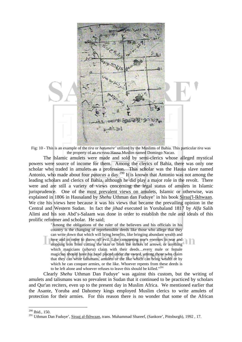

Fig: 10 - This is an example of the *tira* or *hatumere'* utilized by the Muslims of Bahia. This particular *tira* was the property of an *escravo* Hausa Muslim named Domingo Nacao.

The Islamic amulets were made and sold by semi-clerics whose alleged mystical powers were source of income for them. Among the clerics of Bahia, there was only one scholar who traded in amulets as a profession. This scholar was the Hausa slave named Antonio, who made about four *patacas* a day.<sup>290</sup> It is known that Antonio was not among the leading scholars and clerics of Bahia, although he did play a major role in the revolt. There were and are still a variety of views concerning the legal status of amulets in Islamic jurisprudence. One of the most prevalent views on amulets, Islamic or otherwise, was explained in 1806 in Hausaland by *Shehu* Uthman dan Fuduye' in his book Siraaj'l-Ikhwaan. We cite his views here because it was his views that became the prevailing opinion in the Central and Western Sudan. In fact the *jihad* executed in Yorubaland 1817 by *Alfa* Salih Alimi and his son Abd's-Salaam was done in order to establish the rule and ideals of this prolific reformer and scholar. He said;

> "Among the obligations of the ruler of the believers and his officials in his country is the changing of reprehensible deeds like those who allege that they can write down that which will bring benefits, like bringing abundant wealth and love and in order to throw off evil. Like conquering one's enemies in war and stopping iron from cutting the skin or from the strikes of arrows, or anything which magicians (s*ihara*) claim with their deeds…every male or female magician should have his head placed under the sword, among those who claim that they can write talismans, amulets or the like which can bring wealth or by which he can conquer armies, or the like. Whoever repents from these deeds is to be left alone and whoever refuses to leave this should be killed."<sup>291</sup>

Clearly *Shehu* Uthman Dan Fuduye' was against this custom, but the writing of amulets and talismans was so prevalent in Sudan that it continued to be practiced by scholars and Qur'an reciters, even up to the present day in Muslim Africa. We mentioned earlier that the Asante, Yoruba and Dahomey kings employed Muslim clerics to write amulets of protection for their armies. For this reason there is no wonder that some of the African

<sup>290</sup> Ibid., 150.

<sup>&</sup>lt;sup>291</sup> Uthman Dan Fuduye', Siraaj al-Ikhwaan, trans. Muhammad Shareef, (Sankore', Pittsburgh), 1992, 17.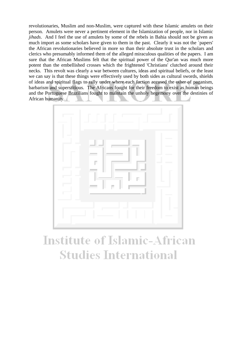revolutionaries, Muslim and non-Muslim, were captured with these Islamic amulets on their person. Amulets were never a pertinent element in the Islamization of people, nor in Islamic *jihads*. And I feel the use of amulets by some of the rebels in Bahia should not be given as much import as some scholars have given to them in the past. Clearly it was not the `papers' the African revolutionaries believed in more so than their absolute trust in the scholars and clerics who presumably informed them of the alleged miraculous qualities of the papers. I am sure that the African Muslims felt that the spiritual power of the Qur'an was much more potent than the embellished crosses which the frightened 'Christians' clutched around their necks. This revolt was clearly a war between cultures, ideas and spiritual beliefs, or the least we can say is that these things were effectively used by both sides as cultural swords, shields of ideas and spiritual flags to rally under where each faction accused the other of paganism, barbarism and superstitious. The Africans fought for their freedom to exist as human beings and the Portuguese Brazilians fought to maintain the unholy hegemony over the destinies of African humanity.



## **Institute of Islamic-African Studies International**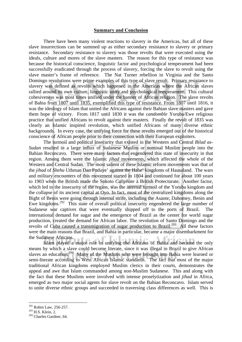#### **Summary and Conclusion**

 There have been many violent reactions to slavery in the Americas, but all of these slave insurrections can be summed up as either secondary resistance to slavery or primary resistance. Secondary resistance to slavery was those revolts that were executed using the ideals, culture and mores of the slave masters. The reason for this type of resistance was because the historical conscience, linguistic factor and psychological temperament had been successfully eradicated through the process of slavery, forcing the slave to revolt using the slave master's frame of reference. The Nat Turner rebellion in Virginia and the Santo Domingo revolutions were prime examples of this type of slave revolt. Primary resistance to slavery was defined as revolts which happened in the Americas where the African slaves rallied around its own culture, linguistic unity and psychological temperament. This cultural cohesiveness was most times unified under the banner of African religion. The slave revolts of Bahia from 1807 until 1835, exemplified this type of resistance. From 1807 until 1816, it was the ideology of Islam that united the Africans against their Bahian slave masters and gave them hope of victory. From 1817 until 1830 it was the *candomble* Yoruba/Ewe religious practice that unified Africans to revolt against their masters. Finally the revolt of 1835 was clearly an Islamic inspired revolution, which unified Africans of many diverse ethnic backgrounds. In every case, the unifying force for these revolts emerged out of the historical conscience of African people prior to their connection with their European exploiters.

The turmoil and political insecurity that existed in the Western and Central *Bilad as-Sudan* resulted in a large influx of Sudanese Muslim or nominal Muslim people into the Bahian Reconcavo. There were many factors that engendered this state of insecurity in that region. Among them were the Islamic *jihad* movements, which affected the whole of the Western and Central Sudan. The most salient of these Islamic reform movements was that of the *jihad* of *Shehu* Uthman Dan Fuduye' against the Habe' kingdoms of Hausaland. The wars and military encounters of this movement started in 1804 and continued for about 100 years to 1903 when the British made the Sokoto *Caliphate* a British Protectorate. Another factor, which led to the insecurity of the region, was the internal turmoil of the Yoruba kingdom and the collapse of its ancient capital at Oyo. In fact, most of the centralized kingdoms along the Bight of Benin were going through internal strife, including the Asante, Dahomey, Benin and Ewe kingdoms.292 This state of overall political insecurity engendered the large number of Sudanese war captives that were eventually shipped off to the ports of Brazil. The international demand for sugar and the emergence of Brazil as the center for world sugar production, created the demand for African labor. The revolution of Santo Domingo and the revolts of Cuba caused a transmigration of sugar production to Brazil.293 All these factors were the main reasons that Brazil, and Bahia in particular, became a major disembarkment for the Sudanese Africans.

 Islam played a major role in unifying the Africans of Bahia and became the only means by which a slave could become literate, since it was illegal in Brazil to give African slaves an education.<sup>294</sup> Many of the Muslims who were brought into Bahia were learned or semi-literate according to West African Islamic standards. The fact that most of the major traditional African kingdoms employed Muslim clerics in their courts, demonstrates the appeal and awe that Islam commanded among non-Muslim Sudanese. This and along with the fact that these Muslims were involved with intense proselytization and *jihad* in Africa, emerged as two major social agents for slave revolt on the Bahian Reconcavo. Islam served to unite diverse ethnic groups and succeeded in traversing class differences as well. This is

 $292$  Robin Law, 256-257.

 $^{293}$  H.S. Klein, 2.

<sup>&</sup>lt;sup>294</sup> Charles Gardner, 64.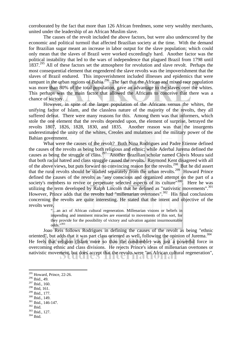corroborated by the fact that more than 126 African freedmen, some very wealthy merchants, united under the leadership of an African Muslim slave.

The causes of the revolt included the above factors, but were also underscored by the economic and political turmoil that affected Brazilian society at the time. With the demand for Brazilian sugar meant an increase in labor output for the slave population; which could only mean that the slaves of Brazil were worked exceedingly hard. Another factor was the political instability that led to the wars of independence that plagued Brazil from 1798 until 1837.<sup>295</sup> All of these factors set the atmosphere for revolution and slave revolt. Perhaps the most consequential element that engendered the slave revolts was the impoverishment that the slaves of Brazil endured. This impoverishment included illnesses and epidemics that were rampant in the urban regions of Bahia.<sup>296</sup> The fact that the African and mixed race population was more than 80% of the total population, gave an advantage to the slaves over the whites. This perhaps was the main factor that allowed the Africans to conceive that there was a chance of victory.

 However, in spite of the larger population of the Africans versus the whites, the unifying factor of Islam, and the classless nature of the majority of the revolts, they all suffered defeat. There were many reasons for this. Among them was that informers, which stole the one element that the revolts depended upon, the element of surprise, betrayed the revolts 1807, 1826, 1828, 1830, and 1835. Another reason was that the insurgents underestimated the unity of the whites, Creoles and mulattoes and the military power of the Bahian government.

 What were the causes of the revolt? Both Nina Rodrigues and Padre Etienne defined the causes of the revolts as being both religious and ethnic; while Aderbal Jurema defined the causes as being the struggle of class.<sup>297</sup> Another Brazilian scholar named Clovis Moura said that both racial hatred and class struggle caused the revolts. Raymond Kent disagreed with all of the above views, but puts forward no convincing reason for the revolts.<sup>298</sup> But he did assert that the rural revolts should be studied separately from the urban revolts.299 Howard Prince defined the causes of the revolts as "any conscious and organized attempt on the part of a society's members to revive or perpetuate selected aspects of its culture<sup>"300</sup>. Here he was utilizing the term developed by Ralph Lincoln that he defined as "nativistic movements".<sup>301</sup> However, Prince adds that the revolts had "millenarian overtones".<sup>302</sup> His final conclusions concerning the revolts are quite interesting. He stated that the intent and objective of the revolts were,

"…an act of African cultural regeneration. Millenarian visions or beliefs in impending and imminent miracles are essential to movements of this sort, for they provide for the possibility of victory and salvation against insurmountable odds."303

Joao Reis follows Rodrigues in defining the causes of the revolt as being "ethnic oriented", but adds that it was part class oriented as well, following the opinion of Jurema.<sup>304</sup> He feels that religion (Islam more so than the *candomble*) was just a powerful force in overcoming ethnic and class divisions. He rejects Prince's ideas of millenarian overtones or nativistic movement, but does accept that the revolts were "an African cultural regeneration",

- 297 Ibid., 160.
- $^{298}$  Ibid, 161.<br> $^{299}$  Ibid., 177.
- 
- 
- $\frac{300}{301}$  Ibid., 146-147.<br>  $\frac{302}{304}$  Ibid.<br>  $\frac{303}{304}$  Ibid., 127.<br>  $\frac{304}{304}$  Ibid.
- 
- 
- 

 $295$  Howard, Prince, 22-26.

<sup>296</sup> Ibid., 49.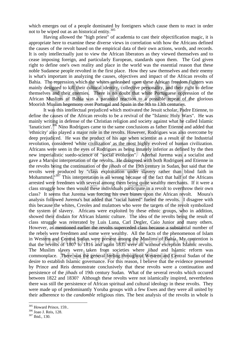which emerges out of a people dominated by foreigners which cause them to react in order not to be wiped out as an historical entity. $305$ 

Having allowed the "high priest" of academia to cast their objectification magic, it is appropriate here to examine these diverse views in correlation with how the Africans defined the causes of the revolt based on the empirical data of their own actions, words, and records. It is only intellectually just to view the African liberators as they viewed themselves and to cease imposing foreign, and particularly European, standards upon them. The God given right to define one's own reality and place in the world was the essential reason that these noble Sudanese people revolted in the first place. How they saw themselves and their enemy is what's important in analyzing the causes, objectives and impact of the African revolts of Bahia. The repression which the whites unleashed upon these African freedom fighters was mainly designed to kill their cultural identity, collective personality, and their right to define themselves and their enemies. There is no doubt that white Portuguese oppression of the African Muslims of Bahia was a paranoid reaction to a possible repeat of the glorious Moorish Muslim hegemony over Portugal and Spain in the 9th to 13th centuries.

 It was this intellectual prejudiced which motivated the Jesuit scholar, Padre Etienne, to define the causes of the African revolts to be a revival of the "Islamic Holy Wars". He was mainly writing in defense of the Christian religion and society against what he called Islamic 'fanaticism'.306 Nino Rodrigues came to the same conclusions as father Etienne and added that 'ethnicity' also played a major role in the revolts. However, Rodrigues was also overcome by deep prejudiced. He was the product of his age when scientist as a result of the Industrial revolution, considered 'white civilization' as the most highly evolved of human civilization. Africans were seen in the eyes of Rodrigues as being innately inferior as defined by the then new imperialistic suedo-science of "social evolution". Aderbal Jurema was a socialist and gave a Marxist interpretation of the revolts. He disagreed with both Rodrigues and Etienne in the revolts being the continuation of the *jihads* of the 19th century in Sudan, but said that the revolts were produced by "class exploitation under slavery rather than blind faith in Mohammed.<sup>"307</sup> This interpretation is all wrong because of the fact that half of the Africans arrested were freedmen with several among them being quite wealthy merchants. If it were a class struggle how then would these individuals participate in a revolt to overthrow their own class? It seems that Jurema was forcing his own biases upon the African revolt. Moura's analysis followed Jurema's but added that "racial hatred" fueled the revolts. I disagree with this because the whites, Creoles and mulattoes who were the targets of the revolt symbolized the system of slavery. Africans were exploited by these ethnic groups, who in addition, showed their disdain for African Islamic culture. The idea of the revolts being the result of class struggle was reiterated by Luis Luna, Carl Degler, Caio Junior and many others. However, as mentioned earlier the revolts superceded class because a substantial number of the rebels were freedmen and some were wealthy. All the facts of the phenomenon of Islam in Western and Central Sudan were present among the Muslims of Bahia. My contention is that the revolts of 1807 to 1816 and again 1835 were all without exception Islamic revolts. The Muslim slaves were taken from societies where *jihad* and Islamic reform was commonplace. There was the general feeling throughout Western and Central Sudan of the desire to establish Islamic governance. For this reason, I believe that the evidence presented by Prince and Reis demonstrate conclusively that these revolts were a continuation and persistence of the *jihads* of 19th century Sudan. What of the several revolts which occured between 1822 and 1830? Although these revolts were not islamically inspired, nevertheless there was still the persistence of African spiritual and cultural ideology in these revolts. They were made up of predominantly Yoruba groups with a few Ewes and they were all united by their adherence to the *candomble* religious rites. The best analysis of the revolts in whole is

<sup>&</sup>lt;sup>305</sup> Howard Prince, 159..<br><sup>306</sup> Joao J. Reis, 128.<br><sup>307</sup> Ibid., 130.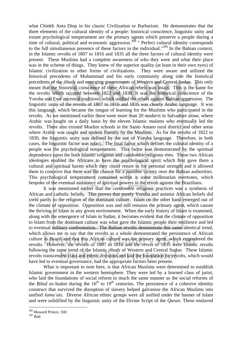what Chiekh Anta Diop in his classic Civilization or Barbarism. He demonstrates that the three elements of the cultural identity of a people: historical conscience, linguistic unity and extant psychological temperament are the primary agents which preserve a people during a time of cultural, political and economic aggression.<sup>308</sup> " Perfect cultural identity corresponds to the full simultaneous presence of these factors in the individual."309 In the Bahian context, in the Islamic revolts of 1807 to 1816 and 1835 all the three factors of cultural identity were present. These Muslims had a complete awareness of who they were and what their place was in the scheme of things. They knew of the superior quality (at least in their own eyes) of Islamic civilization to other forms of civilizations. They were aware and utilized the historical precedents of Muhammad and his early community along side the historical precedents of the *jihads* and emerging governments of Western and Central Sudan. This only meant that the historical conscience of these African rebels was intact. This is the same for the revolts which occured between 1822 and 1830. It was the historical conscience of the Yoruba and Ewe ancestral traditions, which unified the rebels against Bahian oppression. The linguistic unity of the revolts of 1807 to 1816 and 1835 was clearly Arabic language. It was this language, which became the tongue of learning for the Muslims who participated in the revolts. As we mentioned earlier there were more than 20 *madaris* in Salvadore alone, where Arabic was taught on a daily basis by the eleven Islamic *malams* who eventually led the revolts. There also existed Muslim schools in the Santo Amaro rural district and other areas where Arabic was taught and spoken fluently by the Muslims. As for the revolts of 1822 to 1830, the linguistic unity was defined by the use of Yoruba language. Therefore, in both cases, the linguistic factor was intact. The final factor which defines the cultural identity of a people was the psychological temperament. This factor was demonstrated by the spiritual dependence upon the both Islamic religious and *candomble* religious rites. These two African ideologies enabled the Africans to have the psychological spirit which first gave them a cultural and spiritual haven which they could return to for personal strength and it allowed them to conceive that there was the chance for a possible victory over the Bahian authorities. This psychological temperament contained within it some millenarian overtones, which bespoke of the eventual assistance of spiritual powers in the revolt against the Brazilians.

It was mentioned earlier that the *candomble* religious practices was a synthesis of African and catholic beliefs. This proves that purely Yoruba and animist African beliefs did yield partly to the religion of the dominant culture. Islam on the other hand emerged out of the climate of opposition. Opposition was and still remains the primary agent, which causes the thriving of Islam in any given environment. When the early history of Islam is examined, along with the emergence of Islam in Sudan, it becomes evident that the climate of opposition to Islam from the dominant culture was what gave the Islamic people their resilience and led to eventual military confrontation. The Bahian revolts demonstrate this same identical trend, which allows me to say that the revolts as a whole demonstrated the persistence of African culture in Brazil and that this African culture was the primary agent, which engendered the revolts. However, the revolts of 1807 to 1816 and the revolt of 1835 were Islamic revolts following the same trend of the Islamic *jihads* of Western and Central Sudan. These Islamic revolts transcended class and ethnic divisions and laid the foundation for revolts, which would have led to eventual governance, had the appropriate factors been present.

What is important to note here, is that African Muslims were determined to establish Islamic government in the western hemisphere. They were led by a learned class of jurist, who laid the foundations of social reform in much the same manner as the social reforms of the *Bilad as-Sudan* during the  $16<sup>th</sup>$  to  $19<sup>th</sup>$  centuries. The persistence of a cohesive identity construct that survived the disruption of slavery helped galvanize the African Muslims into unified *Jama`ats*. Diverse African ethnic groups were all unified under the banner of Islam and were solidified by the linguistic unity of the Divine Script of the *Quran*. These enslaved

<sup>308</sup> Howard Prince, 160.

<sup>309</sup> Ibid.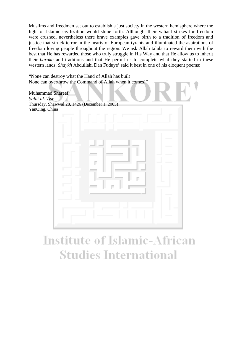Muslims and freedmen set out to establish a just society in the western hemisphere where the light of Islamic civilization would shine forth. Although, their valiant strikes for freedom were crushed, nevertheless there brave examples gave birth to a tradition of freedom and justice that struck terror in the hearts of European tyrants and illuminated the aspirations of freedom loving people throughout the region. We ask Allah ta`ala to reward them with the best that He has rewarded those who truly struggle in His Way and that He allow us to inherit their *baraka* and traditions and that He permit us to complete what they started in these western lands. *Shaykh* Abdullahi Dan Fuduye' said it best in one of his eloquent poems:

"None can destroy what the Hand of Allah has built None can overthrow the Command of Allah when it comes!"

Muhammad Shareef *Salat al-`Asr*  Thursday, Shawwal 28, 1426 (December 1, 2005) YanQing, China

# **Institute of Islamic-African Studies International**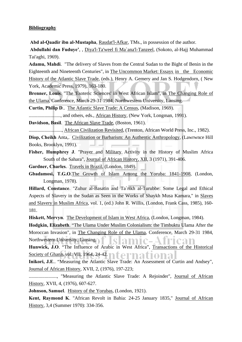## **Bibliography**

**Abd al-Qaadir ibn al-Mustapha**, Raudat'l-Afkar, TMs., in possession of the author.

**Abdullahi dan Fuduye'**, , Diya'l-Ta'weel fi Ma`ana'l-Tanzeel, (Sokoto, al-Hajj Muhammad Tai'aghi, 1969).

**Adamu, Mahdi**. "The delivery of Slaves from the Central Sudan to the Bight of Benin in the Eighteenth and Nineteenth Centuries", in The Uncommon Market: Essays in the Economic History of the Atlantic Slave Trade, (eds.), Henry A. Gemery and Jan S. Hodgendorn, ( New York, Academic Press, 1979), 163-180.

**Brenner, Louis**. "The 'Esoteric Sciences' in West African Islam", in The Changing Role of the Ulama, Conference, March 29-31 1984, Northwestern University, Lansing.

**Curtin, Philip D**.. The Atlantic Slave Trade: A Census, (Madison, 1969).

.........................., and others, eds., African History, (New York, Longman, 1991).

**Davidson, Basil**. The African Slave Trade, (Boston, 1961).

..........................., African Civilization Revisited, (Trenton, African World Press, Inc., 1982).

**Diop, Cheikh** Anta,. Civilization or Barbarism: An Authentic Anthropology, (Lawrwnce Hill Books, Brooklyn, 1991).

**Fisher, Humphrey J**. "Prayer and Military Activity in the History of Muslim Africa South of the Sahara", Journal of African History, XII, 3 (1971), 391-406.

**Gardner, Charles**. Travels in Brazil, (London, 1849).

**Gbadamosi, T.G.O**.The Growth of Islam Among the Yoruba: 1841-1908, (London, Longman, 1978).

**Hillard, Constance**. "Zuhur al-Basatin and Ta`rikh al-Turubbe: Some Legal and Ethical Aspects of Slavery in the Sudan as Seen in the Works of Shaykh Musa Kamara," in Slaves and Slavery in Muslim Africa, vol. 1, (ed.) John R. Willis, (London, Frank Cass, 1985), 160- 181.

**Hiskett, Mervyn**. The Development of Islam in West Africa, (London, Longman, 1984).

**Hodgkin, Elizabeth**. "The Ulama Under Muslim Colonialism: the Timbuktu Ulama After the Moroccan Invasion", in The Changing Role of the Ulama, Conference, March 29-31 1984, Northwestern University, Lansing. amic-2

**Hunwick, J.O**. "The Influence of Arabic in West Africa", Transactions of the Historical Society of Ghana, vol. VII, 1964, 24-42.

**Inikori, J.E**.. "Measuring the Atlantic Slave Trade: An Assessment of Curtin and Andsey", Journal of African History, XVII, 2, (1976), 197-223;

......................., "Measuring the Atlantic Slave Trade: A Rejoinder", Journal of African History, XVII, 4, (1976), 607-627.

**Johnson, Samuel**. History of the Yorubas, (London, 1921).

**Kent, Raymond K**. "African Revolt in Bahia: 24-25 January 1835," Journal of African History, 3,4 (Summer 1970): 334-356.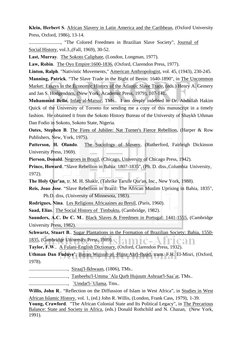**Klein, Herbert S**. African Slavery in Latin America and the Caribbean, (Oxford University Press, Oxford, 1986), 13-14.

.........................., "The Colored Freedmen in Brazilian Slave Society", Journal of Social History, vol.3.,(Fall, 1969), 30-52.

**Last, Murray**. The Sokoto Caliphate, (London, Longman, 1977).

**Law, Robin**. The Oyo Empire:1600-1836, (Oxford, Clarendon Press, 1977).

**Linton, Ralph**. "Nativistic Movements," American Anthropologist, vol. 45, (1943), 230-245.

**Manning, Patrick**. "The Slave Trade in the Bight of Benin: 1640-1890", in The Uncommon Market: Essays in the Economic History of the Atlantic Slave Trade, (eds.) Henry A. Gemery and Jan S. Hodgendorn, (New York, Academic Press, 1979), 107-141.

**Muhammad Bello**, Infaq al-Maisur, TMs.. I am deeply indebted to Dr. Abdallah Hakim Quick of the University of Toronto for sending me a copy of this manuscript in a timely fashion. He obtained it from the Sokoto History Bureau of the University of Shaykh Uthman Dan Fodio in Sokoto, Sokoto State, Nigeria.

**Oates, Stephen B.** The Fires of Jubilee: Nat Turner's Fierce Rebellion, (Harper & Row Publishers, New, York, 1975).

**Patterson, H. Olando**. The Sociology of Slavery, (Rutherford, Fairleigh Dickinson University Press, 1969).

**Pierson, Donald**. Negroes in Brazil, (Chicago, University of Chicago Press, 1942).

**Prince, Howard**. "Slave Rebellion in Bahia: 1807-1835", (Ph. D. diss.,Columbia University, 1972).

**The Holy Qur'an**, tr. M. H. Shakir, (Tahrike Tarsile Qur'an, Inc., New York, 1988).

**Reis, Joao Jose**. "Slave Rebellion in Brazil: The African Muslim Uprising in Bahia, 1835", Ph.D. diss, (University of Minnesota, 1983).

**Rodrigues, Nina**. Les Religions Africaaines au Bresil, (Paris, 1960).

**Saad, Elias**. The Social History of Timbuktu, (Cambridge, 1982).

**Saunders, A.C. De C. M**.. Black Slaves & Freedmen in Portugal: 1441-1555, (Cambridge University Press, 1982).

**Schwartz, Stuart B**.. Sugar Plantations in the Formation of Brazilian Society: Bahia, 1550- 1835, (Cambridge University Press, 1989). amic-A rrean

**Taylor, F.W**.. A Fulani-English Dictionary, (Oxford, Clarendon Press, 1932).

**Uthman Dan Fuduye'**, Bayan Wujuub al -Hijra Ala'l-Ibaad, trans. F.H. El-Misri, (Oxford, 1978).

................................, Siraaj'l-Ikhwaan, (1806), TMs..

................................, Tanbeehu'l-Umma `Ala Qurb Hujuum Ashraat'l-Saa`at, TMs..

................................, `Umdat'l-`Ulama, Tms..

**Willis, John R**.. "Reflection on the Diffussion of Islam in West Africa", in Studies in West African Islamic History, vol. 1, (ed.) John R. Willis, (London, Frank Cass, 1979), 1-39.

**Young, Crawford**. "The African Colonial State and Its Political Legacy", in The Precarious Balance: State and Society in Africa, (eds.) Donald Rothchild and N. Chazan, (New York, 1991).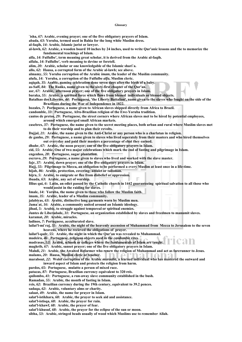## **Glossary**

**`isha,** *67***: Arabic, evening prayer; one of the five obligatory prayers of Islam.** 

**abada,** *63***: Yoruba, termed used in Bahia for the long white Muslim dress.** 

**al-faqih,** *14***: Arabic, Islamic jurist or lawyer.** 

- **al-lawh,** *62***: Arabic, a wooden board 10 inches by 24 inches, used to write Qur'anic lessons and the to memorize the fundamental teachings of Islam.**
- **alfa,** *14***: Fulfulbe', term meaning great scholar, it is derived from the Arabic al-faqih.**
- **alfalu,** *14***: Fulfulbe', verb meaning to devine or foretell.**
- **alim,** *20***: Arabic, scholar or one knowledgable of the Islamic shari`a.**
- **allo,** *62***: Hausa, a corrupted form of the Arabic al-lawh; see above.**
- **almamy,** *55***: Yoruba corruption of the Arabic** *imam***, the leader of the Muslim community.**
- **alufa,** *14***: Yoruba, a corruption of the Fulfulbe** *alfa***, Muslim cleric.**
- **aqiqah,** *35***: Arabic, naming celebration done seven days after the birth of a baby.**
- **as-Saff,** *84***: The Ranks, name given to the sixty-first chapter of the Qur'an.**
- **asr,** *67***: Arabic, afternoon prayer; one of the five obligatory prayers in Islam.**
- **baraka,** *55***: Arabic, a spiritual force which flows from blessed individuals or blessed objects.**
- **Batalhao dos Libertos,** *44***: Portuguese, 'the Liberty Battalion', name given to the slaves who fought on the side of the Brazilians during the War of Independence in 1822.**
- **bozales,** *7***: Portuguese, a name given to African slaves shipped directly from Africa to Brazil.**
- **candomble,** *33***: Portuguese, Afro-Brazilian religion of the Ewe-Yoruba tradition.**
- **cantos de pretos,** *29***: Portuguese, the street corners where African slaves met to be hired by potential employees, around which emerged small African markets.**
- **casebres,** *37***: Portuguese, the name given to the secret meeting places, both urban and rural where Muslim slaves met to do their worship and to plan their revolts.**
- **Dajjal,** *21***: Arabic, the name given to the Anti-Christ or any person who is a charlatan in religion.**
- **de ganho,** *29***: Portuguese, a name given to slaves who lived seperately from their masters and who hired themselves out everyday and paid their masters a percentage of ehat they earned.**
- **dhuhr,** *67***: Arabic, the noon prayer; one of the five obligatory prayers in Islam.**
- **eid,** *55***: Arabic, One of two major celebrations which mark the end of fasting and pilgrimage in Islam.**

**engenhos,** *28***: Portuguese, sugar plantation.** 

**escravo,** *29***: Portuguese, a name given to slaves who lived and worked with the slave master.** 

**fajr,** *37***: Arabic, dawn prayer; one of the five obligatory prayers in Islam.** 

- **Hajj,** *55***: Pilgrimage to Mecca, an obligation to be performed a every Muslim at least once in a life-time.**
- **hijab,** *86***: Arabic, protection, covering; amulet or talisman.**
- **hijra,** *5***: Arabic, to emigrate or flee from disbelief or oppression.**
- **ibaada,** *63***: Arabic, any act of worship.**
- **Illius qui,** *6***: Latin, an edict passed by the Catholic church in 1442 guaranteeing spiritual salvation to all those who would assist in the raiding for slaves.**
- **Imale,** *14***: Yoruba, the name given to those who follow the Muslim faith.**
- **imam,** *35***: Arabic, leader of a Muslim community.**
- **jalabiyas,** *63***: Arabic, distinctive long garments worn by Muslim men.**
- **Jama`at,** *16***: Arabic, a community united around an Islamic ideology.**
- **jihad,** *5***: Arabic, to struggle against temporeal or spiritual enemies.**
- **Juntes de Liberadade,** *31***: Portuguese, an organization established by slaves and freedmen to manumit slaves.**

**karamat,** *20***: Arabic, miracles.** 

**ladinos,** *7***: Portuguese, acculturated slave.** 

**lailat'l-mi`raj,** *55***: Arabic, the night of the heavenly ascension of Muhammad from Mecca to Jerusalem to the seven heavens, where he recieved the obligations of prayer.** 

TC2H1

- **lailat'l-qadr,** *55***: Arabic, the night in which the Qur'an was revealed to Muhammad.**
- **madeira,** *46***: Portuguese, religious objects used in the** *candomble* **rites.**

**madrasas,** *52***: Arabic, schools or colleges where the fundamentals of Islam are taught.** 

**maghrib,** *67***: Arabic, sunset prayer; one of the five obligatory prayers in Islam.** 

- **Mahdi,** *21***: Arabic, the Awaited Reformer who renew the religion of Muhammad and act as forerunner to Jesus. malams,** *20***: Hausa, Muslim cleric or teacher.**
- **marabout,** *22***: Wolof corruption of the Arabic** *muraabit***, a learned individual who has mastered the outward and inward aspect of Islam and protects the religion from harm.**
- **pardos,** *65***: Portuguese, mulatto a person of mixed race.**
- **patacas,** *87***: Portuguese, Brazilian currency equivalent to 320** *reis***.**
- **quilombo,** *41***: Portuguese, a run-away slave community established in the bush.**
- **Ramadan,** *55***: Arabic, the month of fasting in Islam.**
- **reis,** *62***: Brazilian currency during the 19th century, equivalent to 39.2 pences.**
- **sadaqa,** *62***: Arabic, voluntary alms or charity.**
- **salaat,** *49***: Arabic, the name for prayer in Islam.**
- **salat'l-istikhara,** *68***: Arabic, the prayer to seek aid and assistance.**
- **salat'l-istisqa,** *68***: Arabic, the prayer for rain.**
- **salat'l-khawf,** *68***: Arabic, the prayer of fear.**
- **salat'l-khusuf,** *68***: Arabic, the prayer for the eclipse of the sun or moon.**
- **sibha,** *53***: Arabic, stringed beads usually of wood which Muslims use to remember Allah.**